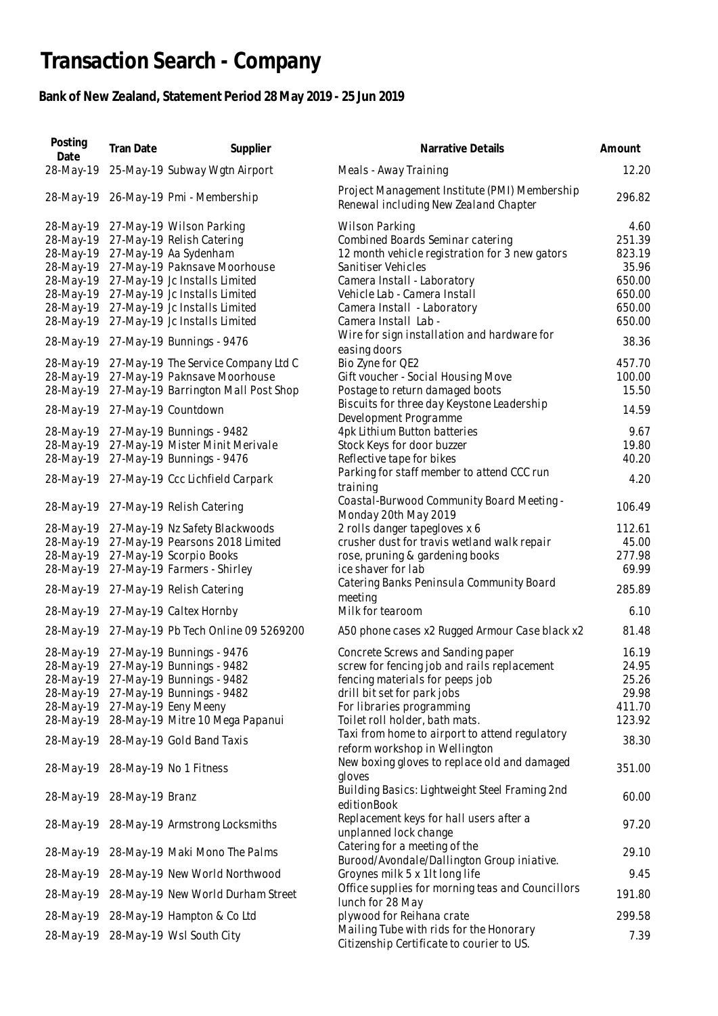## **Transaction Search - Company**

## **Bank of New Zealand, Statement Period 28 May 2019 - 25 Jun 2019**

| Posting<br>Date           | Tran Date | Supplier                                      | Narrative Details                                                                      | Amount |
|---------------------------|-----------|-----------------------------------------------|----------------------------------------------------------------------------------------|--------|
| 28-May-19                 |           | 25-May-19 Subway Wgtn Airport                 | Meals - Away Training                                                                  | 12.20  |
|                           |           | 28-May-19 26-May-19 Pmi - Membership          | Project Management Institute (PMI) Membership<br>Renewal including New Zealand Chapter | 296.82 |
| 28-May-19                 |           | 27-May-19 Wilson Parking                      | Wilson Parking                                                                         | 4.60   |
| 28-May-19                 |           | 27-May-19 Relish Catering                     | Combined Boards Seminar catering                                                       | 251.39 |
| 28-May-19                 |           | 27-May-19 Aa Sydenham                         | 12 month vehicle registration for 3 new gators                                         | 823.19 |
| 28-May-19                 |           | 27-May-19 Paknsave Moorhouse                  | Sanitiser Vehicles                                                                     | 35.96  |
| 28-May-19                 |           | 27-May-19 Jc Installs Limited                 | Camera Install - Laboratory                                                            | 650.00 |
| 28-May-19                 |           | 27-May-19 Jc Installs Limited                 | Vehicle Lab - Camera Install                                                           | 650.00 |
| 28-May-19                 |           | 27-May-19 Jc Installs Limited                 | Camera Install - Laboratory                                                            | 650.00 |
| 28-May-19                 |           | 27-May-19 Jc Installs Limited                 | Camera Install Lab -                                                                   | 650.00 |
|                           |           |                                               | Wire for sign installation and hardware for                                            |        |
| 28-May-19                 |           | 27-May-19 Bunnings - 9476                     | easing doors                                                                           | 38.36  |
| 28-May-19                 |           | 27-May-19 The Service Company Ltd C           | Bio Zyne for QE2                                                                       | 457.70 |
| 28-May-19                 |           | 27-May-19 Paknsave Moorhouse                  | Gift voucher - Social Housing Move                                                     | 100.00 |
| 28-May-19                 |           | 27-May-19 Barrington Mall Post Shop           | Postage to return damaged boots                                                        | 15.50  |
|                           |           |                                               | Biscuits for three day Keystone Leadership                                             |        |
| 28-May-19                 |           | 27-May-19 Countdown                           | Development Programme                                                                  | 14.59  |
| 28-May-19                 |           | 27-May-19 Bunnings - 9482                     | 4pk Lithium Button batteries                                                           | 9.67   |
| 28-May-19                 |           | 27-May-19 Mister Minit Merivale               | Stock Keys for door buzzer                                                             | 19.80  |
|                           |           |                                               |                                                                                        |        |
| 28-May-19                 |           | 27-May-19 Bunnings - 9476                     | Reflective tape for bikes                                                              | 40.20  |
| 28-May-19                 |           | 27-May-19 Ccc Lichfield Carpark               | Parking for staff member to attend CCC run                                             | 4.20   |
|                           |           |                                               | training                                                                               |        |
|                           |           | 28-May-19 27-May-19 Relish Catering           | Coastal-Burwood Community Board Meeting -                                              | 106.49 |
|                           |           |                                               | Monday 20th May 2019                                                                   |        |
| 28-May-19                 |           | 27-May-19 Nz Safety Blackwoods                | 2 rolls danger tapegloves x 6                                                          | 112.61 |
| 28-May-19                 |           | 27-May-19 Pearsons 2018 Limited               | crusher dust for travis wetland walk repair                                            | 45.00  |
| 28-May-19                 |           | 27-May-19 Scorpio Books                       | rose, pruning & gardening books                                                        | 277.98 |
| 28-May-19                 |           | 27-May-19 Farmers - Shirley                   | ice shaver for lab                                                                     | 69.99  |
|                           |           |                                               | Catering Banks Peninsula Community Board                                               | 285.89 |
|                           |           | 28-May-19 27-May-19 Relish Catering           | meeting                                                                                |        |
|                           |           | 28-May-19 27-May-19 Caltex Hornby             | Milk for tearoom                                                                       | 6.10   |
|                           |           | 28-May-19 27-May-19 Pb Tech Online 09 5269200 | A50 phone cases x2 Rugged Armour Case black x2                                         | 81.48  |
|                           |           | 28-May-19 27-May-19 Bunnings - 9476           | Concrete Screws and Sanding paper                                                      | 16.19  |
|                           |           | 28-May-19 27-May-19 Bunnings - 9482           | screw for fencing job and rails replacement                                            | 24.95  |
|                           |           | 28-May-19 27-May-19 Bunnings - 9482           | fencing materials for peeps job                                                        | 25.26  |
|                           |           | 28-May-19 27-May-19 Bunnings - 9482           | drill bit set for park jobs                                                            | 29.98  |
|                           |           | 28-May-19 27-May-19 Eeny Meeny                | For libraries programming                                                              | 411.70 |
|                           |           | 28-May-19 28-May-19 Mitre 10 Mega Papanui     | Toilet roll holder, bath mats.                                                         | 123.92 |
|                           |           |                                               |                                                                                        |        |
|                           |           | 28-May-19 28-May-19 Gold Band Taxis           | Taxi from home to airport to attend regulatory<br>reform workshop in Wellington        | 38.30  |
|                           |           |                                               |                                                                                        |        |
|                           |           | 28-May-19 28-May-19 No 1 Fitness              | New boxing gloves to replace old and damaged                                           | 351.00 |
|                           |           |                                               | gloves                                                                                 |        |
| 28-May-19 28-May-19 Branz |           |                                               | Building Basics: Lightweight Steel Framing 2nd                                         | 60.00  |
|                           |           |                                               | editionBook                                                                            |        |
|                           |           | 28-May-19 28-May-19 Armstrong Locksmiths      | Replacement keys for hall users after a                                                | 97.20  |
|                           |           |                                               | unplanned lock change                                                                  |        |
|                           |           | 28-May-19 28-May-19 Maki Mono The Palms       | Catering for a meeting of the                                                          | 29.10  |
|                           |           |                                               | Burood/Avondale/Dallington Group iniative.                                             |        |
|                           |           | 28-May-19 28-May-19 New World Northwood       | Groynes milk 5 x 1lt long life                                                         | 9.45   |
|                           |           |                                               | Office supplies for morning teas and Councillors                                       |        |
|                           |           | 28-May-19 28-May-19 New World Durham Street   | lunch for 28 May                                                                       | 191.80 |
|                           |           | 28-May-19 28-May-19 Hampton & Co Ltd          | plywood for Reihana crate                                                              | 299.58 |
|                           |           |                                               | Mailing Tube with rids for the Honorary                                                |        |
|                           |           | 28-May-19 28-May-19 Wsl South City            | Citizenship Certificate to courier to US.                                              | 7.39   |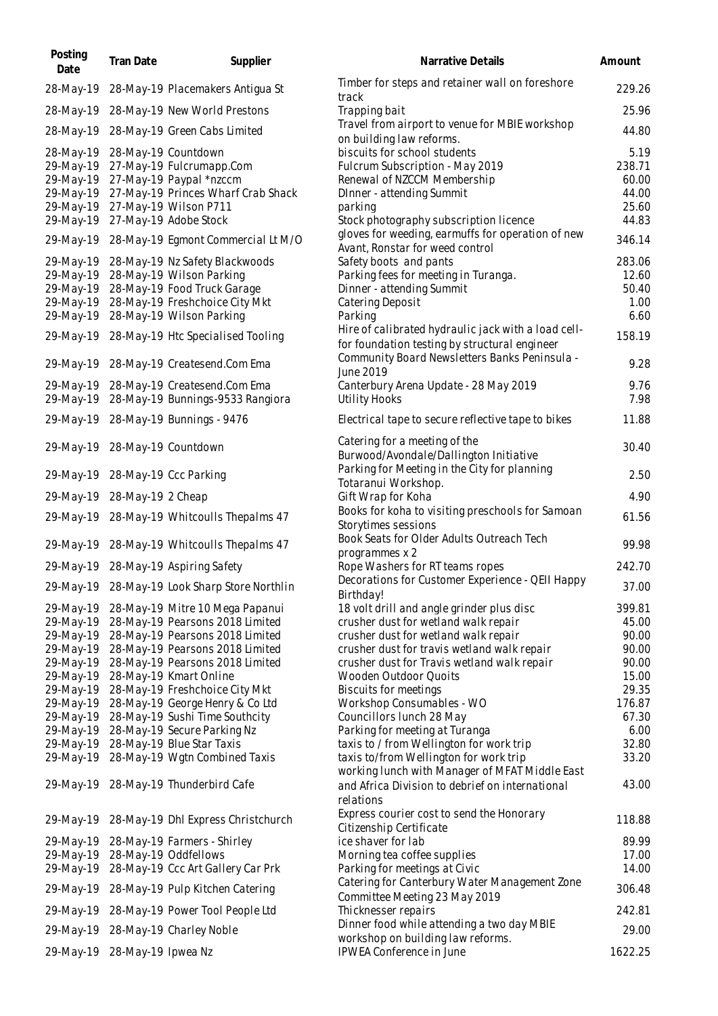| Posting<br>Date | Tran Date                    | Supplier                                      | Narrative Details                                                                    | Amount  |
|-----------------|------------------------------|-----------------------------------------------|--------------------------------------------------------------------------------------|---------|
| 28-May-19       |                              | 28-May-19 Placemakers Antigua St              | Timber for steps and retainer wall on foreshore<br>track                             | 229.26  |
|                 |                              | 28-May-19 28-May-19 New World Prestons        | Trapping bait                                                                        | 25.96   |
| 28-May-19       |                              | 28-May-19 Green Cabs Limited                  | Travel from airport to venue for MBIE workshop<br>on building law reforms.           | 44.80   |
| 28-May-19       |                              | 28-May-19 Countdown                           | biscuits for school students                                                         | 5.19    |
| 29-May-19       |                              | 27-May-19 Fulcrumapp.Com                      | Fulcrum Subscription - May 2019                                                      | 238.71  |
| 29-May-19       |                              | 27-May-19 Paypal *nzccm                       | Renewal of NZCCM Membership                                                          | 60.00   |
| 29-May-19       |                              | 27-May-19 Princes Wharf Crab Shack            | DInner - attending Summit                                                            | 44.00   |
| 29-May-19       |                              | 27-May-19 Wilson P711                         | parking                                                                              | 25.60   |
| 29-May-19       |                              | 27-May-19 Adobe Stock                         | Stock photography subscription licence                                               | 44.83   |
|                 |                              | 29-May-19 28-May-19 Egmont Commercial Lt M/O  | gloves for weeding, earmuffs for operation of new<br>Avant, Ronstar for weed control | 346.14  |
| 29-May-19       |                              | 28-May-19 Nz Safety Blackwoods                | Safety boots and pants                                                               | 283.06  |
| 29-May-19       |                              | 28-May-19 Wilson Parking                      | Parking fees for meeting in Turanga.                                                 | 12.60   |
| 29-May-19       |                              | 28-May-19 Food Truck Garage                   | Dinner - attending Summit                                                            | 50.40   |
| 29-May-19       |                              | 28-May-19 Freshchoice City Mkt                | Catering Deposit                                                                     | 1.00    |
| 29-May-19       |                              | 28-May-19 Wilson Parking                      | Parking                                                                              | 6.60    |
|                 |                              |                                               | Hire of calibrated hydraulic jack with a load cell-                                  |         |
|                 |                              | 29-May-19 28-May-19 Htc Specialised Tooling   | for foundation testing by structural engineer                                        | 158.19  |
|                 |                              | 29-May-19 28-May-19 Createsend.Com Ema        | Community Board Newsletters Banks Peninsula -<br>June 2019                           | 9.28    |
| 29-May-19       |                              | 28-May-19 Createsend.Com Ema                  | Canterbury Arena Update - 28 May 2019                                                | 9.76    |
| 29-May-19       |                              | 28-May-19 Bunnings-9533 Rangiora              | <b>Utility Hooks</b>                                                                 | 7.98    |
|                 |                              | 29-May-19 28-May-19 Bunnings - 9476           | Electrical tape to secure reflective tape to bikes                                   | 11.88   |
|                 |                              | 29-May-19 28-May-19 Countdown                 | Catering for a meeting of the<br>Burwood/Avondale/Dallington Initiative              | 30.40   |
| 29-May-19       |                              | 28-May-19 Ccc Parking                         | Parking for Meeting in the City for planning                                         | 2.50    |
|                 |                              |                                               | Totaranui Workshop.                                                                  | 4.90    |
|                 | 29-May-19 28-May-19 2 Cheap  |                                               | Gift Wrap for Koha                                                                   |         |
|                 |                              | 29-May-19 28-May-19 Whitcoulls Thepalms 47    | Books for koha to visiting preschools for Samoan<br>Storytimes sessions              | 61.56   |
|                 |                              | 29-May-19 28-May-19 Whitcoulls Thepalms 47    | Book Seats for Older Adults Outreach Tech<br>programmes x 2                          | 99.98   |
|                 |                              | 29-May-19 28-May-19 Aspiring Safety           | Rope Washers for RT teams ropes                                                      | 242.70  |
|                 |                              | 29-May-19 28-May-19 Look Sharp Store Northlin | Decorations for Customer Experience - QEII Happy<br>Birthday!                        | 37.00   |
| 29-May-19       |                              | 28-May-19 Mitre 10 Mega Papanui               | 18 volt drill and angle grinder plus disc                                            | 399.81  |
| 29-May-19       |                              | 28-May-19 Pearsons 2018 Limited               | crusher dust for wetland walk repair                                                 | 45.00   |
| 29-May-19       |                              | 28-May-19 Pearsons 2018 Limited               | crusher dust for wetland walk repair                                                 | 90.00   |
| 29-May-19       |                              | 28-May-19 Pearsons 2018 Limited               | crusher dust for travis wetland walk repair                                          | 90.00   |
| 29-May-19       |                              | 28-May-19 Pearsons 2018 Limited               | crusher dust for Travis wetland walk repair                                          | 90.00   |
| 29-May-19       |                              | 28-May-19 Kmart Online                        | Wooden Outdoor Quoits                                                                | 15.00   |
| 29-May-19       |                              | 28-May-19 Freshchoice City Mkt                | <b>Biscuits for meetings</b>                                                         | 29.35   |
| 29-May-19       |                              | 28-May-19 George Henry & Co Ltd               | Workshop Consumables - WO                                                            | 176.87  |
| 29-May-19       |                              | 28-May-19 Sushi Time Southcity                | Councillors lunch 28 May                                                             | 67.30   |
| 29-May-19       |                              | 28-May-19 Secure Parking Nz                   | Parking for meeting at Turanga                                                       | 6.00    |
| 29-May-19       |                              | 28-May-19 Blue Star Taxis                     | taxis to / from Wellington for work trip                                             | 32.80   |
| 29-May-19       |                              | 28-May-19 Wgtn Combined Taxis                 | taxis to/from Wellington for work trip                                               | 33.20   |
|                 |                              |                                               | working lunch with Manager of MFAT Middle East                                       |         |
|                 |                              | 29-May-19 28-May-19 Thunderbird Cafe          | and Africa Division to debrief on international                                      | 43.00   |
|                 |                              | 29-May-19 28-May-19 Dhl Express Christchurch  | relations<br>Express courier cost to send the Honorary                               | 118.88  |
| 29-May-19       |                              | 28-May-19 Farmers - Shirley                   | Citizenship Certificate<br>ice shaver for lab                                        | 89.99   |
| 29-May-19       |                              | 28-May-19 Oddfellows                          | Morning tea coffee supplies                                                          | 17.00   |
| 29-May-19       |                              | 28-May-19 Ccc Art Gallery Car Prk             | Parking for meetings at Civic                                                        | 14.00   |
|                 |                              | 29-May-19 28-May-19 Pulp Kitchen Catering     | Catering for Canterbury Water Management Zone                                        | 306.48  |
|                 |                              |                                               | Committee Meeting 23 May 2019                                                        | 242.81  |
|                 |                              | 29-May-19 28-May-19 Power Tool People Ltd     | Thicknesser repairs                                                                  |         |
|                 |                              | 29-May-19 28-May-19 Charley Noble             | Dinner food while attending a two day MBIE<br>workshop on building law reforms.      | 29.00   |
|                 | 29-May-19 28-May-19 Ipwea Nz |                                               | IPWEA Conference in June                                                             | 1622.25 |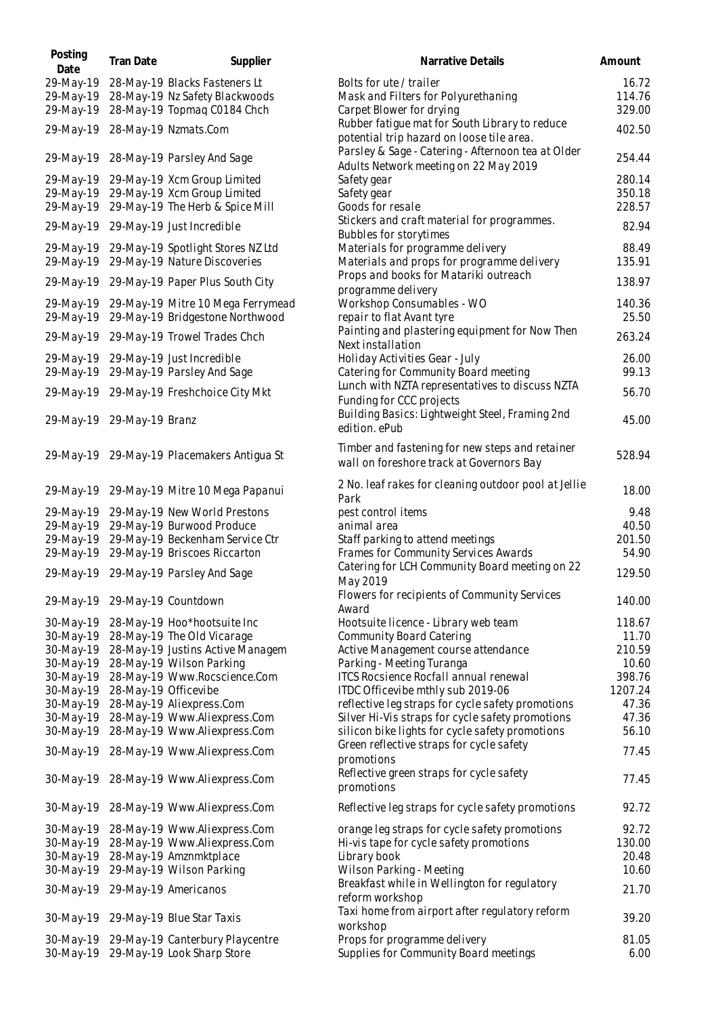| Posting<br>Date           | Tran Date | Supplier                                                                | Narrative Details                                                                           | Amount          |
|---------------------------|-----------|-------------------------------------------------------------------------|---------------------------------------------------------------------------------------------|-----------------|
| 29-May-19                 |           | 28-May-19 Blacks Fasteners Lt                                           | Bolts for ute / trailer                                                                     | 16.72           |
| 29-May-19                 |           | 28-May-19 Nz Safety Blackwoods                                          | Mask and Filters for Polyurethaning                                                         | 114.76          |
| 29-May-19                 |           | 28-May-19 Topmag C0184 Chch                                             | Carpet Blower for drying                                                                    | 329.00          |
| 29-May-19                 |           | 28-May-19 Nzmats.Com                                                    | Rubber fatigue mat for South Library to reduce<br>potential trip hazard on loose tile area. | 402.50          |
| 29-May-19                 |           | 28-May-19 Parsley And Sage                                              | Parsley & Sage - Catering - Afternoon tea at Older<br>Adults Network meeting on 22 May 2019 | 254.44          |
| 29-May-19                 |           | 29-May-19 Xcm Group Limited                                             | Safety gear                                                                                 | 280.14          |
| 29-May-19                 |           | 29-May-19 Xcm Group Limited                                             | Safety gear                                                                                 | 350.18          |
| 29-May-19                 |           | 29-May-19 The Herb & Spice Mill                                         | Goods for resale                                                                            | 228.57          |
| 29-May-19                 |           | 29-May-19 Just Incredible                                               | Stickers and craft material for programmes.<br>Bubbles for storytimes                       | 82.94           |
| 29-May-19                 |           | 29-May-19 Spotlight Stores NZ Ltd                                       | Materials for programme delivery                                                            | 88.49           |
| 29-May-19                 |           | 29-May-19 Nature Discoveries                                            | Materials and props for programme delivery                                                  | 135.91          |
|                           |           |                                                                         | Props and books for Matariki outreach                                                       | 138.97          |
|                           |           | 29-May-19 29-May-19 Paper Plus South City                               | programme delivery                                                                          |                 |
| 29-May-19<br>29-May-19    |           | 29-May-19 Mitre 10 Mega Ferrymead<br>29-May-19 Bridgestone Northwood    | Workshop Consumables - WO<br>repair to flat Avant tyre                                      | 140.36<br>25.50 |
| 29-May-19                 |           | 29-May-19 Trowel Trades Chch                                            | Painting and plastering equipment for Now Then<br>Next installation                         | 263.24          |
| 29-May-19                 |           | 29-May-19 Just Incredible                                               | Holiday Activities Gear - July                                                              | 26.00           |
| 29-May-19                 |           | 29-May-19 Parsley And Sage                                              | Catering for Community Board meeting                                                        | 99.13           |
|                           |           |                                                                         | Lunch with NZTA representatives to discuss NZTA                                             |                 |
|                           |           | 29-May-19 29-May-19 Freshchoice City Mkt                                | Funding for CCC projects                                                                    | 56.70           |
| 29-May-19 29-May-19 Branz |           |                                                                         | Building Basics: Lightweight Steel, Framing 2nd<br>edition. ePub                            | 45.00           |
|                           |           | 29-May-19 29-May-19 Placemakers Antigua St                              | Timber and fastening for new steps and retainer<br>wall on foreshore track at Governors Bay | 528.94          |
| 29-May-19                 |           | 29-May-19 Mitre 10 Mega Papanui                                         | 2 No. leaf rakes for cleaning outdoor pool at Jellie<br>Park                                | 18.00           |
| 29-May-19                 |           | 29-May-19 New World Prestons                                            | pest control items                                                                          | 9.48            |
| 29-May-19                 |           | 29-May-19 Burwood Produce                                               | animal area                                                                                 | 40.50           |
| 29-May-19                 |           | 29-May-19 Beckenham Service Ctr                                         | Staff parking to attend meetings                                                            | 201.50          |
| 29-May-19                 |           | 29-May-19 Briscoes Riccarton                                            | Frames for Community Services Awards                                                        | 54.90           |
|                           |           | 29-May-19 29-May-19 Parsley And Sage                                    | Catering for LCH Community Board meeting on 22<br>May 2019                                  | 129.50          |
|                           |           | 29-May-19 29-May-19 Countdown                                           | Flowers for recipients of Community Services<br>Award                                       | 140.00          |
| 30-May-19                 |           | 28-May-19 Hoo*hootsuite Inc                                             | Hootsuite licence - Library web team                                                        | 118.67          |
| 30-May-19                 |           | 28-May-19 The Old Vicarage                                              | Community Board Catering                                                                    | 11.70           |
| 30-May-19                 |           | 28-May-19 Justins Active Managem                                        | Active Management course attendance                                                         | 210.59          |
| 30-May-19                 |           | 28-May-19 Wilson Parking                                                | Parking - Meeting Turanga                                                                   | 10.60           |
| 30-May-19                 |           | 28-May-19 Www.Rocscience.Com                                            | ITCS Rocsience Rocfall annual renewal                                                       | 398.76          |
| 30-May-19                 |           | 28-May-19 Officevibe                                                    | ITDC Officevibe mthly sub 2019-06                                                           | 1207.24         |
| 30-May-19                 |           | 28-May-19 Aliexpress.Com                                                | reflective leg straps for cycle safety promotions                                           | 47.36           |
| 30-May-19                 |           | 28-May-19 Www.Aliexpress.Com                                            | Silver Hi-Vis straps for cycle safety promotions                                            | 47.36           |
| 30-May-19                 |           | 28-May-19 Www.Aliexpress.Com                                            | silicon bike lights for cycle safety promotions                                             | 56.10           |
| 30-May-19                 |           | 28-May-19 Www.Aliexpress.Com                                            | Green reflective straps for cycle safety<br>promotions                                      | 77.45           |
|                           |           | 30-May-19 28-May-19 Www.Aliexpress.Com                                  | Reflective green straps for cycle safety<br>promotions                                      | 77.45           |
|                           |           | 30-May-19 28-May-19 Www.Aliexpress.Com                                  | Reflective leg straps for cycle safety promotions                                           | 92.72           |
| 30-May-19                 |           | 28-May-19 Www.Aliexpress.Com                                            | orange leg straps for cycle safety promotions                                               | 92.72           |
| 30-May-19                 |           | 28-May-19 Www.Aliexpress.Com                                            | Hi-vis tape for cycle safety promotions                                                     | 130.00          |
| 30-May-19                 |           | 28-May-19 Amznmktplace                                                  | Library book                                                                                | 20.48           |
| 30-May-19                 |           | 29-May-19 Wilson Parking                                                | Wilson Parking - Meeting                                                                    | 10.60           |
|                           |           | 30-May-19 29-May-19 Americanos                                          | Breakfast while in Wellington for regulatory                                                | 21.70           |
| 30-May-19                 |           | 29-May-19 Blue Star Taxis                                               | reform workshop<br>Taxi home from airport after regulatory reform                           | 39.20           |
|                           |           |                                                                         | workshop                                                                                    |                 |
| 30-May-19                 |           | 29-May-19 Canterbury Playcentre<br>30-May-19 29-May-19 Look Sharp Store | Props for programme delivery<br>Supplies for Community Board meetings                       | 81.05<br>6.00   |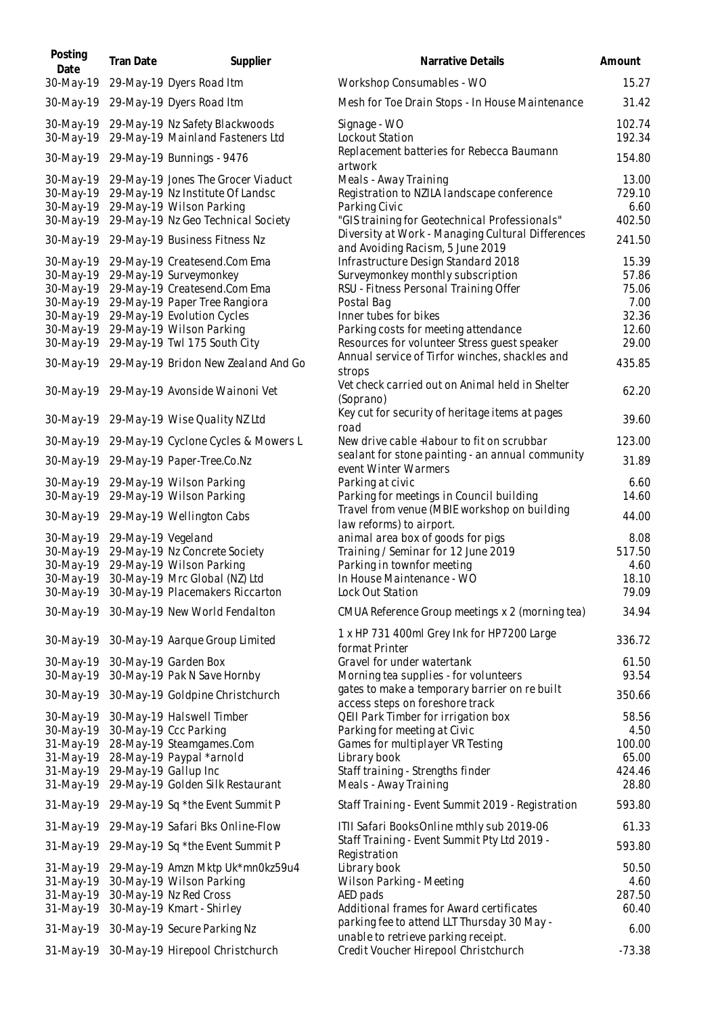| Posting<br>Date        | Tran Date          | Supplier                                                           | Narrative Details                                                                                  | Amount           |
|------------------------|--------------------|--------------------------------------------------------------------|----------------------------------------------------------------------------------------------------|------------------|
| 30-May-19              |                    | 29-May-19 Dyers Road Itm                                           | Workshop Consumables - WO                                                                          | 15.27            |
| 30-May-19              |                    | 29-May-19 Dyers Road Itm                                           | Mesh for Toe Drain Stops - In House Maintenance                                                    | 31.42            |
| 30-May-19<br>30-May-19 |                    | 29-May-19 Nz Safety Blackwoods<br>29-May-19 Mainland Fasteners Ltd | Signage - WO<br>Lockout Station                                                                    | 102.74<br>192.34 |
| 30-May-19              |                    | 29-May-19 Bunnings - 9476                                          | Replacement batteries for Rebecca Baumann                                                          | 154.80           |
| 30-May-19              |                    | 29-May-19 Jones The Grocer Viaduct                                 | artwork<br>Meals - Away Training                                                                   | 13.00            |
| 30-May-19              |                    | 29-May-19 Nz Institute Of Landsc                                   | Registration to NZILA landscape conference                                                         | 729.10           |
| 30-May-19              |                    | 29-May-19 Wilson Parking                                           | Parking Civic                                                                                      | 6.60             |
| 30-May-19              |                    | 29-May-19 Nz Geo Technical Society                                 | "GIS training for Geotechnical Professionals"<br>Diversity at Work - Managing Cultural Differences | 402.50           |
| 30-May-19              |                    | 29-May-19 Business Fitness Nz                                      | and Avoiding Racism, 5 June 2019                                                                   | 241.50           |
| 30-May-19              |                    | 29-May-19 Createsend.Com Ema                                       | Infrastructure Design Standard 2018                                                                | 15.39            |
| 30-May-19<br>30-May-19 |                    | 29-May-19 Surveymonkey<br>29-May-19 Createsend.Com Ema             | Surveymonkey monthly subscription<br>RSU - Fitness Personal Training Offer                         | 57.86<br>75.06   |
| 30-May-19              |                    | 29-May-19 Paper Tree Rangiora                                      | Postal Bag                                                                                         | 7.00             |
| 30-May-19              |                    | 29-May-19 Evolution Cycles                                         | Inner tubes for bikes                                                                              | 32.36            |
| 30-May-19              |                    | 29-May-19 Wilson Parking                                           | Parking costs for meeting attendance                                                               | 12.60            |
| 30-May-19              |                    | 29-May-19 Twl 175 South City                                       | Resources for volunteer Stress guest speaker                                                       | 29.00            |
|                        |                    | 30-May-19 29-May-19 Bridon New Zealand And Go                      | Annual service of Tirfor winches, shackles and<br>strops                                           | 435.85           |
|                        |                    | 30-May-19 29-May-19 Avonside Wainoni Vet                           | Vet check carried out on Animal held in Shelter                                                    | 62.20            |
| 30-May-19              |                    | 29-May-19 Wise Quality NZ Ltd                                      | (Soprano)<br>Key cut for security of heritage items at pages                                       | 39.60            |
| 30-May-19              |                    | 29-May-19 Cyclone Cycles & Mowers L                                | road<br>New drive cable +labour to fit on scrubbar                                                 | 123.00           |
| 30-May-19              |                    | 29-May-19 Paper-Tree.Co.Nz                                         | sealant for stone painting - an annual community<br>event Winter Warmers                           | 31.89            |
| 30-May-19              |                    | 29-May-19 Wilson Parking                                           | Parking at civic                                                                                   | 6.60             |
| 30-May-19              |                    | 29-May-19 Wilson Parking                                           | Parking for meetings in Council building                                                           | 14.60            |
| 30-May-19              |                    | 29-May-19 Wellington Cabs                                          | Travel from venue (MBIE workshop on building<br>law reforms) to airport.                           | 44.00            |
| 30-May-19              | 29-May-19 Vegeland |                                                                    | animal area box of goods for pigs                                                                  | 8.08             |
| 30-May-19              |                    | 29-May-19 Nz Concrete Society                                      | Training / Seminar for 12 June 2019                                                                | 517.50           |
| 30-May-19              |                    | 29-May-19 Wilson Parking                                           | Parking in townfor meeting                                                                         | 4.60             |
| 30-May-19              |                    | 30-May-19 Mrc Global (NZ) Ltd                                      | In House Maintenance - WO                                                                          | 18.10            |
|                        |                    | 30-May-19 30-May-19 Placemakers Riccarton                          | Lock Out Station                                                                                   | 79.09            |
|                        |                    | 30-May-19 30-May-19 New World Fendalton                            | CMUA Reference Group meetings x 2 (morning tea)                                                    | 34.94            |
|                        |                    | 30-May-19 30-May-19 Aarque Group Limited                           | 1 x HP 731 400ml Grey Ink for HP7200 Large<br>format Printer                                       | 336.72           |
| 30-May-19              |                    | 30-May-19 Garden Box                                               | Gravel for under watertank                                                                         | 61.50            |
| 30-May-19              |                    | 30-May-19 Pak N Save Hornby                                        | Morning tea supplies - for volunteers                                                              | 93.54            |
| 30-May-19              |                    | 30-May-19 Goldpine Christchurch                                    | gates to make a temporary barrier on re built                                                      | 350.66           |
| 30-May-19              |                    | 30-May-19 Halswell Timber                                          | access steps on foreshore track<br>QEII Park Timber for irrigation box                             | 58.56            |
| 30-May-19              |                    | 30-May-19 Ccc Parking                                              | Parking for meeting at Civic                                                                       | 4.50             |
| 31-May-19              |                    | 28-May-19 Steamgames.Com                                           | Games for multiplayer VR Testing                                                                   | 100.00           |
| 31-May-19              |                    | 28-May-19 Paypal *arnold                                           | Library book                                                                                       | 65.00            |
| 31-May-19              |                    | 29-May-19 Gallup Inc                                               | Staff training - Strengths finder                                                                  | 424.46           |
| 31-May-19              |                    | 29-May-19 Golden Silk Restaurant                                   | Meals - Away Training                                                                              | 28.80            |
| 31-May-19              |                    | 29-May-19 Sq *the Event Summit P                                   | Staff Training - Event Summit 2019 - Registration                                                  | 593.80           |
|                        |                    | 31-May-19 29-May-19 Safari Bks Online-Flow                         | ITII Safari BooksOnline mthly sub 2019-06                                                          | 61.33            |
| 31-May-19              |                    | 29-May-19 Sq *the Event Summit P                                   | Staff Training - Event Summit Pty Ltd 2019 -<br>Registration                                       | 593.80           |
| 31-May-19              |                    | 29-May-19 Amzn Mktp Uk*mn0kz59u4                                   | Library book                                                                                       | 50.50            |
| 31-May-19              |                    | 30-May-19 Wilson Parking                                           | Wilson Parking - Meeting                                                                           | 4.60             |
| 31-May-19              |                    | 30-May-19 Nz Red Cross                                             | AED pads                                                                                           | 287.50           |
| 31-May-19              |                    | 30-May-19 Kmart - Shirley                                          | Additional frames for Award certificates<br>parking fee to attend LLT Thursday 30 May -            | 60.40            |
| 31-May-19              |                    | 30-May-19 Secure Parking Nz                                        | unable to retrieve parking receipt.                                                                | 6.00             |
|                        |                    | 31-May-19 30-May-19 Hirepool Christchurch                          | Credit Voucher Hirepool Christchurch                                                               | $-73.38$         |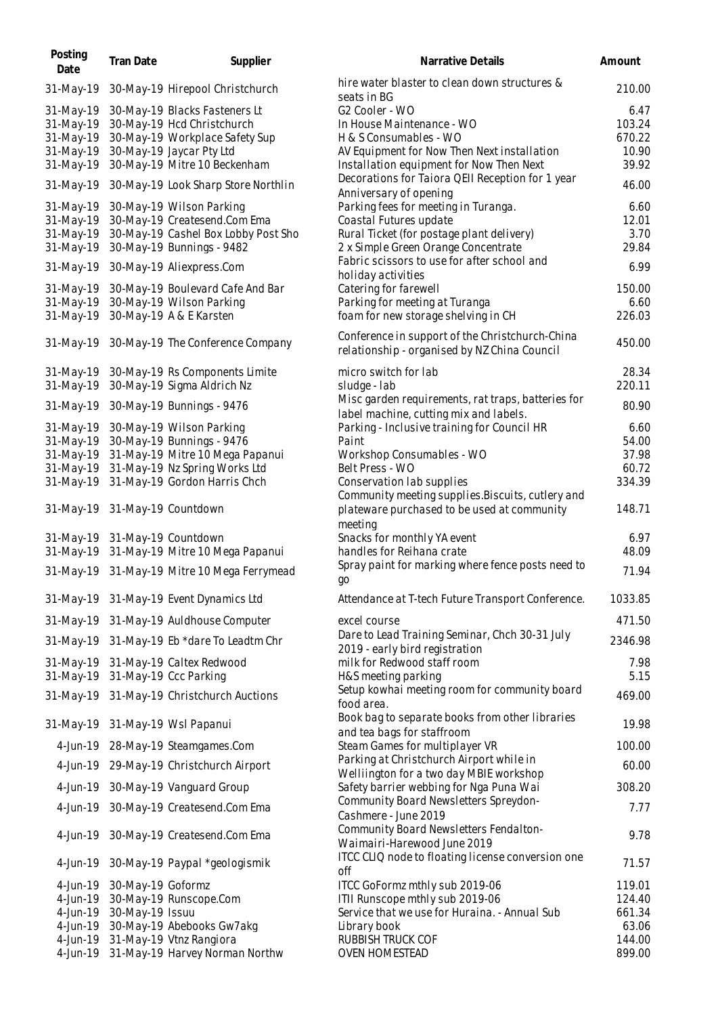| Posting<br>Date | Tran Date         | Supplier                                    | Narrative Details                                                                  | Amount  |
|-----------------|-------------------|---------------------------------------------|------------------------------------------------------------------------------------|---------|
| 31-May-19       |                   | 30-May-19 Hirepool Christchurch             | hire water blaster to clean down structures &<br>seats in BG                       | 210.00  |
| 31-May-19       |                   | 30-May-19 Blacks Fasteners Lt               | G2 Cooler - WO                                                                     | 6.47    |
| 31-May-19       |                   | 30-May-19 Hcd Christchurch                  | In House Maintenance - WO                                                          | 103.24  |
| 31-May-19       |                   | 30-May-19 Workplace Safety Sup              | H & S Consumables - WO                                                             | 670.22  |
| 31-May-19       |                   | 30-May-19 Jaycar Pty Ltd                    | AV Equipment for Now Then Next installation                                        | 10.90   |
| 31-May-19       |                   | 30-May-19 Mitre 10 Beckenham                | Installation equipment for Now Then Next                                           | 39.92   |
| 31-May-19       |                   | 30-May-19 Look Sharp Store Northlin         | Decorations for Taiora QEII Reception for 1 year                                   | 46.00   |
|                 |                   |                                             | Anniversary of opening                                                             |         |
| 31-May-19       |                   | 30-May-19 Wilson Parking                    | Parking fees for meeting in Turanga.                                               | 6.60    |
| 31-May-19       |                   | 30-May-19 Createsend.Com Ema                | Coastal Futures update                                                             | 12.01   |
| 31-May-19       |                   | 30-May-19 Cashel Box Lobby Post Sho         | Rural Ticket (for postage plant delivery)                                          | 3.70    |
| 31-May-19       |                   | 30-May-19 Bunnings - 9482                   | 2 x Simple Green Orange Concentrate                                                | 29.84   |
| 31-May-19       |                   | 30-May-19 Aliexpress.Com                    | Fabric scissors to use for after school and<br>holiday activities                  | 6.99    |
| 31-May-19       |                   | 30-May-19 Boulevard Cafe And Bar            | Catering for farewell                                                              | 150.00  |
| 31-May-19       |                   | 30-May-19 Wilson Parking                    | Parking for meeting at Turanga                                                     | 6.60    |
| 31-May-19       |                   | 30-May-19 A & E Karsten                     | foam for new storage shelving in CH                                                | 226.03  |
|                 |                   | 30-May-19 The Conference Company            | Conference in support of the Christchurch-China                                    | 450.00  |
| 31-May-19       |                   |                                             | relationship - organised by NZ China Council                                       |         |
| 31-May-19       |                   | 30-May-19 Rs Components Limite              | micro switch for lab                                                               | 28.34   |
| 31-May-19       |                   | 30-May-19 Sigma Aldrich Nz                  | sludge - lab                                                                       | 220.11  |
| 31-May-19       |                   | 30-May-19 Bunnings - 9476                   | Misc garden requirements, rat traps, batteries for                                 | 80.90   |
|                 |                   |                                             | label machine, cutting mix and labels.                                             |         |
| 31-May-19       |                   | 30-May-19 Wilson Parking                    | Parking - Inclusive training for Council HR                                        | 6.60    |
| 31-May-19       |                   | 30-May-19 Bunnings - 9476                   | Paint                                                                              | 54.00   |
| 31-May-19       |                   | 31-May-19 Mitre 10 Mega Papanui             | Workshop Consumables - WO                                                          | 37.98   |
| 31-May-19       |                   | 31-May-19 Nz Spring Works Ltd               | Belt Press - WO                                                                    | 60.72   |
| 31-May-19       |                   | 31-May-19 Gordon Harris Chch                | Conservation lab supplies<br>Community meeting supplies. Biscuits, cutlery and     | 334.39  |
| 31-May-19       |                   | 31-May-19 Countdown                         | plateware purchased to be used at community                                        | 148.71  |
|                 |                   |                                             | meeting                                                                            |         |
| 31-May-19       |                   | 31-May-19 Countdown                         | Snacks for monthly YA event                                                        | 6.97    |
| 31-May-19       |                   | 31-May-19 Mitre 10 Mega Papanui             | handles for Reihana crate                                                          | 48.09   |
|                 |                   | 31-May-19 31-May-19 Mitre 10 Mega Ferrymead | Spray paint for marking where fence posts need to<br>go                            | 71.94   |
|                 |                   | 31-May-19 31-May-19 Event Dynamics Ltd      | Attendance at T-tech Future Transport Conference.                                  | 1033.85 |
|                 |                   | 31-May-19 31-May-19 Auldhouse Computer      | excel course                                                                       | 471.50  |
|                 |                   | 31-May-19 31-May-19 Eb *dare To Leadtm Chr  | Dare to Lead Training Seminar, Chch 30-31 July                                     | 2346.98 |
|                 |                   |                                             | 2019 - early bird registration                                                     |         |
| 31-May-19       |                   | 31-May-19 Caltex Redwood                    | milk for Redwood staff room                                                        | 7.98    |
| 31-May-19       |                   | 31-May-19 Ccc Parking                       | H&S meeting parking                                                                | 5.15    |
|                 |                   | 31-May-19 31-May-19 Christchurch Auctions   | Setup kowhai meeting room for community board<br>food area.                        | 469.00  |
|                 |                   | 31-May-19 31-May-19 Wsl Papanui             | Book bag to separate books from other libraries<br>and tea bags for staffroom      | 19.98   |
|                 |                   | 4-Jun-19 28-May-19 Steamgames.Com           | Steam Games for multiplayer VR                                                     | 100.00  |
|                 |                   | 4-Jun-19 29-May-19 Christchurch Airport     | Parking at Christchurch Airport while in                                           | 60.00   |
|                 |                   | 4-Jun-19 30-May-19 Vanguard Group           | Welliington for a two day MBIE workshop<br>Safety barrier webbing for Nga Puna Wai | 308.20  |
|                 |                   |                                             | Community Board Newsletters Spreydon-                                              |         |
| 4-Jun-19        |                   | 30-May-19 Createsend.Com Ema                | Cashmere - June 2019                                                               | 7.77    |
|                 |                   | 4-Jun-19 30-May-19 Createsend.Com Ema       | Community Board Newsletters Fendalton-<br>Waimairi-Harewood June 2019              | 9.78    |
|                 |                   | 4-Jun-19 30-May-19 Paypal *geologismik      | ITCC CLIQ node to floating license conversion one<br>off                           | 71.57   |
| 4-Jun-19        | 30-May-19 Goformz |                                             | ITCC GoFormz mthly sub 2019-06                                                     | 119.01  |
| 4-Jun-19        |                   | 30-May-19 Runscope.Com                      | ITII Runscope mthly sub 2019-06                                                    | 124.40  |
| 4-Jun-19        | 30-May-19 Issuu   |                                             | Service that we use for Huraina. - Annual Sub                                      | 661.34  |
| 4-Jun-19        |                   | 30-May-19 Abebooks Gw7akg                   | Library book                                                                       | 63.06   |
| 4-Jun-19        |                   | 31-May-19 Vtnz Rangiora                     | RUBBISH TRUCK COF                                                                  | 144.00  |
| 4-Jun-19        |                   | 31-May-19 Harvey Norman Northw              | OVEN HOMESTEAD                                                                     | 899.00  |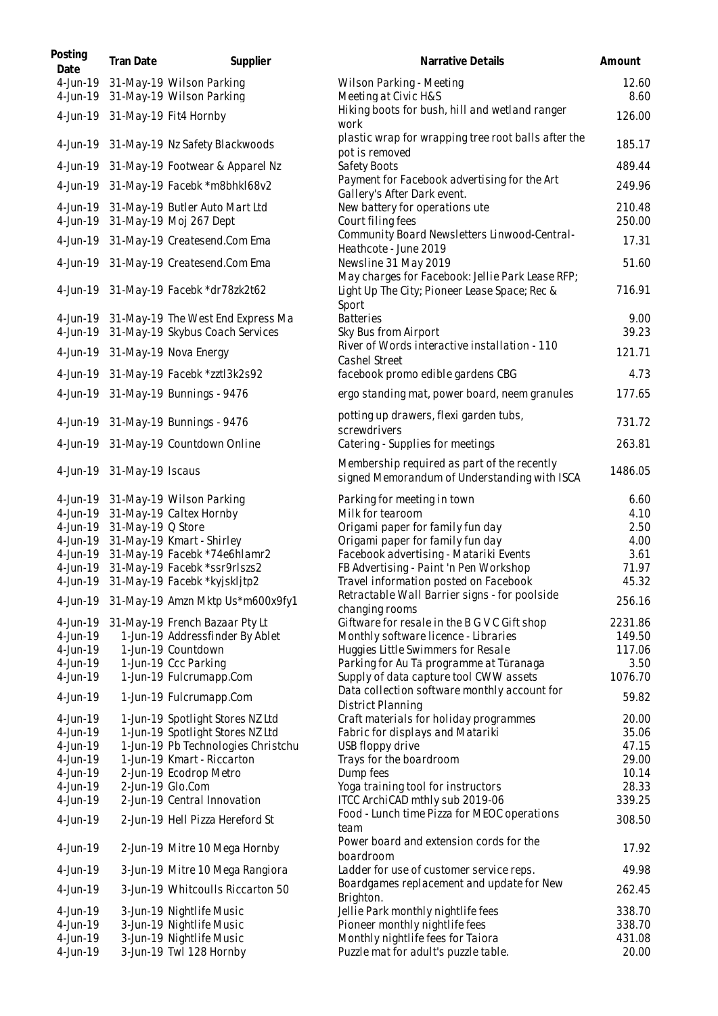| Posting<br>Date | Tran Date                  | Supplier                                                                   | Narrative Details                                                                                          | Amount           |
|-----------------|----------------------------|----------------------------------------------------------------------------|------------------------------------------------------------------------------------------------------------|------------------|
|                 |                            | 4-Jun-19 31-May-19 Wilson Parking<br>4-Jun-19 31-May-19 Wilson Parking     | Wilson Parking - Meeting<br>Meeting at Civic H&S                                                           | 12.60<br>8.60    |
|                 |                            | 4-Jun-19 31-May-19 Fit4 Hornby                                             | Hiking boots for bush, hill and wetland ranger<br>work                                                     | 126.00           |
|                 |                            | 4-Jun-19 31-May-19 Nz Safety Blackwoods                                    | plastic wrap for wrapping tree root balls after the<br>pot is removed                                      | 185.17           |
|                 |                            | 4-Jun-19 31-May-19 Footwear & Apparel Nz                                   | Safety Boots                                                                                               | 489.44           |
|                 |                            | 4-Jun-19 31-May-19 Facebk *m8bhkI68v2                                      | Payment for Facebook advertising for the Art<br>Gallery's After Dark event.                                | 249.96           |
|                 |                            | 4-Jun-19 31-May-19 Butler Auto Mart Ltd<br>4-Jun-19 31-May-19 Moj 267 Dept | New battery for operations ute<br>Court filing fees                                                        | 210.48<br>250.00 |
|                 |                            | 4-Jun-19 31-May-19 Createsend.Com Ema                                      | Community Board Newsletters Linwood-Central-<br>Heathcote - June 2019                                      | 17.31            |
|                 |                            | 4-Jun-19 31-May-19 Createsend.Com Ema                                      | Newsline 31 May 2019                                                                                       | 51.60            |
|                 |                            | 4-Jun-19 31-May-19 Facebk *dr78zk2t62                                      | May charges for Facebook: Jellie Park Lease RFP;<br>Light Up The City; Pioneer Lease Space; Rec &<br>Sport | 716.91           |
|                 |                            | 4-Jun-19 31-May-19 The West End Express Ma                                 | <b>Batteries</b>                                                                                           | 9.00             |
|                 |                            | 4-Jun-19 31-May-19 Skybus Coach Services                                   | Sky Bus from Airport                                                                                       | 39.23            |
|                 |                            | 4-Jun-19 31-May-19 Nova Energy                                             | River of Words interactive installation - 110<br>Cashel Street                                             | 121.71           |
|                 |                            | 4-Jun-19 31-May-19 Facebk *zztl3k2s92                                      | facebook promo edible gardens CBG                                                                          | 4.73             |
|                 |                            | 4-Jun-19 31-May-19 Bunnings - 9476                                         | ergo standing mat, power board, neem granules                                                              | 177.65           |
|                 |                            | 4-Jun-19 31-May-19 Bunnings - 9476                                         | potting up drawers, flexi garden tubs,<br>screwdrivers                                                     | 731.72           |
|                 |                            | 4-Jun-19 31-May-19 Countdown Online                                        | Catering - Supplies for meetings                                                                           | 263.81           |
|                 | 4-Jun-19 31-May-19 Iscaus  |                                                                            | Membership required as part of the recently<br>signed Memorandum of Understanding with ISCA                | 1486.05          |
|                 |                            | 4-Jun-19 31-May-19 Wilson Parking                                          | Parking for meeting in town                                                                                | 6.60             |
|                 |                            | 4-Jun-19 31-May-19 Caltex Hornby                                           | Milk for tearoom                                                                                           | 4.10             |
|                 | 4-Jun-19 31-May-19 Q Store | 4-Jun-19 31-May-19 Kmart - Shirley                                         | Origami paper for family fun day<br>Origami paper for family fun day                                       | 2.50<br>4.00     |
|                 |                            | 4-Jun-19 31-May-19 Facebk *74e6hlamr2                                      | Facebook advertising - Matariki Events                                                                     | 3.61             |
|                 |                            | 4-Jun-19 31-May-19 Facebk *ssr9rlszs2                                      | FB Advertising - Paint 'n Pen Workshop                                                                     | 71.97            |
| 4-Jun-19        |                            | 31-May-19 Facebk *kyjskljtp2                                               | Travel information posted on Facebook                                                                      | 45.32            |
|                 |                            | 4-Jun-19 31-May-19 Amzn Mktp Us*m600x9fy1                                  | Retractable Wall Barrier signs - for poolside<br>changing rooms                                            | 256.16           |
| 4-Jun-19        |                            | 31-May-19 French Bazaar Pty Lt                                             | Giftware for resale in the B G V C Gift shop                                                               | 2231.86          |
| 4-Jun-19        |                            | 1-Jun-19 Addressfinder By Ablet                                            | Monthly software licence - Libraries                                                                       | 149.50           |
| 4-Jun-19        |                            | 1-Jun-19 Countdown                                                         | Huggies Little Swimmers for Resale                                                                         | 117.06           |
| 4-Jun-19        |                            | 1-Jun-19 Ccc Parking                                                       | Parking for Au Tā programme at Tūranaga                                                                    | 3.50             |
| 4-Jun-19        |                            | 1-Jun-19 Fulcrumapp.Com                                                    | Supply of data capture tool CWW assets                                                                     | 1076.70          |
| 4-Jun-19        |                            | 1-Jun-19 Fulcrumapp.Com                                                    | Data collection software monthly account for<br>District Planning                                          | 59.82            |
| 4-Jun-19        |                            | 1-Jun-19 Spotlight Stores NZ Ltd                                           | Craft materials for holiday programmes                                                                     | 20.00            |
| 4-Jun-19        |                            | 1-Jun-19 Spotlight Stores NZ Ltd                                           | Fabric for displays and Matariki                                                                           | 35.06            |
| 4-Jun-19        |                            | 1-Jun-19 Pb Technologies Christchu                                         | USB floppy drive                                                                                           | 47.15            |
| 4-Jun-19        |                            | 1-Jun-19 Kmart - Riccarton                                                 | Trays for the boardroom                                                                                    | 29.00            |
| 4-Jun-19        |                            | 2-Jun-19 Ecodrop Metro                                                     | Dump fees                                                                                                  | 10.14            |
| 4-Jun-19        |                            | 2-Jun-19 Glo.Com                                                           | Yoga training tool for instructors                                                                         | 28.33            |
| 4-Jun-19        |                            | 2-Jun-19 Central Innovation                                                | ITCC ArchiCAD mthly sub 2019-06                                                                            | 339.25           |
| 4-Jun-19        |                            | 2-Jun-19 Hell Pizza Hereford St                                            | Food - Lunch time Pizza for MEOC operations<br>team                                                        | 308.50           |
| 4-Jun-19        |                            | 2-Jun-19 Mitre 10 Mega Hornby                                              | Power board and extension cords for the<br>boardroom                                                       | 17.92            |
| 4-Jun-19        |                            | 3-Jun-19 Mitre 10 Mega Rangiora                                            | Ladder for use of customer service reps.                                                                   | 49.98            |
| 4-Jun-19        |                            | 3-Jun-19 Whitcoulls Riccarton 50                                           | Boardgames replacement and update for New<br>Brighton.                                                     | 262.45           |
| 4-Jun-19        |                            | 3-Jun-19 Nightlife Music                                                   | Jellie Park monthly nightlife fees                                                                         | 338.70           |
| 4-Jun-19        |                            | 3-Jun-19 Nightlife Music                                                   | Pioneer monthly nightlife fees                                                                             | 338.70           |
| 4-Jun-19        |                            | 3-Jun-19 Nightlife Music                                                   | Monthly nightlife fees for Taiora                                                                          | 431.08           |
| 4-Jun-19        |                            | 3-Jun-19 Twl 128 Hornby                                                    | Puzzle mat for adult's puzzle table.                                                                       | 20.00            |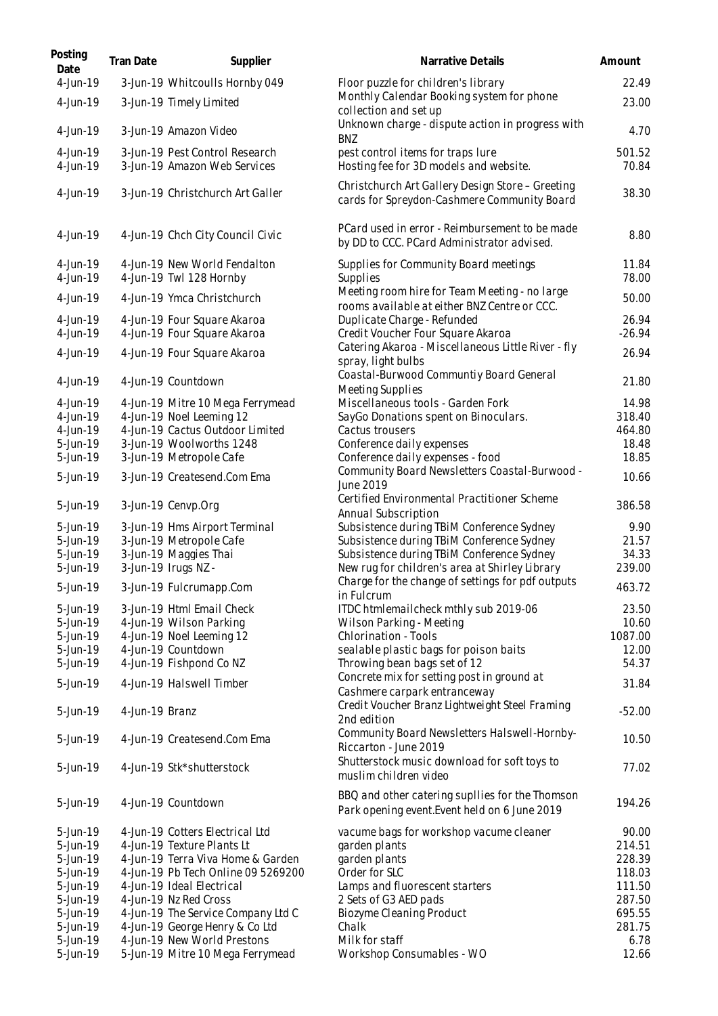| Posting<br>Date      | <b>Tran Date</b> | Supplier                                                        | Narrative Details                                                                                | Amount           |
|----------------------|------------------|-----------------------------------------------------------------|--------------------------------------------------------------------------------------------------|------------------|
| 4-Jun-19             |                  | 3-Jun-19 Whitcoulls Hornby 049                                  | Floor puzzle for children's library                                                              | 22.49            |
| 4-Jun-19             |                  | 3-Jun-19 Timely Limited                                         | Monthly Calendar Booking system for phone<br>collection and set up                               | 23.00            |
| 4-Jun-19             |                  | 3-Jun-19 Amazon Video                                           | Unknown charge - dispute action in progress with<br><b>BNZ</b>                                   | 4.70             |
| 4-Jun-19<br>4-Jun-19 |                  | 3-Jun-19 Pest Control Research<br>3-Jun-19 Amazon Web Services  | pest control items for traps lure<br>Hosting fee for 3D models and website.                      | 501.52<br>70.84  |
| 4-Jun-19             |                  | 3-Jun-19 Christchurch Art Galler                                | Christchurch Art Gallery Design Store - Greeting<br>cards for Spreydon-Cashmere Community Board  | 38.30            |
| 4-Jun-19             |                  | 4-Jun-19 Chch City Council Civic                                | PCard used in error - Reimbursement to be made<br>by DD to CCC. PCard Administrator advised.     | 8.80             |
| 4-Jun-19<br>4-Jun-19 |                  | 4-Jun-19 New World Fendalton<br>4-Jun-19 Twl 128 Hornby         | Supplies for Community Board meetings<br>Supplies                                                | 11.84<br>78.00   |
| 4-Jun-19             |                  | 4-Jun-19 Ymca Christchurch                                      | Meeting room hire for Team Meeting - no large                                                    | 50.00            |
| 4-Jun-19             |                  | 4-Jun-19 Four Square Akaroa                                     | rooms available at either BNZ Centre or CCC.<br>Duplicate Charge - Refunded                      | 26.94            |
| 4-Jun-19             |                  | 4-Jun-19 Four Square Akaroa                                     | Credit Voucher Four Square Akaroa                                                                | $-26.94$         |
| 4-Jun-19             |                  | 4-Jun-19 Four Square Akaroa                                     | Catering Akaroa - Miscellaneous Little River - fly<br>spray, light bulbs                         | 26.94            |
| $4$ -Jun-19          |                  | 4-Jun-19 Countdown                                              | Coastal-Burwood Communtiy Board General<br>Meeting Supplies                                      | 21.80            |
| 4-Jun-19             |                  | 4-Jun-19 Mitre 10 Mega Ferrymead                                | Miscellaneous tools - Garden Fork                                                                | 14.98            |
| 4-Jun-19             |                  | 4-Jun-19 Noel Leeming 12                                        | SayGo Donations spent on Binoculars.                                                             | 318.40           |
| 4-Jun-19             |                  | 4-Jun-19 Cactus Outdoor Limited                                 | Cactus trousers                                                                                  | 464.80           |
| 5-Jun-19             |                  | 3-Jun-19 Woolworths 1248                                        | Conference daily expenses                                                                        | 18.48            |
| 5-Jun-19             |                  | 3-Jun-19 Metropole Cafe                                         | Conference daily expenses - food<br>Community Board Newsletters Coastal-Burwood -                | 18.85            |
| 5-Jun-19             |                  | 3-Jun-19 Createsend.Com Ema                                     | June 2019<br>Certified Environmental Practitioner Scheme                                         | 10.66            |
| 5-Jun-19             |                  | 3-Jun-19 Cenvp.Org                                              | Annual Subscription                                                                              | 386.58           |
| 5-Jun-19             |                  | 3-Jun-19 Hms Airport Terminal                                   | Subsistence during TBiM Conference Sydney                                                        | 9.90             |
| 5-Jun-19             |                  | 3-Jun-19 Metropole Cafe                                         | Subsistence during TBiM Conference Sydney                                                        | 21.57            |
| 5-Jun-19             |                  | 3-Jun-19 Maggies Thai                                           | Subsistence during TBiM Conference Sydney                                                        | 34.33            |
| 5-Jun-19             |                  | 3-Jun-19 Irugs NZ -                                             | New rug for children's area at Shirley Library                                                   | 239.00           |
| 5-Jun-19             |                  | 3-Jun-19 Fulcrumapp.Com                                         | Charge for the change of settings for pdf outputs<br>in Fulcrum                                  | 463.72           |
| 5-Jun-19             |                  | 3-Jun-19 Html Email Check                                       | ITDC htmlemailcheck mthly sub 2019-06                                                            | 23.50            |
| 5-Jun-19             |                  | 4-Jun-19 Wilson Parking                                         | Wilson Parking - Meeting<br><b>Chlorination - Tools</b>                                          | 10.60            |
| 5-Jun-19<br>5-Jun-19 |                  | 4-Jun-19 Noel Leeming 12<br>4-Jun-19 Countdown                  | sealable plastic bags for poison baits                                                           | 1087.00<br>12.00 |
| 5-Jun-19             |                  | 4-Jun-19 Fishpond Co NZ                                         | Throwing bean bags set of 12                                                                     | 54.37            |
|                      |                  |                                                                 | Concrete mix for setting post in ground at                                                       |                  |
| 5-Jun-19             |                  | 4-Jun-19 Halswell Timber                                        | Cashmere carpark entranceway<br>Credit Voucher Branz Lightweight Steel Framing                   | 31.84            |
| 5-Jun-19             | 4-Jun-19 Branz   |                                                                 | 2nd edition                                                                                      | $-52.00$         |
| 5-Jun-19             |                  | 4-Jun-19 Createsend.Com Ema                                     | Community Board Newsletters Halswell-Hornby-<br>Riccarton - June 2019                            | 10.50            |
| 5-Jun-19             |                  | 4-Jun-19 Stk*shutterstock                                       | Shutterstock music download for soft toys to<br>muslim children video                            | 77.02            |
| 5-Jun-19             |                  | 4-Jun-19 Countdown                                              | BBQ and other catering supliies for the Thomson<br>Park opening event. Event held on 6 June 2019 | 194.26           |
| 5-Jun-19             |                  | 4-Jun-19 Cotters Electrical Ltd                                 | vacume bags for workshop vacume cleaner                                                          | 90.00            |
| 5-Jun-19             |                  | 4-Jun-19 Texture Plants Lt                                      | garden plants                                                                                    | 214.51           |
| 5-Jun-19             |                  | 4-Jun-19 Terra Viva Home & Garden                               | garden plants                                                                                    | 228.39           |
| 5-Jun-19             |                  | 4-Jun-19 Pb Tech Online 09 5269200                              | Order for SLC                                                                                    | 118.03           |
| 5-Jun-19             |                  | 4-Jun-19 Ideal Electrical                                       | Lamps and fluorescent starters                                                                   | 111.50           |
| 5-Jun-19             |                  | 4-Jun-19 Nz Red Cross                                           | 2 Sets of G3 AED pads                                                                            | 287.50           |
| 5-Jun-19             |                  | 4-Jun-19 The Service Company Ltd C                              | Biozyme Cleaning Product                                                                         | 695.55           |
| 5-Jun-19             |                  | 4-Jun-19 George Henry & Co Ltd                                  | Chalk                                                                                            | 281.75           |
| 5-Jun-19<br>5-Jun-19 |                  | 4-Jun-19 New World Prestons<br>5-Jun-19 Mitre 10 Mega Ferrymead | Milk for staff<br>Workshop Consumables - WO                                                      | 6.78<br>12.66    |
|                      |                  |                                                                 |                                                                                                  |                  |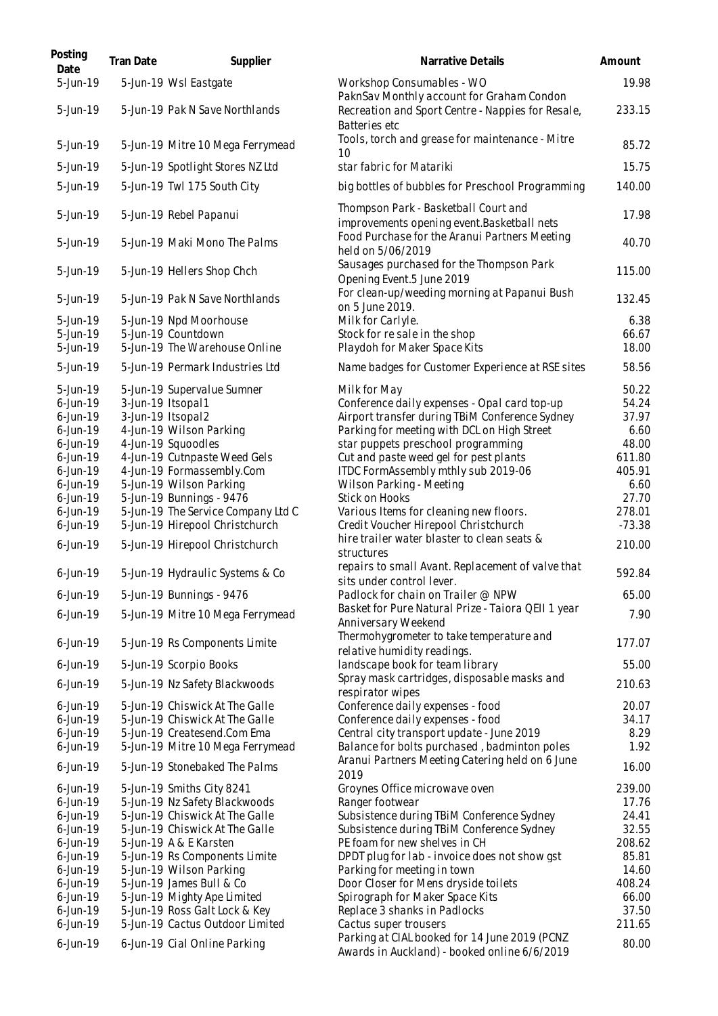| Posting<br>Date            | Tran Date | Supplier                                                          | Narrative Details                                                                                       | Amount          |
|----------------------------|-----------|-------------------------------------------------------------------|---------------------------------------------------------------------------------------------------------|-----------------|
| 5-Jun-19                   |           | 5-Jun-19 Wsl Eastgate                                             | Workshop Consumables - WO<br>PaknSav Monthly account for Graham Condon                                  | 19.98           |
| 5-Jun-19                   |           | 5-Jun-19 Pak N Save Northlands                                    | Recreation and Sport Centre - Nappies for Resale,<br>Batteries etc                                      | 233.15          |
| 5-Jun-19                   |           | 5-Jun-19 Mitre 10 Mega Ferrymead                                  | Tools, torch and grease for maintenance - Mitre<br>10                                                   | 85.72           |
| 5-Jun-19                   |           | 5-Jun-19 Spotlight Stores NZ Ltd                                  | star fabric for Matariki                                                                                | 15.75           |
| 5-Jun-19                   |           | 5-Jun-19 Twl 175 South City                                       | big bottles of bubbles for Preschool Programming                                                        | 140.00          |
| 5-Jun-19                   |           | 5-Jun-19 Rebel Papanui                                            | Thompson Park - Basketball Court and<br>improvements opening event. Basketball nets                     | 17.98           |
| 5-Jun-19                   |           | 5-Jun-19 Maki Mono The Palms                                      | Food Purchase for the Aranui Partners Meeting<br>held on 5/06/2019                                      | 40.70           |
| 5-Jun-19                   |           | 5-Jun-19 Hellers Shop Chch                                        | Sausages purchased for the Thompson Park<br>Opening Event.5 June 2019                                   | 115.00          |
| 5-Jun-19                   |           | 5-Jun-19 Pak N Save Northlands                                    | For clean-up/weeding morning at Papanui Bush<br>on 5 June 2019.                                         | 132.45          |
| 5-Jun-19                   |           | 5-Jun-19 Npd Moorhouse                                            | Milk for Carlyle.                                                                                       | 6.38            |
| 5-Jun-19                   |           | 5-Jun-19 Countdown                                                | Stock for resale in the shop                                                                            | 66.67           |
| 5-Jun-19                   |           | 5-Jun-19 The Warehouse Online                                     | Playdoh for Maker Space Kits                                                                            | 18.00           |
| 5-Jun-19                   |           | 5-Jun-19 Permark Industries Ltd                                   | Name badges for Customer Experience at RSE sites                                                        | 58.56           |
| 5-Jun-19                   |           | 5-Jun-19 Supervalue Sumner                                        | Milk for May                                                                                            | 50.22           |
| $6$ -Jun-19                |           | 3-Jun-19 Itsopal1                                                 | Conference daily expenses - Opal card top-up                                                            | 54.24           |
| $6$ -Jun-19<br>$6$ -Jun-19 |           | 3-Jun-19 Itsopal2<br>4-Jun-19 Wilson Parking                      | Airport transfer during TBiM Conference Sydney<br>Parking for meeting with DCL on High Street           | 37.97<br>6.60   |
| $6$ -Jun-19                |           | 4-Jun-19 Squoodles                                                | star puppets preschool programming                                                                      | 48.00           |
| 6-Jun-19                   |           | 4-Jun-19 Cutnpaste Weed Gels                                      | Cut and paste weed gel for pest plants                                                                  | 611.80          |
| $6$ -Jun-19                |           | 4-Jun-19 Formassembly.Com                                         | ITDC FormAssembly mthly sub 2019-06                                                                     | 405.91          |
| $6$ -Jun-19                |           | 5-Jun-19 Wilson Parking                                           | Wilson Parking - Meeting                                                                                | 6.60            |
| $6$ -Jun-19                |           | 5-Jun-19 Bunnings - 9476                                          | Stick on Hooks                                                                                          | 27.70           |
| $6$ -Jun-19                |           | 5-Jun-19 The Service Company Ltd C                                | Various Items for cleaning new floors.                                                                  | 278.01          |
| $6$ -Jun-19                |           | 5-Jun-19 Hirepool Christchurch                                    | Credit Voucher Hirepool Christchurch                                                                    | $-73.38$        |
| $6$ -Jun-19                |           | 5-Jun-19 Hirepool Christchurch                                    | hire trailer water blaster to clean seats &<br>structures                                               | 210.00          |
| 6-Jun-19                   |           | 5-Jun-19 Hydraulic Systems & Co                                   | repairs to small Avant. Replacement of valve that<br>sits under control lever.                          | 592.84          |
| 6-Jun-19                   |           | 5-Jun-19 Bunnings - 9476                                          | Padlock for chain on Trailer @ NPW                                                                      | 65.00           |
| $6$ -Jun-19                |           | 5-Jun-19 Mitre 10 Mega Ferrymead                                  | Basket for Pure Natural Prize - Taiora QEII 1 year<br>Anniversary Weekend                               | 7.90            |
| $6$ -Jun-19                |           | 5-Jun-19 Rs Components Limite                                     | Thermohygrometer to take temperature and<br>relative humidity readings.                                 | 177.07          |
| $6$ -Jun-19                |           | 5-Jun-19 Scorpio Books                                            | landscape book for team library                                                                         | 55.00           |
| $6$ -Jun-19                |           | 5-Jun-19 Nz Safety Blackwoods                                     | Spray mask cartridges, disposable masks and<br>respirator wipes                                         | 210.63          |
| 6-Jun-19                   |           | 5-Jun-19 Chiswick At The Galle                                    | Conference daily expenses - food                                                                        | 20.07           |
| $6$ -Jun-19                |           | 5-Jun-19 Chiswick At The Galle                                    | Conference daily expenses - food                                                                        | 34.17           |
| $6$ -Jun-19                |           | 5-Jun-19 Createsend.Com Ema                                       | Central city transport update - June 2019                                                               | 8.29            |
| 6-Jun-19<br>$6$ -Jun-19    |           | 5-Jun-19 Mitre 10 Mega Ferrymead<br>5-Jun-19 Stonebaked The Palms | Balance for bolts purchased, badminton poles<br>Aranui Partners Meeting Catering held on 6 June<br>2019 | 1.92<br>16.00   |
| $6$ -Jun-19                |           | 5-Jun-19 Smiths City 8241                                         | Groynes Office microwave oven                                                                           | 239.00          |
| $6$ -Jun-19                |           | 5-Jun-19 Nz Safety Blackwoods                                     | Ranger footwear                                                                                         | 17.76           |
| $6$ -Jun-19                |           | 5-Jun-19 Chiswick At The Galle                                    | Subsistence during TBiM Conference Sydney                                                               | 24.41           |
| $6$ -Jun-19                |           | 5-Jun-19 Chiswick At The Galle                                    | Subsistence during TBiM Conference Sydney                                                               | 32.55           |
| $6$ -Jun-19                |           | 5-Jun-19 A & E Karsten                                            | PE foam for new shelves in CH                                                                           | 208.62          |
| $6$ -Jun-19                |           | 5-Jun-19 Rs Components Limite                                     | DPDT plug for lab - invoice does not show gst                                                           | 85.81           |
| 6-Jun-19                   |           | 5-Jun-19 Wilson Parking                                           | Parking for meeting in town                                                                             | 14.60           |
| $6$ -Jun-19                |           | 5-Jun-19 James Bull & Co                                          | Door Closer for Mens dryside toilets                                                                    | 408.24          |
| 6-Jun-19                   |           | 5-Jun-19 Mighty Ape Limited                                       | Spirograph for Maker Space Kits                                                                         | 66.00           |
| $6$ -Jun-19<br>$6$ -Jun-19 |           | 5-Jun-19 Ross Galt Lock & Key<br>5-Jun-19 Cactus Outdoor Limited  | Replace 3 shanks in Padlocks                                                                            | 37.50<br>211.65 |
| 6-Jun-19                   |           | 6-Jun-19 Cial Online Parking                                      | Cactus super trousers<br>Parking at CIAL booked for 14 June 2019 (PCNZ                                  | 80.00           |
|                            |           |                                                                   | Awards in Auckland) - booked online 6/6/2019                                                            |                 |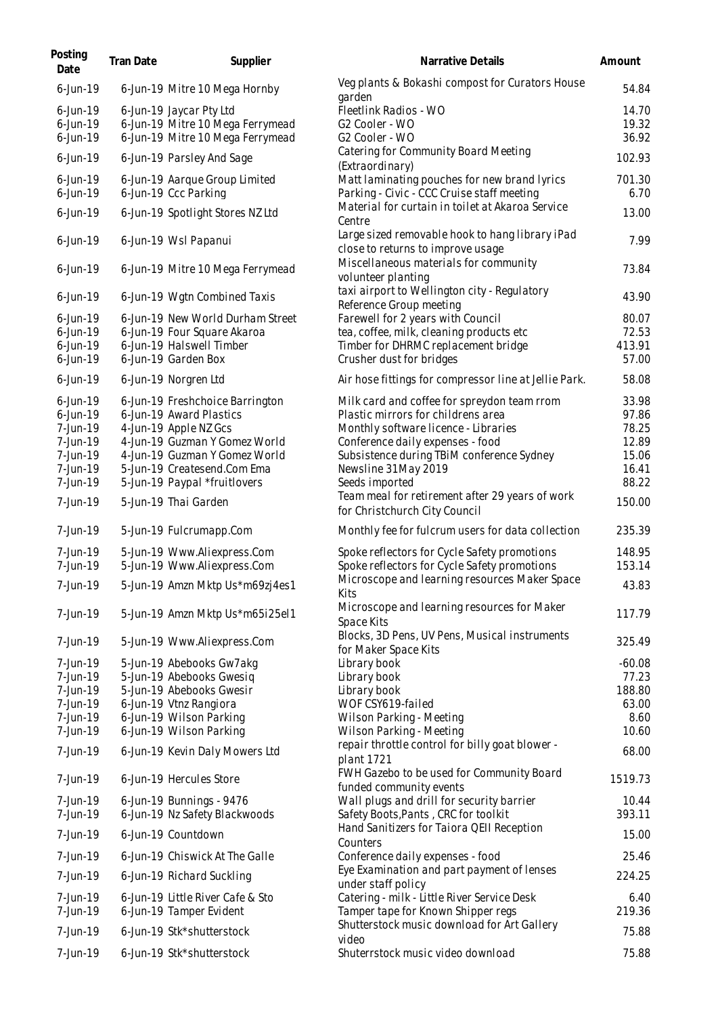| Posting<br>Date                                                                        | Tran Date | Supplier                                                                                                                                                                                                             | Narrative Details                                                                                                                                                                                                                                                                                      | Amount                                                      |
|----------------------------------------------------------------------------------------|-----------|----------------------------------------------------------------------------------------------------------------------------------------------------------------------------------------------------------------------|--------------------------------------------------------------------------------------------------------------------------------------------------------------------------------------------------------------------------------------------------------------------------------------------------------|-------------------------------------------------------------|
| $6$ -Jun-19                                                                            |           | 6-Jun-19 Mitre 10 Mega Hornby                                                                                                                                                                                        | Veg plants & Bokashi compost for Curators House<br>garden                                                                                                                                                                                                                                              | 54.84                                                       |
| $6$ -Jun-19<br>$6$ -Jun-19<br>$6$ -Jun-19                                              |           | 6-Jun-19 Jaycar Pty Ltd<br>6-Jun-19 Mitre 10 Mega Ferrymead<br>6-Jun-19 Mitre 10 Mega Ferrymead                                                                                                                      | Fleetlink Radios - WO<br>G2 Cooler - WO<br>G2 Cooler - WO                                                                                                                                                                                                                                              | 14.70<br>19.32<br>36.92                                     |
| $6$ -Jun-19                                                                            |           | 6-Jun-19 Parsley And Sage                                                                                                                                                                                            | Catering for Community Board Meeting<br>(Extraordinary)                                                                                                                                                                                                                                                | 102.93                                                      |
| $6$ -Jun-19<br>$6$ -Jun-19                                                             |           | 6-Jun-19 Aarque Group Limited<br>6-Jun-19 Ccc Parking                                                                                                                                                                | Matt laminating pouches for new brand lyrics<br>Parking - Civic - CCC Cruise staff meeting                                                                                                                                                                                                             | 701.30<br>6.70                                              |
| $6$ -Jun-19                                                                            |           | 6-Jun-19 Spotlight Stores NZ Ltd                                                                                                                                                                                     | Material for curtain in toilet at Akaroa Service<br>Centre                                                                                                                                                                                                                                             | 13.00                                                       |
| $6$ -Jun-19                                                                            |           | 6-Jun-19 Wsl Papanui                                                                                                                                                                                                 | Large sized removable hook to hang library iPad<br>close to returns to improve usage                                                                                                                                                                                                                   | 7.99                                                        |
| $6$ -Jun-19                                                                            |           | 6-Jun-19 Mitre 10 Mega Ferrymead                                                                                                                                                                                     | Miscellaneous materials for community<br>volunteer planting                                                                                                                                                                                                                                            | 73.84                                                       |
| $6$ -Jun-19                                                                            |           | 6-Jun-19 Wgtn Combined Taxis                                                                                                                                                                                         | taxi airport to Wellington city - Regulatory<br>Reference Group meeting                                                                                                                                                                                                                                | 43.90                                                       |
| $6$ -Jun-19<br>$6$ -Jun-19<br>$6$ -Jun-19                                              |           | 6-Jun-19 New World Durham Street<br>6-Jun-19 Four Square Akaroa<br>6-Jun-19 Halswell Timber                                                                                                                          | Farewell for 2 years with Council<br>tea, coffee, milk, cleaning products etc<br>Timber for DHRMC replacement bridge                                                                                                                                                                                   | 80.07<br>72.53<br>413.91                                    |
| $6$ -Jun-19                                                                            |           | 6-Jun-19 Garden Box                                                                                                                                                                                                  | Crusher dust for bridges                                                                                                                                                                                                                                                                               | 57.00                                                       |
| $6$ -Jun-19                                                                            |           | 6-Jun-19 Norgren Ltd                                                                                                                                                                                                 | Air hose fittings for compressor line at Jellie Park.                                                                                                                                                                                                                                                  | 58.08                                                       |
| $6$ -Jun-19<br>$6$ -Jun-19<br>7-Jun-19<br>7-Jun-19<br>7-Jun-19<br>7-Jun-19<br>7-Jun-19 |           | 6-Jun-19 Freshchoice Barrington<br>6-Jun-19 Award Plastics<br>4-Jun-19 Apple NZ Gcs<br>4-Jun-19 Guzman Y Gomez World<br>4-Jun-19 Guzman Y Gomez World<br>5-Jun-19 Createsend.Com Ema<br>5-Jun-19 Paypal *fruitlovers | Milk card and coffee for spreydon team rrom<br>Plastic mirrors for childrens area<br>Monthly software licence - Libraries<br>Conference daily expenses - food<br>Subsistence during TBiM conference Sydney<br>Newsline 31May 2019<br>Seeds imported<br>Team meal for retirement after 29 years of work | 33.98<br>97.86<br>78.25<br>12.89<br>15.06<br>16.41<br>88.22 |
| 7-Jun-19                                                                               |           | 5-Jun-19 Thai Garden                                                                                                                                                                                                 | for Christchurch City Council                                                                                                                                                                                                                                                                          | 150.00                                                      |
| 7-Jun-19                                                                               |           | 5-Jun-19 Fulcrumapp.Com                                                                                                                                                                                              | Monthly fee for fulcrum users for data collection                                                                                                                                                                                                                                                      | 235.39                                                      |
| 7-Jun-19<br>7-Jun-19                                                                   |           | 5-Jun-19 Www.Aliexpress.Com<br>5-Jun-19 Www.Aliexpress.Com                                                                                                                                                           | Spoke reflectors for Cycle Safety promotions<br>Spoke reflectors for Cycle Safety promotions                                                                                                                                                                                                           | 148.95<br>153.14                                            |
| 7-Jun-19                                                                               |           | 5-Jun-19 Amzn Mktp Us*m69zj4es1                                                                                                                                                                                      | Microscope and learning resources Maker Space<br>Kits                                                                                                                                                                                                                                                  | 43.83                                                       |
| 7-Jun-19                                                                               |           | 5-Jun-19 Amzn Mktp Us*m65i25el1                                                                                                                                                                                      | Microscope and learning resources for Maker<br>Space Kits                                                                                                                                                                                                                                              | 117.79                                                      |
| 7-Jun-19                                                                               |           | 5-Jun-19 Www.Aliexpress.Com                                                                                                                                                                                          | Blocks, 3D Pens, UV Pens, Musical instruments<br>for Maker Space Kits                                                                                                                                                                                                                                  | 325.49                                                      |
| 7-Jun-19<br>7-Jun-19<br>7-Jun-19<br>7-Jun-19                                           |           | 5-Jun-19 Abebooks Gw7akg<br>5-Jun-19 Abebooks Gwesig<br>5-Jun-19 Abebooks Gwesir<br>6-Jun-19 Vtnz Rangiora                                                                                                           | Library book<br>Library book<br>Library book<br>WOF CSY619-failed                                                                                                                                                                                                                                      | $-60.08$<br>77.23<br>188.80<br>63.00                        |
| 7-Jun-19                                                                               |           | 6-Jun-19 Wilson Parking                                                                                                                                                                                              | Wilson Parking - Meeting                                                                                                                                                                                                                                                                               | 8.60                                                        |
| 7-Jun-19<br>7-Jun-19                                                                   |           | 6-Jun-19 Wilson Parking<br>6-Jun-19 Kevin Daly Mowers Ltd                                                                                                                                                            | Wilson Parking - Meeting<br>repair throttle control for billy goat blower -<br>plant 1721                                                                                                                                                                                                              | 10.60<br>68.00                                              |
| 7-Jun-19                                                                               |           | 6-Jun-19 Hercules Store                                                                                                                                                                                              | FWH Gazebo to be used for Community Board                                                                                                                                                                                                                                                              | 1519.73                                                     |
| 7-Jun-19<br>7-Jun-19                                                                   |           | 6-Jun-19 Bunnings - 9476<br>6-Jun-19 Nz Safety Blackwoods                                                                                                                                                            | funded community events<br>Wall plugs and drill for security barrier<br>Safety Boots, Pants, CRC for toolkit                                                                                                                                                                                           | 10.44<br>393.11                                             |
| 7-Jun-19                                                                               |           | 6-Jun-19 Countdown                                                                                                                                                                                                   | Hand Sanitizers for Taiora QEII Reception                                                                                                                                                                                                                                                              | 15.00                                                       |
| 7-Jun-19                                                                               |           | 6-Jun-19 Chiswick At The Galle                                                                                                                                                                                       | Counters<br>Conference daily expenses - food                                                                                                                                                                                                                                                           | 25.46                                                       |
| 7-Jun-19                                                                               |           | 6-Jun-19 Richard Suckling                                                                                                                                                                                            | Eye Examination and part payment of lenses<br>under staff policy                                                                                                                                                                                                                                       | 224.25                                                      |
| 7-Jun-19<br>7-Jun-19                                                                   |           | 6-Jun-19 Little River Cafe & Sto<br>6-Jun-19 Tamper Evident                                                                                                                                                          | Catering - milk - Little River Service Desk<br>Tamper tape for Known Shipper regs                                                                                                                                                                                                                      | 6.40<br>219.36                                              |
| 7-Jun-19                                                                               |           | 6-Jun-19 Stk*shutterstock                                                                                                                                                                                            | Shutterstock music download for Art Gallery<br>video                                                                                                                                                                                                                                                   | 75.88                                                       |
| 7-Jun-19                                                                               |           | 6-Jun-19 Stk*shutterstock                                                                                                                                                                                            | Shuterrstock music video download                                                                                                                                                                                                                                                                      | 75.88                                                       |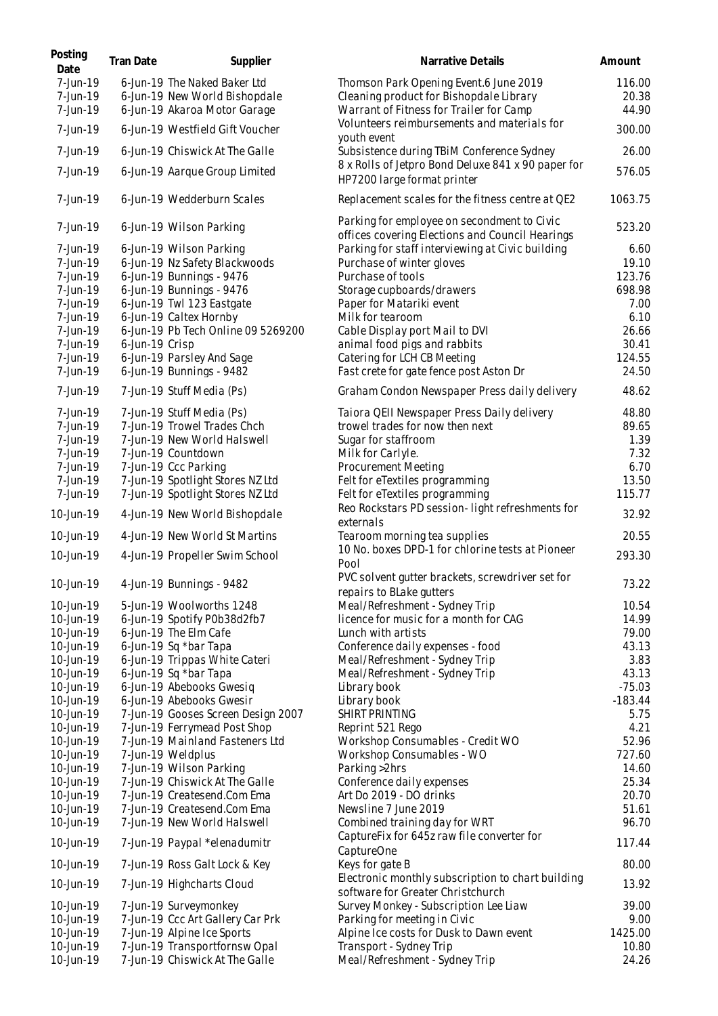| Posting<br>Date        | Tran Date      | Supplier                                                   | Narrative Details                                                                              | Amount         |
|------------------------|----------------|------------------------------------------------------------|------------------------------------------------------------------------------------------------|----------------|
| 7-Jun-19               |                | 6-Jun-19 The Naked Baker Ltd                               | Thomson Park Opening Event.6 June 2019                                                         | 116.00         |
| 7-Jun-19               |                | 6-Jun-19 New World Bishopdale                              | Cleaning product for Bishopdale Library                                                        | 20.38          |
| 7-Jun-19               |                | 6-Jun-19 Akaroa Motor Garage                               | Warrant of Fitness for Trailer for Camp                                                        | 44.90          |
| 7-Jun-19               |                | 6-Jun-19 Westfield Gift Voucher                            | Volunteers reimbursements and materials for<br>youth event                                     | 300.00         |
| 7-Jun-19               |                | 6-Jun-19 Chiswick At The Galle                             | Subsistence during TBiM Conference Sydney                                                      | 26.00          |
| 7-Jun-19               |                | 6-Jun-19 Aarque Group Limited                              | 8 x Rolls of Jetpro Bond Deluxe 841 x 90 paper for<br>HP7200 large format printer              | 576.05         |
| 7-Jun-19               |                | 6-Jun-19 Wedderburn Scales                                 | Replacement scales for the fitness centre at QE2                                               | 1063.75        |
| 7-Jun-19               |                | 6-Jun-19 Wilson Parking                                    | Parking for employee on secondment to Civic<br>offices covering Elections and Council Hearings | 523.20         |
| 7-Jun-19               |                | 6-Jun-19 Wilson Parking                                    | Parking for staff interviewing at Civic building                                               | 6.60           |
| 7-Jun-19               |                | 6-Jun-19 Nz Safety Blackwoods                              | Purchase of winter gloves                                                                      | 19.10          |
| 7-Jun-19               |                | 6-Jun-19 Bunnings - 9476                                   | Purchase of tools                                                                              | 123.76         |
| 7-Jun-19               |                | 6-Jun-19 Bunnings - 9476                                   | Storage cupboards/drawers                                                                      | 698.98         |
| 7-Jun-19               |                | 6-Jun-19 Twl 123 Eastgate                                  | Paper for Matariki event                                                                       | 7.00           |
| 7-Jun-19               |                | 6-Jun-19 Caltex Hornby                                     | Milk for tearoom                                                                               | 6.10           |
| 7-Jun-19               |                | 6-Jun-19 Pb Tech Online 09 5269200                         | Cable Display port Mail to DVI                                                                 | 26.66          |
| 7-Jun-19               | 6-Jun-19 Crisp |                                                            | animal food pigs and rabbits                                                                   | 30.41          |
| 7-Jun-19               |                | 6-Jun-19 Parsley And Sage                                  | Catering for LCH CB Meeting                                                                    | 124.55         |
| 7-Jun-19               |                | 6-Jun-19 Bunnings - 9482                                   | Fast crete for gate fence post Aston Dr                                                        | 24.50          |
| 7-Jun-19               |                | 7-Jun-19 Stuff Media (Ps)                                  | Graham Condon Newspaper Press daily delivery                                                   | 48.62          |
| 7-Jun-19               |                | 7-Jun-19 Stuff Media (Ps)                                  | Taiora QEII Newspaper Press Daily delivery                                                     | 48.80          |
| 7-Jun-19               |                | 7-Jun-19 Trowel Trades Chch                                | trowel trades for now then next                                                                | 89.65          |
| 7-Jun-19               |                | 7-Jun-19 New World Halswell                                | Sugar for staffroom                                                                            | 1.39           |
| 7-Jun-19               |                | 7-Jun-19 Countdown                                         | Milk for Carlyle.                                                                              | 7.32           |
| 7-Jun-19               |                | 7-Jun-19 Ccc Parking                                       | Procurement Meeting                                                                            | 6.70           |
| 7-Jun-19               |                | 7-Jun-19 Spotlight Stores NZ Ltd                           | Felt for eTextiles programming                                                                 | 13.50          |
| 7-Jun-19               |                | 7-Jun-19 Spotlight Stores NZ Ltd                           | Felt for eTextiles programming                                                                 | 115.77         |
| 10-Jun-19              |                | 4-Jun-19 New World Bishopdale                              | Reo Rockstars PD session-light refreshments for<br>externals                                   | 32.92          |
| 10-Jun-19              |                | 4-Jun-19 New World St Martins                              | Tearoom morning tea supplies<br>10 No. boxes DPD-1 for chlorine tests at Pioneer               | 20.55          |
| 10-Jun-19              |                | 4-Jun-19 Propeller Swim School                             | Pool                                                                                           | 293.30         |
| 10-Jun-19              |                | 4-Jun-19 Bunnings - 9482                                   | PVC solvent gutter brackets, screwdriver set for<br>repairs to BLake gutters                   | 73.22          |
| 10-Jun-19              |                | 5-Jun-19 Woolworths 1248                                   | Meal/Refreshment - Sydney Trip                                                                 | 10.54          |
| 10-Jun-19              |                | 6-Jun-19 Spotify P0b38d2fb7                                | licence for music for a month for CAG                                                          | 14.99          |
| 10-Jun-19              |                | 6-Jun-19 The Elm Cafe                                      | Lunch with artists                                                                             | 79.00          |
| 10-Jun-19              |                | 6-Jun-19 Sq *bar Tapa                                      | Conference daily expenses - food                                                               | 43.13          |
| 10-Jun-19              |                | 6-Jun-19 Trippas White Cateri                              | Meal/Refreshment - Sydney Trip                                                                 | 3.83           |
| 10-Jun-19              |                | 6-Jun-19 Sq *bar Tapa                                      | Meal/Refreshment - Sydney Trip                                                                 | 43.13          |
| 10-Jun-19              |                | 6-Jun-19 Abebooks Gwesig                                   | Library book                                                                                   | $-75.03$       |
| 10-Jun-19              |                | 6-Jun-19 Abebooks Gwesir                                   | Library book                                                                                   | $-183.44$      |
| 10-Jun-19              |                | 7-Jun-19 Gooses Screen Design 2007                         | SHIRT PRINTING                                                                                 | 5.75           |
| 10-Jun-19              |                | 7-Jun-19 Ferrymead Post Shop                               | Reprint 521 Rego                                                                               | 4.21           |
| 10-Jun-19              |                | 7-Jun-19 Mainland Fasteners Ltd                            | Workshop Consumables - Credit WO                                                               | 52.96          |
| 10-Jun-19              |                | 7-Jun-19 Weldplus                                          | Workshop Consumables - WO                                                                      | 727.60         |
| 10-Jun-19              |                | 7-Jun-19 Wilson Parking                                    | Parking > 2hrs                                                                                 | 14.60<br>25.34 |
| 10-Jun-19              |                | 7-Jun-19 Chiswick At The Galle                             | Conference daily expenses                                                                      | 20.70          |
| 10-Jun-19<br>10-Jun-19 |                | 7-Jun-19 Createsend.Com Ema<br>7-Jun-19 Createsend.Com Ema | Art Do 2019 - DO drinks<br>Newsline 7 June 2019                                                | 51.61          |
| 10-Jun-19              |                | 7-Jun-19 New World Halswell                                | Combined training day for WRT                                                                  | 96.70          |
| 10-Jun-19              |                | 7-Jun-19 Paypal *elenadumitr                               | CaptureFix for 645z raw file converter for                                                     | 117.44         |
| 10-Jun-19              |                | 7-Jun-19 Ross Galt Lock & Key                              | CaptureOne<br>Keys for gate B                                                                  | 80.00          |
| 10-Jun-19              |                | 7-Jun-19 Highcharts Cloud                                  | Electronic monthly subscription to chart building                                              | 13.92          |
| 10-Jun-19              |                | 7-Jun-19 Surveymonkey                                      | software for Greater Christchurch<br>Survey Monkey - Subscription Lee Liaw                     | 39.00          |
| 10-Jun-19              |                | 7-Jun-19 Ccc Art Gallery Car Prk                           | Parking for meeting in Civic                                                                   | 9.00           |
| 10-Jun-19              |                | 7-Jun-19 Alpine Ice Sports                                 | Alpine Ice costs for Dusk to Dawn event                                                        | 1425.00        |
| 10-Jun-19              |                | 7-Jun-19 Transportfornsw Opal                              | Transport - Sydney Trip                                                                        | 10.80          |
| 10-Jun-19              |                | 7-Jun-19 Chiswick At The Galle                             | Meal/Refreshment - Sydney Trip                                                                 | 24.26          |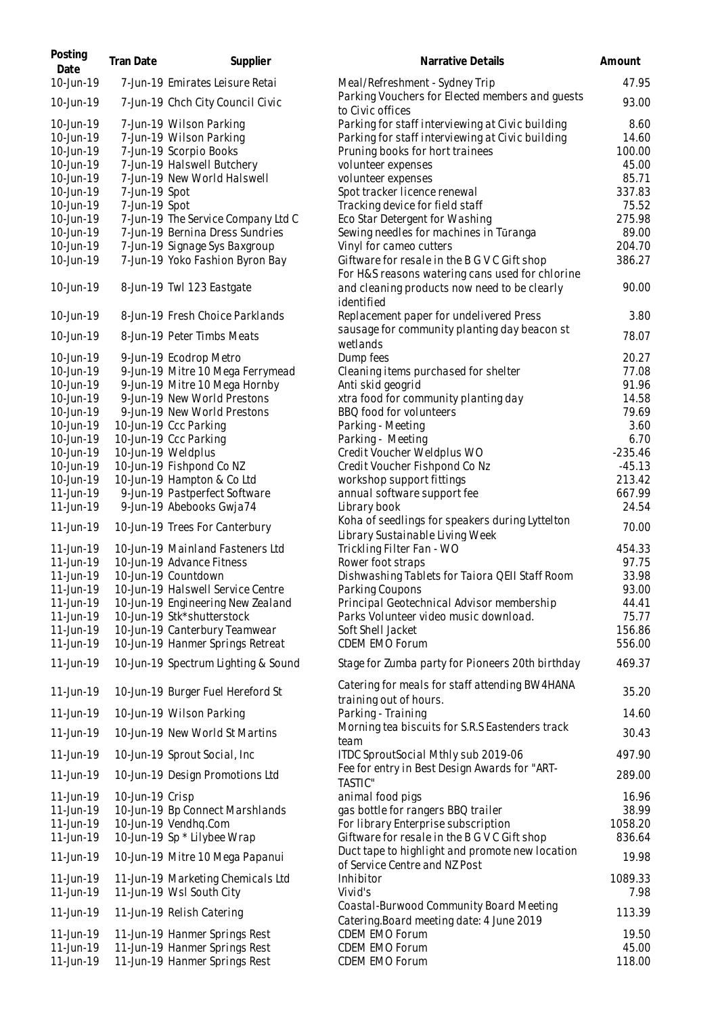| Posting<br>Date                     | Tran Date                      | Supplier                                                                     | Narrative Details                                                                                                                       | Amount                  |
|-------------------------------------|--------------------------------|------------------------------------------------------------------------------|-----------------------------------------------------------------------------------------------------------------------------------------|-------------------------|
| 10-Jun-19                           |                                | 7-Jun-19 Emirates Leisure Retai                                              | Meal/Refreshment - Sydney Trip                                                                                                          | 47.95                   |
| 10-Jun-19                           |                                | 7-Jun-19 Chch City Council Civic                                             | Parking Vouchers for Elected members and guests<br>to Civic offices                                                                     | 93.00                   |
| 10-Jun-19<br>10-Jun-19<br>10-Jun-19 |                                | 7-Jun-19 Wilson Parking<br>7-Jun-19 Wilson Parking<br>7-Jun-19 Scorpio Books | Parking for staff interviewing at Civic building<br>Parking for staff interviewing at Civic building<br>Pruning books for hort trainees | 8.60<br>14.60<br>100.00 |
| 10-Jun-19<br>10-Jun-19              |                                | 7-Jun-19 Halswell Butchery<br>7-Jun-19 New World Halswell                    | volunteer expenses<br>volunteer expenses                                                                                                | 45.00<br>85.71          |
| 10-Jun-19<br>10-Jun-19              | 7-Jun-19 Spot<br>7-Jun-19 Spot |                                                                              | Spot tracker licence renewal<br>Tracking device for field staff                                                                         | 337.83<br>75.52         |
| 10-Jun-19<br>10-Jun-19              |                                | 7-Jun-19 The Service Company Ltd C<br>7-Jun-19 Bernina Dress Sundries        | Eco Star Detergent for Washing<br>Sewing needles for machines in Tūranga                                                                | 275.98<br>89.00         |
| 10-Jun-19<br>10-Jun-19              |                                | 7-Jun-19 Signage Sys Baxgroup<br>7-Jun-19 Yoko Fashion Byron Bay             | Vinyl for cameo cutters<br>Giftware for resale in the B G V C Gift shop<br>For H&S reasons watering cans used for chlorine              | 204.70<br>386.27        |
| 10-Jun-19                           |                                | 8-Jun-19 Twl 123 Eastgate                                                    | and cleaning products now need to be clearly<br>identified                                                                              | 90.00                   |
| 10-Jun-19                           |                                | 8-Jun-19 Fresh Choice Parklands                                              | Replacement paper for undelivered Press                                                                                                 | 3.80                    |
| 10-Jun-19                           |                                | 8-Jun-19 Peter Timbs Meats                                                   | sausage for community planting day beacon st<br>wetlands                                                                                | 78.07                   |
| 10-Jun-19<br>10-Jun-19              |                                | 9-Jun-19 Ecodrop Metro<br>9-Jun-19 Mitre 10 Mega Ferrymead                   | Dump fees<br>Cleaning items purchased for shelter                                                                                       | 20.27<br>77.08          |
| 10-Jun-19                           |                                | 9-Jun-19 Mitre 10 Mega Hornby                                                | Anti skid geogrid                                                                                                                       | 91.96                   |
| 10-Jun-19<br>10-Jun-19              |                                | 9-Jun-19 New World Prestons<br>9-Jun-19 New World Prestons                   | xtra food for community planting day<br>BBQ food for volunteers                                                                         | 14.58<br>79.69          |
| 10-Jun-19                           |                                | 10-Jun-19 Ccc Parking                                                        | Parking - Meeting                                                                                                                       | 3.60                    |
| 10-Jun-19<br>10-Jun-19              |                                | 10-Jun-19 Ccc Parking<br>10-Jun-19 Weldplus                                  | Parking - Meeting<br>Credit Voucher Weldplus WO                                                                                         | 6.70<br>$-235.46$       |
| 10-Jun-19                           |                                | 10-Jun-19 Fishpond Co NZ                                                     | Credit Voucher Fishpond Co Nz                                                                                                           | $-45.13$                |
| 10-Jun-19                           |                                | 10-Jun-19 Hampton & Co Ltd                                                   | workshop support fittings                                                                                                               | 213.42                  |
| 11-Jun-19<br>11-Jun-19              |                                | 9-Jun-19 Pastperfect Software<br>9-Jun-19 Abebooks Gwja74                    | annual software support fee<br>Library book                                                                                             | 667.99<br>24.54         |
| 11-Jun-19                           |                                | 10-Jun-19 Trees For Canterbury                                               | Koha of seedlings for speakers during Lyttelton<br>Library Sustainable Living Week                                                      | 70.00                   |
| 11-Jun-19<br>11-Jun-19              |                                | 10-Jun-19 Mainland Fasteners Ltd<br>10-Jun-19 Advance Fitness                | Trickling Filter Fan - WO<br>Rower foot straps                                                                                          | 454.33<br>97.75         |
| 11-Jun-19                           |                                | 10-Jun-19 Countdown                                                          | Dishwashing Tablets for Taiora QEII Staff Room                                                                                          | 33.98                   |
| 11-Jun-19                           |                                | 10-Jun-19 Halswell Service Centre                                            | Parking Coupons                                                                                                                         | 93.00                   |
| 11-Jun-19                           |                                | 10-Jun-19 Engineering New Zealand                                            | Principal Geotechnical Advisor membership                                                                                               | 44.41                   |
| 11-Jun-19<br>11-Jun-19              |                                | 10-Jun-19 Stk*shutterstock<br>10-Jun-19 Canterbury Teamwear                  | Parks Volunteer video music download.<br>Soft Shell Jacket                                                                              | 75.77<br>156.86         |
| 11-Jun-19                           |                                | 10-Jun-19 Hanmer Springs Retreat                                             | <b>CDEM EMO Forum</b>                                                                                                                   | 556.00                  |
| 11-Jun-19                           |                                | 10-Jun-19 Spectrum Lighting & Sound                                          | Stage for Zumba party for Pioneers 20th birthday                                                                                        | 469.37                  |
| 11-Jun-19                           |                                | 10-Jun-19 Burger Fuel Hereford St                                            | Catering for meals for staff attending BW4HANA<br>training out of hours.                                                                | 35.20                   |
| 11-Jun-19                           |                                | 10-Jun-19 Wilson Parking                                                     | Parking - Training<br>Morning tea biscuits for S.R.S Eastenders track                                                                   | 14.60                   |
| 11-Jun-19                           |                                | 10-Jun-19 New World St Martins                                               | team                                                                                                                                    | 30.43                   |
| 11-Jun-19<br>11-Jun-19              |                                | 10-Jun-19 Sprout Social, Inc.                                                | ITDC SproutSocial Mthly sub 2019-06<br>Fee for entry in Best Design Awards for "ART-                                                    | 497.90<br>289.00        |
| 11-Jun-19                           | 10-Jun-19 Crisp                | 10-Jun-19 Design Promotions Ltd                                              | <b>TASTIC"</b><br>animal food pigs                                                                                                      | 16.96                   |
| 11-Jun-19                           |                                | 10-Jun-19 Bp Connect Marshlands                                              | gas bottle for rangers BBQ trailer                                                                                                      | 38.99                   |
| 11-Jun-19                           |                                | 10-Jun-19 Vendhq.Com                                                         | For library Enterprise subscription                                                                                                     | 1058.20                 |
| 11-Jun-19<br>11-Jun-19              |                                | 10-Jun-19 Sp * Lilybee Wrap<br>10-Jun-19 Mitre 10 Mega Papanui               | Giftware for resale in the B G V C Gift shop<br>Duct tape to highlight and promote new location                                         | 836.64<br>19.98         |
| 11-Jun-19                           |                                | 11-Jun-19 Marketing Chemicals Ltd                                            | of Service Centre and NZ Post<br>Inhibitor                                                                                              | 1089.33                 |
| 11-Jun-19                           |                                | 11-Jun-19 Wsl South City                                                     | Vivid's                                                                                                                                 | 7.98                    |
| 11-Jun-19                           |                                | 11-Jun-19 Relish Catering                                                    | Coastal-Burwood Community Board Meeting<br>Catering.Board meeting date: 4 June 2019                                                     | 113.39                  |
| 11-Jun-19<br>11-Jun-19              |                                | 11-Jun-19 Hanmer Springs Rest<br>11-Jun-19 Hanmer Springs Rest               | CDEM EMO Forum<br>CDEM EMO Forum                                                                                                        | 19.50<br>45.00          |
| 11-Jun-19                           |                                | 11-Jun-19 Hanmer Springs Rest                                                | CDEM EMO Forum                                                                                                                          | 118.00                  |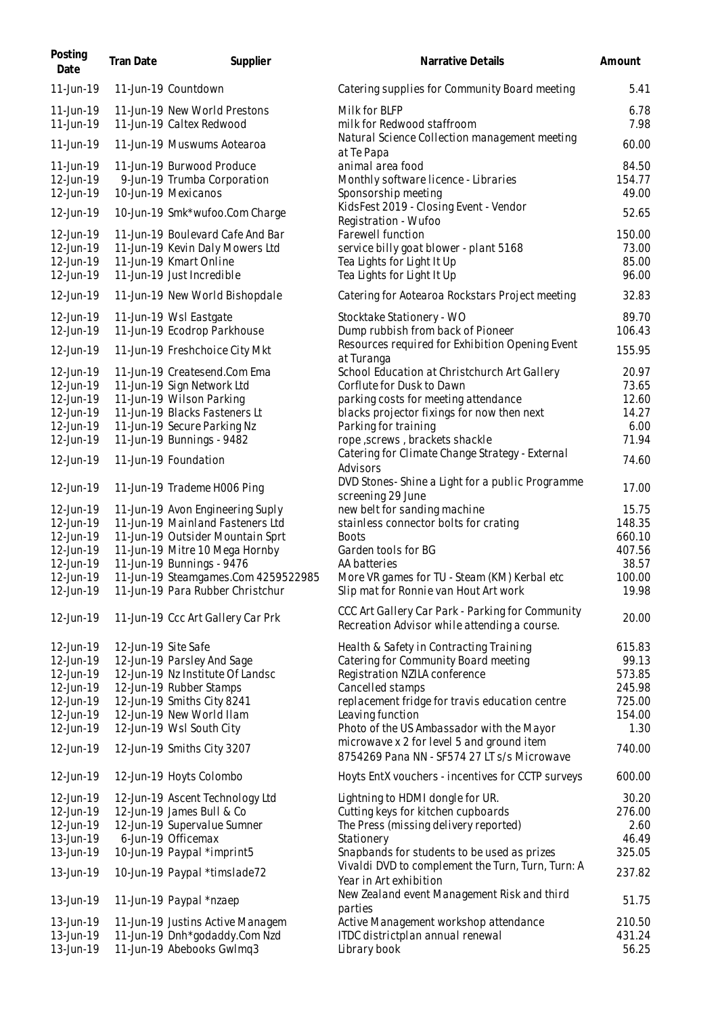| Posting<br>Date        | Tran Date           | Supplier                                                 | Narrative Details                                                                                | Amount         |
|------------------------|---------------------|----------------------------------------------------------|--------------------------------------------------------------------------------------------------|----------------|
| 11-Jun-19              |                     | 11-Jun-19 Countdown                                      | Catering supplies for Community Board meeting                                                    | 5.41           |
| 11-Jun-19<br>11-Jun-19 |                     | 11-Jun-19 New World Prestons<br>11-Jun-19 Caltex Redwood | Milk for BLFP<br>milk for Redwood staffroom                                                      | 6.78<br>7.98   |
| 11-Jun-19              |                     | 11-Jun-19 Muswums Aotearoa                               | Natural Science Collection management meeting<br>at Te Papa                                      | 60.00          |
| 11-Jun-19              |                     | 11-Jun-19 Burwood Produce                                | animal area food                                                                                 | 84.50          |
| 12-Jun-19              |                     | 9-Jun-19 Trumba Corporation                              | Monthly software licence - Libraries                                                             | 154.77         |
| 12-Jun-19              |                     | 10-Jun-19 Mexicanos                                      | Sponsorship meeting                                                                              | 49.00          |
| 12-Jun-19              |                     | 10-Jun-19 Smk*wufoo.Com Charge                           | KidsFest 2019 - Closing Event - Vendor<br>Registration - Wufoo                                   | 52.65          |
| 12-Jun-19              |                     | 11-Jun-19 Boulevard Cafe And Bar                         | Farewell function                                                                                | 150.00         |
| 12-Jun-19              |                     | 11-Jun-19 Kevin Daly Mowers Ltd                          | service billy goat blower - plant 5168                                                           | 73.00          |
| 12-Jun-19              |                     | 11-Jun-19 Kmart Online                                   | Tea Lights for Light It Up                                                                       | 85.00          |
| 12-Jun-19              |                     | 11-Jun-19 Just Incredible                                | Tea Lights for Light It Up                                                                       | 96.00          |
| 12-Jun-19              |                     | 11-Jun-19 New World Bishopdale                           | Catering for Aotearoa Rockstars Project meeting                                                  | 32.83          |
| 12-Jun-19              |                     | 11-Jun-19 Wsl Eastgate                                   | Stocktake Stationery - WO                                                                        | 89.70          |
| 12-Jun-19              |                     | 11-Jun-19 Ecodrop Parkhouse                              | Dump rubbish from back of Pioneer                                                                | 106.43         |
| 12-Jun-19              |                     | 11-Jun-19 Freshchoice City Mkt                           | Resources required for Exhibition Opening Event                                                  | 155.95         |
|                        |                     |                                                          | at Turanga                                                                                       |                |
| 12-Jun-19<br>12-Jun-19 |                     | 11-Jun-19 Createsend.Com Ema                             | School Education at Christchurch Art Gallery<br>Corflute for Dusk to Dawn                        | 20.97<br>73.65 |
| 12-Jun-19              |                     | 11-Jun-19 Sign Network Ltd<br>11-Jun-19 Wilson Parking   | parking costs for meeting attendance                                                             | 12.60          |
| 12-Jun-19              |                     | 11-Jun-19 Blacks Fasteners Lt                            | blacks projector fixings for now then next                                                       | 14.27          |
| 12-Jun-19              |                     | 11-Jun-19 Secure Parking Nz                              | Parking for training                                                                             | 6.00           |
| 12-Jun-19              |                     | 11-Jun-19 Bunnings - 9482                                | rope , screws , brackets shackle                                                                 | 71.94          |
| 12-Jun-19              |                     | 11-Jun-19 Foundation                                     | Catering for Climate Change Strategy - External<br>Advisors                                      | 74.60          |
| 12-Jun-19              |                     | 11-Jun-19 Trademe H006 Ping                              | DVD Stones-Shine a Light for a public Programme<br>screening 29 June                             | 17.00          |
| 12-Jun-19              |                     | 11-Jun-19 Avon Engineering Suply                         | new belt for sanding machine                                                                     | 15.75          |
| 12-Jun-19              |                     | 11-Jun-19 Mainland Fasteners Ltd                         | stainless connector bolts for crating                                                            | 148.35         |
| 12-Jun-19              |                     | 11-Jun-19 Outsider Mountain Sprt                         | <b>Boots</b>                                                                                     | 660.10         |
| 12-Jun-19              |                     | 11-Jun-19 Mitre 10 Mega Hornby                           | Garden tools for BG                                                                              | 407.56         |
| 12-Jun-19              |                     | 11-Jun-19 Bunnings - 9476                                | AA batteries                                                                                     | 38.57          |
| 12-Jun-19              |                     | 11-Jun-19 Steamgames.Com 4259522985                      | More VR games for TU - Steam (KM) Kerbal etc                                                     | 100.00         |
| 12-Jun-19              |                     | 11-Jun-19 Para Rubber Christchur                         | Slip mat for Ronnie van Hout Art work                                                            | 19.98          |
| 12-Jun-19              |                     | 11-Jun-19 Ccc Art Gallery Car Prk                        | CCC Art Gallery Car Park - Parking for Community<br>Recreation Advisor while attending a course. | 20.00          |
| 12-Jun-19              | 12-Jun-19 Site Safe |                                                          | Health & Safety in Contracting Training                                                          | 615.83         |
| 12-Jun-19              |                     | 12-Jun-19 Parsley And Sage                               | Catering for Community Board meeting                                                             | 99.13          |
| 12-Jun-19              |                     | 12-Jun-19 Nz Institute Of Landsc                         | Registration NZILA conference                                                                    | 573.85         |
| 12-Jun-19              |                     | 12-Jun-19 Rubber Stamps                                  | Cancelled stamps                                                                                 | 245.98         |
| 12-Jun-19              |                     | 12-Jun-19 Smiths City 8241                               | replacement fridge for travis education centre                                                   | 725.00         |
| 12-Jun-19              |                     | 12-Jun-19 New World Ilam                                 | Leaving function                                                                                 | 154.00         |
| 12-Jun-19              |                     | 12-Jun-19 Wsl South City                                 | Photo of the US Ambassador with the Mayor                                                        | 1.30           |
| 12-Jun-19              |                     | 12-Jun-19 Smiths City 3207                               | microwave x 2 for level 5 and ground item<br>8754269 Pana NN - SF574 27 LT s/s Microwave         | 740.00         |
| 12-Jun-19              |                     | 12-Jun-19 Hoyts Colombo                                  | Hoyts EntX vouchers - incentives for CCTP surveys                                                | 600.00         |
| 12-Jun-19              |                     | 12-Jun-19 Ascent Technology Ltd                          | Lightning to HDMI dongle for UR.                                                                 | 30.20          |
| 12-Jun-19              |                     | 12-Jun-19 James Bull & Co                                | Cutting keys for kitchen cupboards                                                               | 276.00         |
| 12-Jun-19              |                     | 12-Jun-19 Supervalue Sumner                              | The Press (missing delivery reported)                                                            | 2.60           |
| 13-Jun-19              |                     | 6-Jun-19 Officemax                                       | Stationery                                                                                       | 46.49          |
| 13-Jun-19              |                     | 10-Jun-19 Paypal *imprint5                               | Snapbands for students to be used as prizes                                                      | 325.05         |
| 13-Jun-19              |                     | 10-Jun-19 Paypal *timslade72                             | Vivaldi DVD to complement the Turn, Turn, Turn: A<br>Year in Art exhibition                      | 237.82         |
| 13-Jun-19              |                     | 11-Jun-19 Paypal *nzaep                                  | New Zealand event Management Risk and third<br>parties                                           | 51.75          |
| 13-Jun-19              |                     | 11-Jun-19 Justins Active Managem                         | Active Management workshop attendance                                                            | 210.50         |
| 13-Jun-19              |                     | 11-Jun-19 Dnh*godaddy.Com Nzd                            | ITDC districtplan annual renewal                                                                 | 431.24         |
| 13-Jun-19              |                     | 11-Jun-19 Abebooks Gwlmq3                                | Library book                                                                                     | 56.25          |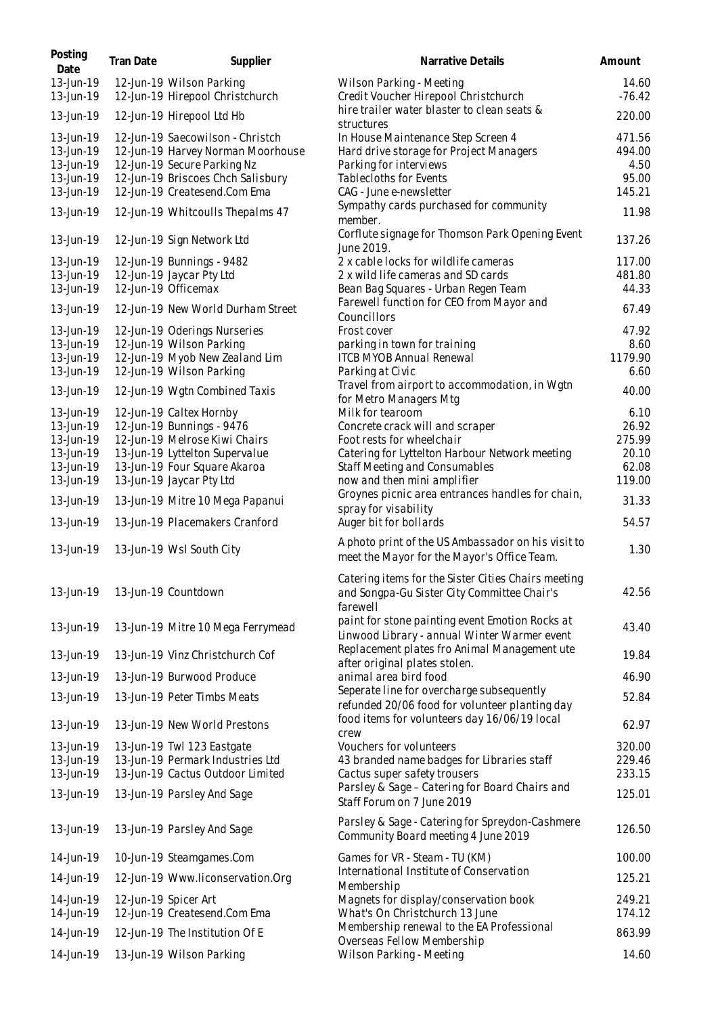| Posting<br>Date        | Tran Date | Supplier                                                              | Narrative Details                                                                                              | Amount            |
|------------------------|-----------|-----------------------------------------------------------------------|----------------------------------------------------------------------------------------------------------------|-------------------|
| 13-Jun-19<br>13-Jun-19 |           | 12-Jun-19 Wilson Parking<br>12-Jun-19 Hirepool Christchurch           | Wilson Parking - Meeting<br>Credit Voucher Hirepool Christchurch                                               | 14.60<br>$-76.42$ |
| 13-Jun-19              |           | 12-Jun-19 Hirepool Ltd Hb                                             | hire trailer water blaster to clean seats &<br>structures                                                      | 220.00            |
| 13-Jun-19<br>13-Jun-19 |           | 12-Jun-19 Saecowilson - Christch<br>12-Jun-19 Harvey Norman Moorhouse | In House Maintenance Step Screen 4<br>Hard drive storage for Project Managers                                  | 471.56<br>494.00  |
| 13-Jun-19<br>13-Jun-19 |           | 12-Jun-19 Secure Parking Nz<br>12-Jun-19 Briscoes Chch Salisbury      | Parking for interviews<br><b>Tablecloths for Events</b>                                                        | 4.50<br>95.00     |
| 13-Jun-19              |           | 12-Jun-19 Createsend.Com Ema                                          | CAG - June e-newsletter                                                                                        | 145.21            |
| 13-Jun-19              |           | 12-Jun-19 Whitcoulls Thepalms 47                                      | Sympathy cards purchased for community<br>member.                                                              | 11.98             |
| 13-Jun-19              |           | 12-Jun-19 Sign Network Ltd                                            | Corflute signage for Thomson Park Opening Event<br>June 2019.                                                  | 137.26            |
| 13-Jun-19              |           | 12-Jun-19 Bunnings - 9482                                             | 2 x cable locks for wildlife cameras                                                                           | 117.00            |
| 13-Jun-19              |           | 12-Jun-19 Jaycar Pty Ltd                                              | 2 x wild life cameras and SD cards                                                                             | 481.80            |
| 13-Jun-19              |           | 12-Jun-19 Officemax                                                   | Bean Bag Squares - Urban Regen Team                                                                            | 44.33             |
| 13-Jun-19              |           | 12-Jun-19 New World Durham Street                                     | Farewell function for CEO from Mayor and<br>Councillors                                                        | 67.49             |
| 13-Jun-19<br>13-Jun-19 |           | 12-Jun-19 Oderings Nurseries<br>12-Jun-19 Wilson Parking              | Frost cover<br>parking in town for training                                                                    | 47.92<br>8.60     |
| 13-Jun-19              |           | 12-Jun-19 Myob New Zealand Lim                                        | <b>ITCB MYOB Annual Renewal</b>                                                                                | 1179.90           |
| 13-Jun-19              |           | 12-Jun-19 Wilson Parking                                              | Parking at Civic                                                                                               | 6.60              |
| 13-Jun-19              |           | 12-Jun-19 Wgtn Combined Taxis                                         | Travel from airport to accommodation, in Wgtn<br>for Metro Managers Mtg                                        | 40.00             |
| 13-Jun-19              |           | 12-Jun-19 Caltex Hornby                                               | Milk for tearoom                                                                                               | 6.10              |
| 13-Jun-19              |           | 12-Jun-19 Bunnings - 9476                                             | Concrete crack will and scraper                                                                                | 26.92             |
| 13-Jun-19<br>13-Jun-19 |           | 12-Jun-19 Melrose Kiwi Chairs<br>13-Jun-19 Lyttelton Supervalue       | Foot rests for wheelchair<br>Catering for Lyttelton Harbour Network meeting                                    | 275.99<br>20.10   |
| 13-Jun-19              |           | 13-Jun-19 Four Square Akaroa                                          | Staff Meeting and Consumables                                                                                  | 62.08             |
| 13-Jun-19              |           | 13-Jun-19 Jaycar Pty Ltd                                              | now and then mini amplifier                                                                                    | 119.00            |
| 13-Jun-19              |           | 13-Jun-19 Mitre 10 Mega Papanui                                       | Groynes picnic area entrances handles for chain,<br>spray for visability                                       | 31.33             |
| 13-Jun-19              |           | 13-Jun-19 Placemakers Cranford                                        | Auger bit for bollards                                                                                         | 54.57             |
| 13-Jun-19              |           | 13-Jun-19 Wsl South City                                              | A photo print of the US Ambassador on his visit to<br>meet the Mayor for the Mayor's Office Team.              | 1.30              |
| 13-Jun-19              |           | 13-Jun-19 Countdown                                                   | Catering items for the Sister Cities Chairs meeting<br>and Songpa-Gu Sister City Committee Chair's<br>farewell | 42.56             |
| 13-Jun-19              |           | 13-Jun-19 Mitre 10 Mega Ferrymead                                     | paint for stone painting event Emotion Rocks at<br>Linwood Library - annual Winter Warmer event                | 43.40             |
| 13-Jun-19              |           | 13-Jun-19 Vinz Christchurch Cof                                       | Replacement plates fro Animal Management ute<br>after original plates stolen.                                  | 19.84             |
| 13-Jun-19              |           | 13-Jun-19 Burwood Produce                                             | animal area bird food                                                                                          | 46.90             |
| 13-Jun-19              |           | 13-Jun-19 Peter Timbs Meats                                           | Seperate line for overcharge subsequently<br>refunded 20/06 food for volunteer planting day                    | 52.84             |
| 13-Jun-19              |           | 13-Jun-19 New World Prestons                                          | food items for volunteers day 16/06/19 local<br>crew                                                           | 62.97             |
| 13-Jun-19              |           | 13-Jun-19 Twl 123 Eastgate                                            | Vouchers for volunteers                                                                                        | 320.00            |
| 13-Jun-19              |           | 13-Jun-19 Permark Industries Ltd                                      | 43 branded name badges for Libraries staff                                                                     | 229.46            |
| 13-Jun-19              |           | 13-Jun-19 Cactus Outdoor Limited                                      | Cactus super safety trousers                                                                                   | 233.15            |
| 13-Jun-19              |           | 13-Jun-19 Parsley And Sage                                            | Parsley & Sage - Catering for Board Chairs and<br>Staff Forum on 7 June 2019                                   | 125.01            |
| 13-Jun-19              |           | 13-Jun-19 Parsley And Sage                                            | Parsley & Sage - Catering for Spreydon-Cashmere<br>Community Board meeting 4 June 2019                         | 126.50            |
| 14-Jun-19              |           | 10-Jun-19 Steamgames.Com                                              | Games for VR - Steam - TU (KM)                                                                                 | 100.00            |
| 14-Jun-19              |           | 12-Jun-19 Www.liconservation.Org                                      | International Institute of Conservation<br>Membership                                                          | 125.21            |
| 14-Jun-19              |           | 12-Jun-19 Spicer Art                                                  | Magnets for display/conservation book                                                                          | 249.21            |
| 14-Jun-19              |           | 12-Jun-19 Createsend.Com Ema                                          | What's On Christchurch 13 June                                                                                 | 174.12            |
| 14-Jun-19              |           | 12-Jun-19 The Institution Of E                                        | Membership renewal to the EA Professional                                                                      | 863.99            |
|                        |           |                                                                       | Overseas Fellow Membership                                                                                     |                   |
| 14-Jun-19              |           | 13-Jun-19 Wilson Parking                                              | Wilson Parking - Meeting                                                                                       | 14.60             |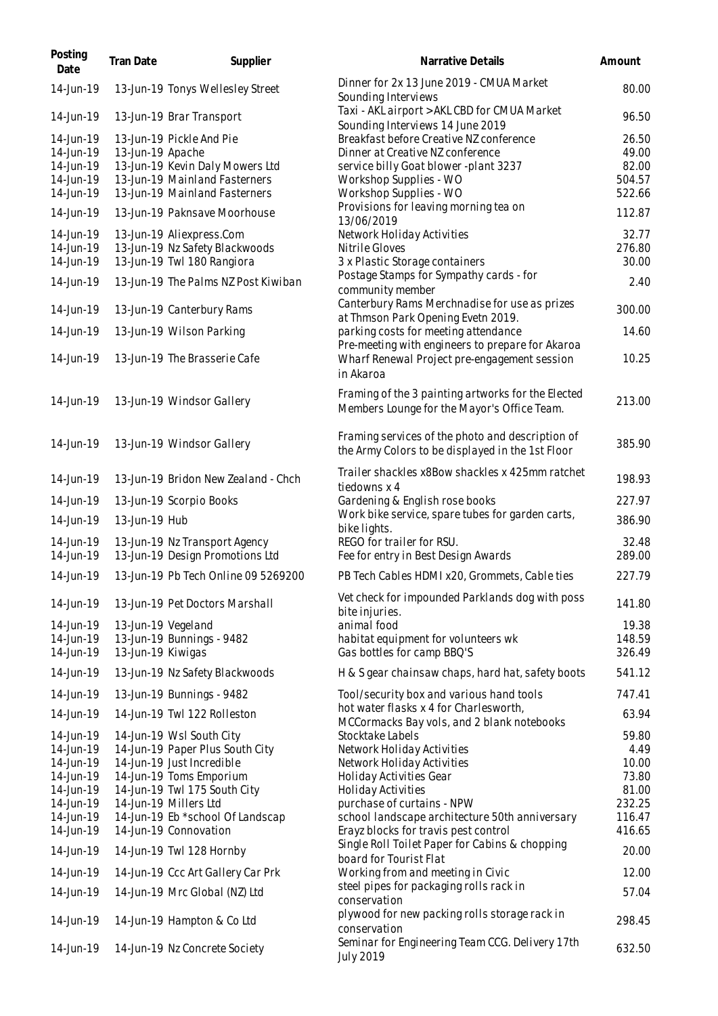| Posting<br>Date        | Tran Date          | Supplier                                                         | Narrative Details                                                                                             | Amount          |
|------------------------|--------------------|------------------------------------------------------------------|---------------------------------------------------------------------------------------------------------------|-----------------|
| 14-Jun-19              |                    | 13-Jun-19 Tonys Wellesley Street                                 | Dinner for 2x 13 June 2019 - CMUA Market<br>Sounding Interviews                                               | 80.00           |
| 14-Jun-19              |                    | 13-Jun-19 Brar Transport                                         | Taxi - AKL airport > AKL CBD for CMUA Market<br>Sounding Interviews 14 June 2019                              | 96.50           |
| 14-Jun-19<br>14-Jun-19 | 13-Jun-19 Apache   | 13-Jun-19 Pickle And Pie                                         | Breakfast before Creative NZ conference<br>Dinner at Creative NZ conference                                   | 26.50<br>49.00  |
| 14-Jun-19              |                    | 13-Jun-19 Kevin Daly Mowers Ltd                                  | service billy Goat blower -plant 3237                                                                         | 82.00           |
| 14-Jun-19              |                    | 13-Jun-19 Mainland Fasterners                                    | Workshop Supplies - WO                                                                                        | 504.57          |
| 14-Jun-19              |                    | 13-Jun-19 Mainland Fasterners                                    | Workshop Supplies - WO                                                                                        | 522.66          |
| 14-Jun-19              |                    | 13-Jun-19 Paknsave Moorhouse                                     | Provisions for leaving morning tea on<br>13/06/2019                                                           | 112.87          |
| 14-Jun-19              |                    | 13-Jun-19 Aliexpress.Com                                         | Network Holiday Activities                                                                                    | 32.77           |
| 14-Jun-19<br>14-Jun-19 |                    | 13-Jun-19 Nz Safety Blackwoods<br>13-Jun-19 Twl 180 Rangiora     | Nitrile Gloves<br>3 x Plastic Storage containers                                                              | 276.80<br>30.00 |
|                        |                    |                                                                  | Postage Stamps for Sympathy cards - for                                                                       |                 |
| 14-Jun-19              |                    | 13-Jun-19 The Palms NZ Post Kiwiban                              | community member                                                                                              | 2.40            |
| 14-Jun-19              |                    | 13-Jun-19 Canterbury Rams                                        | Canterbury Rams Merchnadise for use as prizes<br>at Thmson Park Opening Evetn 2019.                           | 300.00          |
| 14-Jun-19              |                    | 13-Jun-19 Wilson Parking                                         | parking costs for meeting attendance                                                                          | 14.60           |
| 14-Jun-19              |                    | 13-Jun-19 The Brasserie Cafe                                     | Pre-meeting with engineers to prepare for Akaroa<br>Wharf Renewal Project pre-engagement session<br>in Akaroa | 10.25           |
| 14-Jun-19              |                    | 13-Jun-19 Windsor Gallery                                        | Framing of the 3 painting artworks for the Elected<br>Members Lounge for the Mayor's Office Team.             | 213.00          |
| 14-Jun-19              |                    | 13-Jun-19 Windsor Gallery                                        | Framing services of the photo and description of<br>the Army Colors to be displayed in the 1st Floor          | 385.90          |
| 14-Jun-19              |                    | 13-Jun-19 Bridon New Zealand - Chch                              | Trailer shackles x8Bow shackles x 425mm ratchet<br>tiedowns x 4                                               | 198.93          |
| 14-Jun-19              |                    | 13-Jun-19 Scorpio Books                                          | Gardening & English rose books                                                                                | 227.97          |
| 14-Jun-19              | 13-Jun-19 Hub      |                                                                  | Work bike service, spare tubes for garden carts,<br>bike lights.                                              | 386.90          |
| 14-Jun-19<br>14-Jun-19 |                    | 13-Jun-19 Nz Transport Agency<br>13-Jun-19 Design Promotions Ltd | REGO for trailer for RSU.<br>Fee for entry in Best Design Awards                                              | 32.48<br>289.00 |
| 14-Jun-19              |                    | 13-Jun-19 Pb Tech Online 09 5269200                              | PB Tech Cables HDMI x20, Grommets, Cable ties                                                                 | 227.79          |
| 14-Jun-19              |                    | 13-Jun-19 Pet Doctors Marshall                                   | Vet check for impounded Parklands dog with poss<br>bite injuries.                                             | 141.80          |
| 14-Jun-19              | 13-Jun-19 Vegeland |                                                                  | animal food                                                                                                   | 19.38           |
| 14-Jun-19              |                    | 13-Jun-19 Bunnings - 9482                                        | habitat equipment for volunteers wk                                                                           | 148.59          |
| 14-Jun-19              | 13-Jun-19 Kiwigas  |                                                                  | Gas bottles for camp BBQ'S                                                                                    | 326.49          |
| 14-Jun-19              |                    | 13-Jun-19 Nz Safety Blackwoods                                   | H & S gear chainsaw chaps, hard hat, safety boots                                                             | 541.12          |
| 14-Jun-19              |                    | 13-Jun-19 Bunnings - 9482                                        | Tool/security box and various hand tools                                                                      | 747.41          |
| 14-Jun-19              |                    | 14-Jun-19 Twl 122 Rolleston                                      | hot water flasks x 4 for Charlesworth,<br>MCCormacks Bay vols, and 2 blank notebooks                          | 63.94           |
| 14-Jun-19              |                    | 14-Jun-19 Wsl South City                                         | Stocktake Labels                                                                                              | 59.80           |
| 14-Jun-19              |                    | 14-Jun-19 Paper Plus South City                                  | Network Holiday Activities                                                                                    | 4.49            |
| 14-Jun-19              |                    | 14-Jun-19 Just Incredible                                        | Network Holiday Activities                                                                                    | 10.00           |
| 14-Jun-19              |                    | 14-Jun-19 Toms Emporium                                          | Holiday Activities Gear                                                                                       | 73.80           |
| 14-Jun-19              |                    | 14-Jun-19 Twl 175 South City                                     | Holiday Activities                                                                                            | 81.00           |
| 14-Jun-19              |                    | 14-Jun-19 Millers Ltd                                            | purchase of curtains - NPW                                                                                    | 232.25          |
| 14-Jun-19              |                    | 14-Jun-19 Eb *school Of Landscap                                 | school landscape architecture 50th anniversary                                                                | 116.47          |
| 14-Jun-19              |                    | 14-Jun-19 Connovation                                            | Erayz blocks for travis pest control                                                                          | 416.65          |
| 14-Jun-19              |                    | 14-Jun-19 Twl 128 Hornby                                         | Single Roll Toilet Paper for Cabins & chopping<br>board for Tourist Flat                                      | 20.00           |
| 14-Jun-19              |                    | 14-Jun-19 Ccc Art Gallery Car Prk                                | Working from and meeting in Civic                                                                             | 12.00           |
| 14-Jun-19              |                    | 14-Jun-19 Mrc Global (NZ) Ltd                                    | steel pipes for packaging rolls rack in<br>conservation                                                       | 57.04           |
| 14-Jun-19              |                    | 14-Jun-19 Hampton & Co Ltd                                       | plywood for new packing rolls storage rack in<br>conservation                                                 | 298.45          |
| 14-Jun-19              |                    | 14-Jun-19 Nz Concrete Society                                    | Seminar for Engineering Team CCG. Delivery 17th<br><b>July 2019</b>                                           | 632.50          |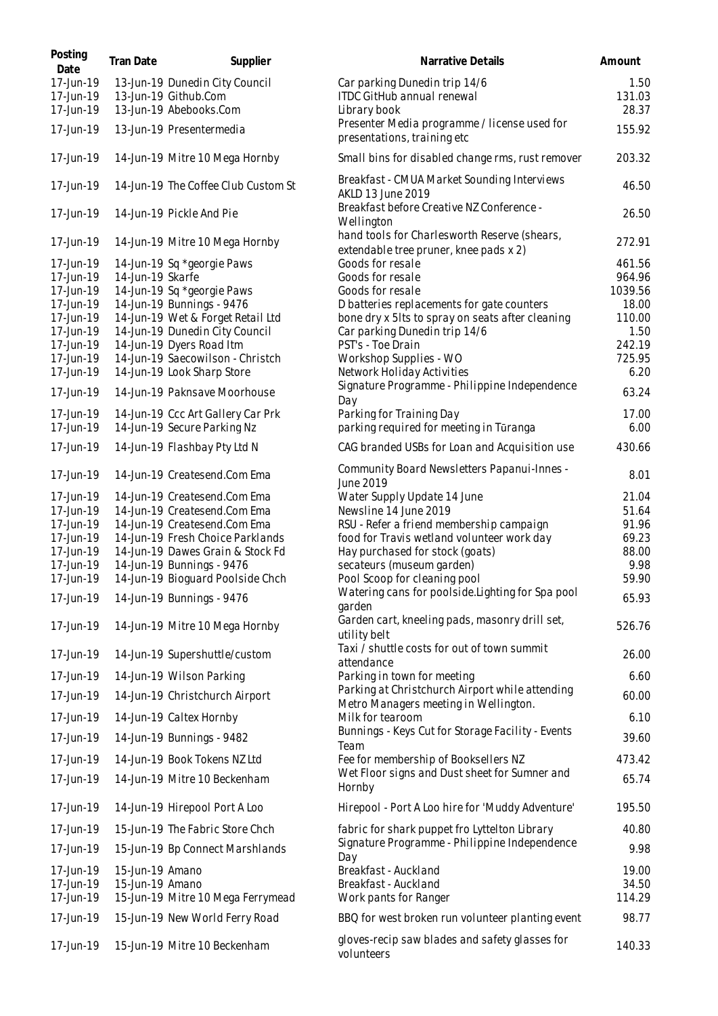| Posting<br>Date        | Tran Date        | Supplier                                                  | Narrative Details                                                                      | Amount        |
|------------------------|------------------|-----------------------------------------------------------|----------------------------------------------------------------------------------------|---------------|
| 17-Jun-19              |                  | 13-Jun-19 Dunedin City Council                            | Car parking Dunedin trip 14/6                                                          | 1.50          |
| 17-Jun-19              |                  | 13-Jun-19 Github.Com                                      | ITDC GitHub annual renewal                                                             | 131.03        |
| 17-Jun-19              |                  | 13-Jun-19 Abebooks.Com                                    | Library book                                                                           | 28.37         |
| 17-Jun-19              |                  | 13-Jun-19 Presentermedia                                  | Presenter Media programme / license used for<br>presentations, training etc            | 155.92        |
| 17-Jun-19              |                  | 14-Jun-19 Mitre 10 Mega Hornby                            | Small bins for disabled change rms, rust remover                                       | 203.32        |
| 17-Jun-19              |                  | 14-Jun-19 The Coffee Club Custom St                       | Breakfast - CMUA Market Sounding Interviews<br>AKLD 13 June 2019                       | 46.50         |
| 17-Jun-19              |                  | 14-Jun-19 Pickle And Pie                                  | Breakfast before Creative NZ Conference -<br>Wellington                                | 26.50         |
| 17-Jun-19              |                  | 14-Jun-19 Mitre 10 Mega Hornby                            | hand tools for Charlesworth Reserve (shears,<br>extendable tree pruner, knee pads x 2) | 272.91        |
| 17-Jun-19              |                  | 14-Jun-19 Sq *georgie Paws                                | Goods for resale                                                                       | 461.56        |
| 17-Jun-19              | 14-Jun-19 Skarfe |                                                           | Goods for resale                                                                       | 964.96        |
| 17-Jun-19              |                  | 14-Jun-19 Sq *georgie Paws                                | Goods for resale                                                                       | 1039.56       |
| 17-Jun-19              |                  | 14-Jun-19 Bunnings - 9476                                 | D batteries replacements for gate counters                                             | 18.00         |
| 17-Jun-19              |                  | 14-Jun-19 Wet & Forget Retail Ltd                         | bone dry x 5lts to spray on seats after cleaning                                       | 110.00        |
| 17-Jun-19              |                  | 14-Jun-19 Dunedin City Council                            | Car parking Dunedin trip 14/6                                                          | 1.50          |
| 17-Jun-19              |                  | 14-Jun-19 Dyers Road Itm                                  | PST's - Toe Drain                                                                      | 242.19        |
| 17-Jun-19              |                  | 14-Jun-19 Saecowilson - Christch                          | Workshop Supplies - WO                                                                 | 725.95        |
| 17-Jun-19              |                  | 14-Jun-19 Look Sharp Store                                | Network Holiday Activities                                                             | 6.20          |
| 17-Jun-19              |                  | 14-Jun-19 Paknsave Moorhouse                              | Signature Programme - Philippine Independence<br>Day                                   | 63.24         |
| 17-Jun-19              |                  | 14-Jun-19 Ccc Art Gallery Car Prk                         | Parking for Training Day                                                               | 17.00         |
| 17-Jun-19              |                  | 14-Jun-19 Secure Parking Nz                               | parking required for meeting in Tūranga                                                | 6.00          |
| 17-Jun-19              |                  | 14-Jun-19 Flashbay Pty Ltd N                              | CAG branded USBs for Loan and Acquisition use                                          | 430.66        |
| 17-Jun-19              |                  | 14-Jun-19 Createsend.Com Ema                              | Community Board Newsletters Papanui-Innes -<br>June 2019                               | 8.01          |
| 17-Jun-19              |                  | 14-Jun-19 Createsend.Com Ema                              | Water Supply Update 14 June                                                            | 21.04         |
| 17-Jun-19              |                  | 14-Jun-19 Createsend.Com Ema                              | Newsline 14 June 2019                                                                  | 51.64         |
| 17-Jun-19              |                  | 14-Jun-19 Createsend.Com Ema                              | RSU - Refer a friend membership campaign                                               | 91.96         |
| 17-Jun-19              |                  | 14-Jun-19 Fresh Choice Parklands                          | food for Travis wetland volunteer work day                                             | 69.23         |
| 17-Jun-19              |                  | 14-Jun-19 Dawes Grain & Stock Fd                          | Hay purchased for stock (goats)                                                        | 88.00         |
| 17-Jun-19              |                  | 14-Jun-19 Bunnings - 9476                                 | secateurs (museum garden)                                                              | 9.98          |
| 17-Jun-19              |                  | 14-Jun-19 Bioguard Poolside Chch                          | Pool Scoop for cleaning pool                                                           | 59.90         |
| 17-Jun-19              |                  | 14-Jun-19 Bunnings - 9476                                 | Watering cans for poolside. Lighting for Spa pool<br>garden                            | 65.93         |
| 17-Jun-19              |                  | 14-Jun-19 Mitre 10 Mega Hornby                            | Garden cart, kneeling pads, masonry drill set,<br>utility belt                         | 526.76        |
| 17-Jun-19              |                  | 14-Jun-19 Supershuttle/custom                             | Taxi / shuttle costs for out of town summit                                            | 26.00         |
| 17-Jun-19              |                  | 14-Jun-19 Wilson Parking                                  | attendance<br>Parking in town for meeting                                              | 6.60          |
|                        |                  |                                                           | Parking at Christchurch Airport while attending                                        |               |
| 17-Jun-19<br>17-Jun-19 |                  | 14-Jun-19 Christchurch Airport<br>14-Jun-19 Caltex Hornby | Metro Managers meeting in Wellington.<br>Milk for tearoom                              | 60.00<br>6.10 |
|                        |                  |                                                           | Bunnings - Keys Cut for Storage Facility - Events                                      |               |
| 17-Jun-19              |                  | 14-Jun-19 Bunnings - 9482                                 | Team                                                                                   | 39.60         |
| 17-Jun-19              |                  | 14-Jun-19 Book Tokens NZ Ltd                              | Fee for membership of Booksellers NZ                                                   | 473.42        |
| 17-Jun-19              |                  | 14-Jun-19 Mitre 10 Beckenham                              | Wet Floor signs and Dust sheet for Sumner and<br>Hornby                                | 65.74         |
| 17-Jun-19              |                  | 14-Jun-19 Hirepool Port A Loo                             | Hirepool - Port A Loo hire for 'Muddy Adventure'                                       | 195.50        |
| 17-Jun-19              |                  | 15-Jun-19 The Fabric Store Chch                           | fabric for shark puppet fro Lyttelton Library                                          | 40.80         |
| 17-Jun-19              |                  | 15-Jun-19 Bp Connect Marshlands                           | Signature Programme - Philippine Independence<br>Day                                   | 9.98          |
| 17-Jun-19              | 15-Jun-19 Amano  |                                                           | Breakfast - Auckland                                                                   | 19.00         |
| 17-Jun-19              | 15-Jun-19 Amano  |                                                           | Breakfast - Auckland                                                                   | 34.50         |
| 17-Jun-19              |                  | 15-Jun-19 Mitre 10 Mega Ferrymead                         | Work pants for Ranger                                                                  | 114.29        |
| 17-Jun-19              |                  | 15-Jun-19 New World Ferry Road                            | BBQ for west broken run volunteer planting event                                       | 98.77         |
| 17-Jun-19              |                  | 15-Jun-19 Mitre 10 Beckenham                              | gloves-recip saw blades and safety glasses for<br>volunteers                           | 140.33        |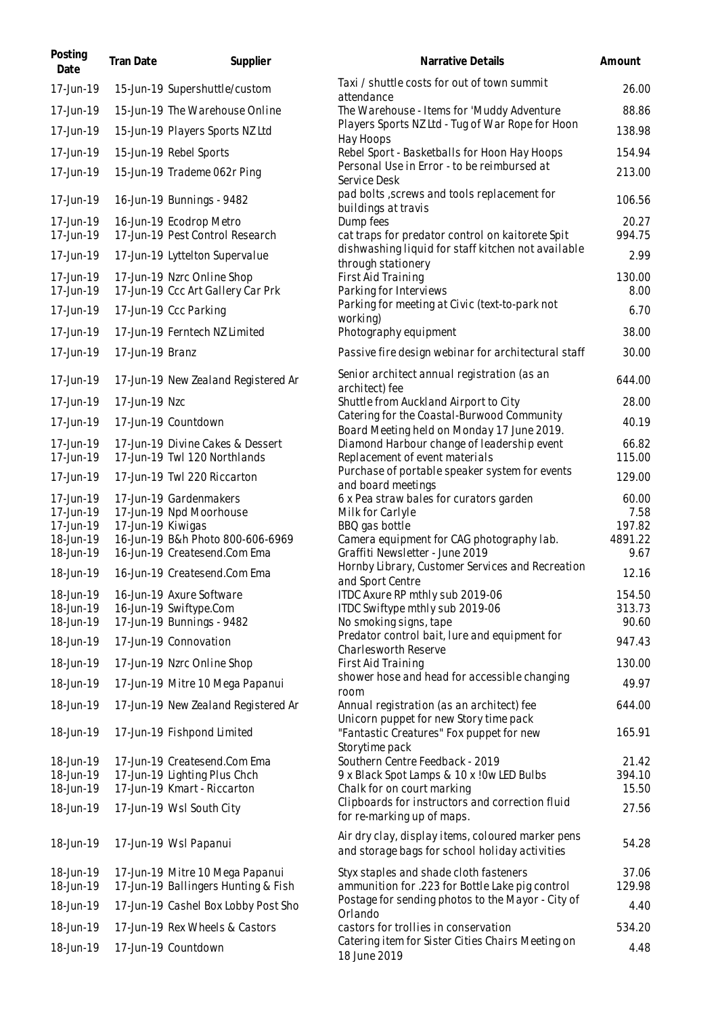| Posting<br>Date        | Tran Date         | Supplier                                          | Narrative Details                                                                                      | Amount        |
|------------------------|-------------------|---------------------------------------------------|--------------------------------------------------------------------------------------------------------|---------------|
| 17-Jun-19              |                   | 15-Jun-19 Supershuttle/custom                     | Taxi / shuttle costs for out of town summit<br>attendance                                              | 26.00         |
| 17-Jun-19              |                   | 15-Jun-19 The Warehouse Online                    | The Warehouse - Items for 'Muddy Adventure                                                             | 88.86         |
| 17-Jun-19              |                   | 15-Jun-19 Players Sports NZ Ltd                   | Players Sports NZ Ltd - Tug of War Rope for Hoon                                                       | 138.98        |
| 17-Jun-19              |                   | 15-Jun-19 Rebel Sports                            | Hay Hoops<br>Rebel Sport - Basketballs for Hoon Hay Hoops                                              | 154.94        |
| 17-Jun-19              |                   | 15-Jun-19 Trademe 062r Ping                       | Personal Use in Error - to be reimbursed at<br>Service Desk                                            | 213.00        |
| 17-Jun-19              |                   | 16-Jun-19 Bunnings - 9482                         | pad bolts , screws and tools replacement for<br>buildings at travis                                    | 106.56        |
| 17-Jun-19              |                   | 16-Jun-19 Ecodrop Metro                           | Dump fees                                                                                              | 20.27         |
| 17-Jun-19              |                   | 17-Jun-19 Pest Control Research                   | cat traps for predator control on kaitorete Spit<br>dishwashing liquid for staff kitchen not available | 994.75        |
| 17-Jun-19              |                   | 17-Jun-19 Lyttelton Supervalue                    | through stationery                                                                                     | 2.99          |
| 17-Jun-19              |                   | 17-Jun-19 Nzrc Online Shop                        | First Aid Training                                                                                     | 130.00        |
| 17-Jun-19              |                   | 17-Jun-19 Ccc Art Gallery Car Prk                 | Parking for Interviews<br>Parking for meeting at Civic (text-to-park not                               | 8.00          |
| 17-Jun-19              |                   | 17-Jun-19 Ccc Parking                             | working)                                                                                               | 6.70          |
| 17-Jun-19              |                   | 17-Jun-19 Ferntech NZ Limited                     | Photography equipment                                                                                  | 38.00         |
| 17-Jun-19              | 17-Jun-19 Branz   |                                                   | Passive fire design webinar for architectural staff                                                    | 30.00         |
| 17-Jun-19              |                   | 17-Jun-19 New Zealand Registered Ar               | Senior architect annual registration (as an<br>architect) fee                                          | 644.00        |
| 17-Jun-19              | 17-Jun-19 Nzc     |                                                   | Shuttle from Auckland Airport to City                                                                  | 28.00         |
| 17-Jun-19              |                   | 17-Jun-19 Countdown                               | Catering for the Coastal-Burwood Community<br>Board Meeting held on Monday 17 June 2019.               | 40.19         |
| 17-Jun-19              |                   | 17-Jun-19 Divine Cakes & Dessert                  | Diamond Harbour change of leadership event                                                             | 66.82         |
| 17-Jun-19              |                   | 17-Jun-19 Twl 120 Northlands                      | Replacement of event materials                                                                         | 115.00        |
| 17-Jun-19              |                   | 17-Jun-19 Twl 220 Riccarton                       | Purchase of portable speaker system for events<br>and board meetings                                   | 129.00        |
| 17-Jun-19<br>17-Jun-19 |                   | 17-Jun-19 Gardenmakers<br>17-Jun-19 Npd Moorhouse | 6 x Pea straw bales for curators garden<br>Milk for Carlyle                                            | 60.00<br>7.58 |
| 17-Jun-19              | 17-Jun-19 Kiwigas |                                                   | BBQ gas bottle                                                                                         | 197.82        |
| 18-Jun-19              |                   | 16-Jun-19 B&h Photo 800-606-6969                  | Camera equipment for CAG photography lab.                                                              | 4891.22       |
| 18-Jun-19              |                   | 16-Jun-19 Createsend.Com Ema                      | Graffiti Newsletter - June 2019<br>Hornby Library, Customer Services and Recreation                    | 9.67          |
| 18-Jun-19              |                   | 16-Jun-19 Createsend.Com Ema                      | and Sport Centre                                                                                       | 12.16         |
| 18-Jun-19              |                   | 16-Jun-19 Axure Software                          | ITDC Axure RP mthly sub 2019-06                                                                        | 154.50        |
| 18-Jun-19              |                   | 16-Jun-19 Swiftype.Com                            | ITDC Swiftype mthly sub 2019-06                                                                        | 313.73        |
| 18-Jun-19              |                   | 17-Jun-19 Bunnings - 9482                         | No smoking signs, tape<br>Predator control bait, lure and equipment for                                | 90.60         |
| 18-Jun-19              |                   | 17-Jun-19 Connovation                             | Charlesworth Reserve                                                                                   | 947.43        |
| 18-Jun-19              |                   | 17-Jun-19 Nzrc Online Shop                        | First Aid Training<br>shower hose and head for accessible changing                                     | 130.00        |
| 18-Jun-19              |                   | 17-Jun-19 Mitre 10 Mega Papanui                   | room                                                                                                   | 49.97         |
| 18-Jun-19              |                   | 17-Jun-19 New Zealand Registered Ar               | Annual registration (as an architect) fee<br>Unicorn puppet for new Story time pack                    | 644.00        |
| 18-Jun-19              |                   | 17-Jun-19 Fishpond Limited                        | "Fantastic Creatures" Fox puppet for new<br>Storytime pack                                             | 165.91        |
| 18-Jun-19              |                   | 17-Jun-19 Createsend.Com Ema                      | Southern Centre Feedback - 2019                                                                        | 21.42         |
| 18-Jun-19              |                   | 17-Jun-19 Lighting Plus Chch                      | 9 x Black Spot Lamps & 10 x !0w LED Bulbs                                                              | 394.10        |
| 18-Jun-19              |                   | 17-Jun-19 Kmart - Riccarton                       | Chalk for on court marking<br>Clipboards for instructors and correction fluid                          | 15.50         |
| 18-Jun-19              |                   | 17-Jun-19 Wsl South City                          | for re-marking up of maps.                                                                             | 27.56         |
| 18-Jun-19              |                   | 17-Jun-19 Wsl Papanui                             | Air dry clay, display items, coloured marker pens<br>and storage bags for school holiday activities    | 54.28         |
| 18-Jun-19              |                   | 17-Jun-19 Mitre 10 Mega Papanui                   | Styx staples and shade cloth fasteners                                                                 | 37.06         |
| 18-Jun-19              |                   | 17-Jun-19 Ballingers Hunting & Fish               | ammunition for .223 for Bottle Lake pig control                                                        | 129.98        |
| 18-Jun-19              |                   | 17-Jun-19 Cashel Box Lobby Post Sho               | Postage for sending photos to the Mayor - City of<br>Orlando                                           | 4.40          |
| 18-Jun-19              |                   | 17-Jun-19 Rex Wheels & Castors                    | castors for trollies in conservation                                                                   | 534.20        |
| 18-Jun-19              |                   | 17-Jun-19 Countdown                               | Catering item for Sister Cities Chairs Meeting on<br>18 June 2019                                      | 4.48          |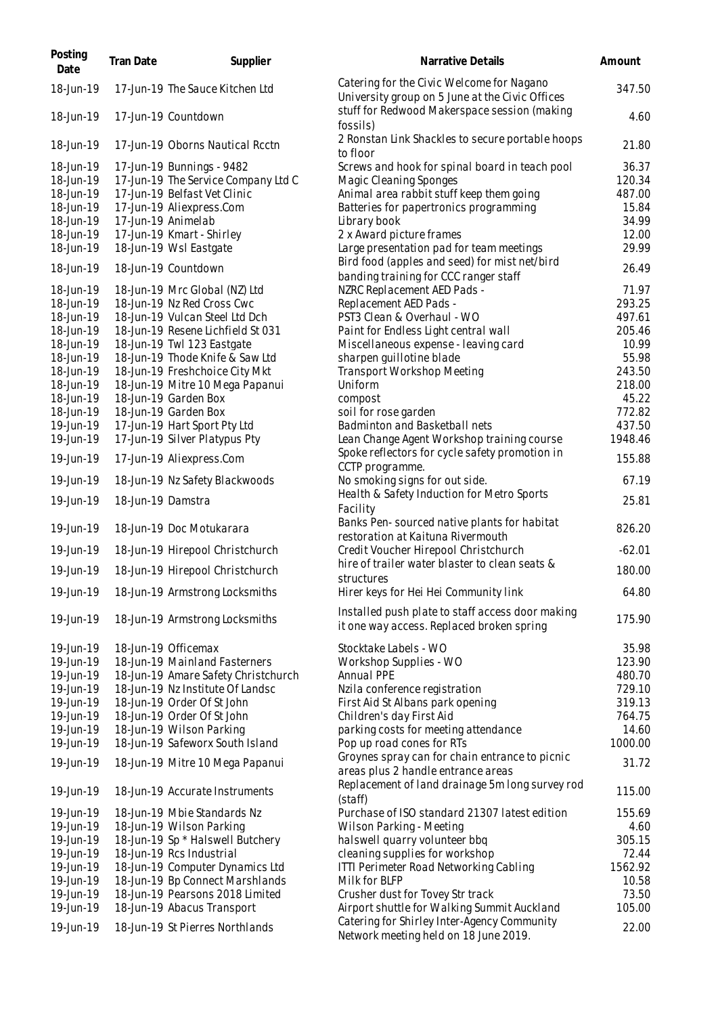| Posting<br>Date | Tran Date         | Supplier                            | Narrative Details                                                                             | Amount   |
|-----------------|-------------------|-------------------------------------|-----------------------------------------------------------------------------------------------|----------|
| 18-Jun-19       |                   | 17-Jun-19 The Sauce Kitchen Ltd     | Catering for the Civic Welcome for Nagano<br>University group on 5 June at the Civic Offices  | 347.50   |
| 18-Jun-19       |                   | 17-Jun-19 Countdown                 | stuff for Redwood Makerspace session (making<br>fossils)                                      | 4.60     |
| 18-Jun-19       |                   | 17-Jun-19 Oborns Nautical Rcctn     | 2 Ronstan Link Shackles to secure portable hoops<br>to floor                                  | 21.80    |
| 18-Jun-19       |                   | 17-Jun-19 Bunnings - 9482           | Screws and hook for spinal board in teach pool                                                | 36.37    |
| 18-Jun-19       |                   | 17-Jun-19 The Service Company Ltd C | Magic Cleaning Sponges                                                                        | 120.34   |
| 18-Jun-19       |                   | 17-Jun-19 Belfast Vet Clinic        | Animal area rabbit stuff keep them going                                                      | 487.00   |
| 18-Jun-19       |                   | 17-Jun-19 Aliexpress.Com            | Batteries for papertronics programming                                                        | 15.84    |
| 18-Jun-19       |                   | 17-Jun-19 Animelab                  | Library book                                                                                  | 34.99    |
| 18-Jun-19       |                   | 17-Jun-19 Kmart - Shirley           | 2 x Award picture frames                                                                      | 12.00    |
| 18-Jun-19       |                   | 18-Jun-19 Wsl Eastgate              | Large presentation pad for team meetings<br>Bird food (apples and seed) for mist net/bird     | 29.99    |
| 18-Jun-19       |                   | 18-Jun-19 Countdown                 | banding training for CCC ranger staff                                                         | 26.49    |
| 18-Jun-19       |                   | 18-Jun-19 Mrc Global (NZ) Ltd       | NZRC Replacement AED Pads -                                                                   | 71.97    |
| 18-Jun-19       |                   | 18-Jun-19 Nz Red Cross Cwc          | Replacement AED Pads -                                                                        | 293.25   |
| 18-Jun-19       |                   | 18-Jun-19 Vulcan Steel Ltd Dch      | PST3 Clean & Overhaul - WO                                                                    | 497.61   |
| 18-Jun-19       |                   | 18-Jun-19 Resene Lichfield St 031   | Paint for Endless Light central wall                                                          | 205.46   |
| 18-Jun-19       |                   | 18-Jun-19 Twl 123 Eastgate          | Miscellaneous expense - leaving card                                                          | 10.99    |
| 18-Jun-19       |                   | 18-Jun-19 Thode Knife & Saw Ltd     | sharpen quillotine blade                                                                      | 55.98    |
| 18-Jun-19       |                   | 18-Jun-19 Freshchoice City Mkt      | <b>Transport Workshop Meeting</b>                                                             | 243.50   |
| 18-Jun-19       |                   | 18-Jun-19 Mitre 10 Mega Papanui     | Uniform                                                                                       | 218.00   |
| 18-Jun-19       |                   | 18-Jun-19 Garden Box                | compost                                                                                       | 45.22    |
| 18-Jun-19       |                   | 18-Jun-19 Garden Box                | soil for rose garden                                                                          | 772.82   |
| 19-Jun-19       |                   | 17-Jun-19 Hart Sport Pty Ltd        | Badminton and Basketball nets                                                                 | 437.50   |
| 19-Jun-19       |                   | 17-Jun-19 Silver Platypus Pty       | Lean Change Agent Workshop training course                                                    | 1948.46  |
| 19-Jun-19       |                   | 17-Jun-19 Aliexpress.Com            | Spoke reflectors for cycle safety promotion in<br>CCTP programme.                             | 155.88   |
| 19-Jun-19       |                   | 18-Jun-19 Nz Safety Blackwoods      | No smoking signs for out side.                                                                | 67.19    |
| 19-Jun-19       | 18-Jun-19 Damstra |                                     | Health & Safety Induction for Metro Sports<br>Facility                                        | 25.81    |
| 19-Jun-19       |                   | 18-Jun-19 Doc Motukarara            | Banks Pen-sourced native plants for habitat<br>restoration at Kaituna Rivermouth              | 826.20   |
| 19-Jun-19       |                   | 18-Jun-19 Hirepool Christchurch     | Credit Voucher Hirepool Christchurch                                                          | $-62.01$ |
| 19-Jun-19       |                   | 18-Jun-19 Hirepool Christchurch     | hire of trailer water blaster to clean seats &                                                | 180.00   |
| 19-Jun-19       |                   | 18-Jun-19 Armstrong Locksmiths      | structures<br>Hirer keys for Hei Hei Community link                                           | 64.80    |
| 19-Jun-19       |                   | 18-Jun-19 Armstrong Locksmiths      | Installed push plate to staff access door making<br>it one way access. Replaced broken spring | 175.90   |
| 19-Jun-19       |                   | 18-Jun-19 Officemax                 | Stocktake Labels - WO                                                                         | 35.98    |
| 19-Jun-19       |                   | 18-Jun-19 Mainland Fasterners       | Workshop Supplies - WO                                                                        | 123.90   |
| 19-Jun-19       |                   | 18-Jun-19 Amare Safety Christchurch | Annual PPE                                                                                    | 480.70   |
| 19-Jun-19       |                   | 18-Jun-19 Nz Institute Of Landsc    | Nzila conference registration                                                                 | 729.10   |
| 19-Jun-19       |                   | 18-Jun-19 Order Of St John          | First Aid St Albans park opening                                                              | 319.13   |
| 19-Jun-19       |                   | 18-Jun-19 Order Of St John          | Children's day First Aid                                                                      | 764.75   |
| 19-Jun-19       |                   | 18-Jun-19 Wilson Parking            | parking costs for meeting attendance                                                          | 14.60    |
| 19-Jun-19       |                   | 18-Jun-19 Safeworx South Island     | Pop up road cones for RTs                                                                     | 1000.00  |
| 19-Jun-19       |                   | 18-Jun-19 Mitre 10 Mega Papanui     | Groynes spray can for chain entrance to picnic<br>areas plus 2 handle entrance areas          | 31.72    |
| 19-Jun-19       |                   | 18-Jun-19 Accurate Instruments      | Replacement of land drainage 5m long survey rod<br>(staff)                                    | 115.00   |
| 19-Jun-19       |                   | 18-Jun-19 Mbie Standards Nz         | Purchase of ISO standard 21307 latest edition                                                 | 155.69   |
| 19-Jun-19       |                   | 18-Jun-19 Wilson Parking            | Wilson Parking - Meeting                                                                      | 4.60     |
| 19-Jun-19       |                   | 18-Jun-19 Sp * Halswell Butchery    | halswell quarry volunteer bbq                                                                 | 305.15   |
| 19-Jun-19       |                   | 18-Jun-19 Rcs Industrial            | cleaning supplies for workshop                                                                | 72.44    |
| 19-Jun-19       |                   | 18-Jun-19 Computer Dynamics Ltd     | ITTI Perimeter Road Networking Cabling                                                        | 1562.92  |
| 19-Jun-19       |                   | 18-Jun-19 Bp Connect Marshlands     | Milk for BLFP                                                                                 | 10.58    |
| 19-Jun-19       |                   | 18-Jun-19 Pearsons 2018 Limited     | Crusher dust for Tovey Str track                                                              | 73.50    |
| 19-Jun-19       |                   | 18-Jun-19 Abacus Transport          | Airport shuttle for Walking Summit Auckland                                                   | 105.00   |
| 19-Jun-19       |                   | 18-Jun-19 St Pierres Northlands     | Catering for Shirley Inter-Agency Community<br>Network meeting held on 18 June 2019.          | 22.00    |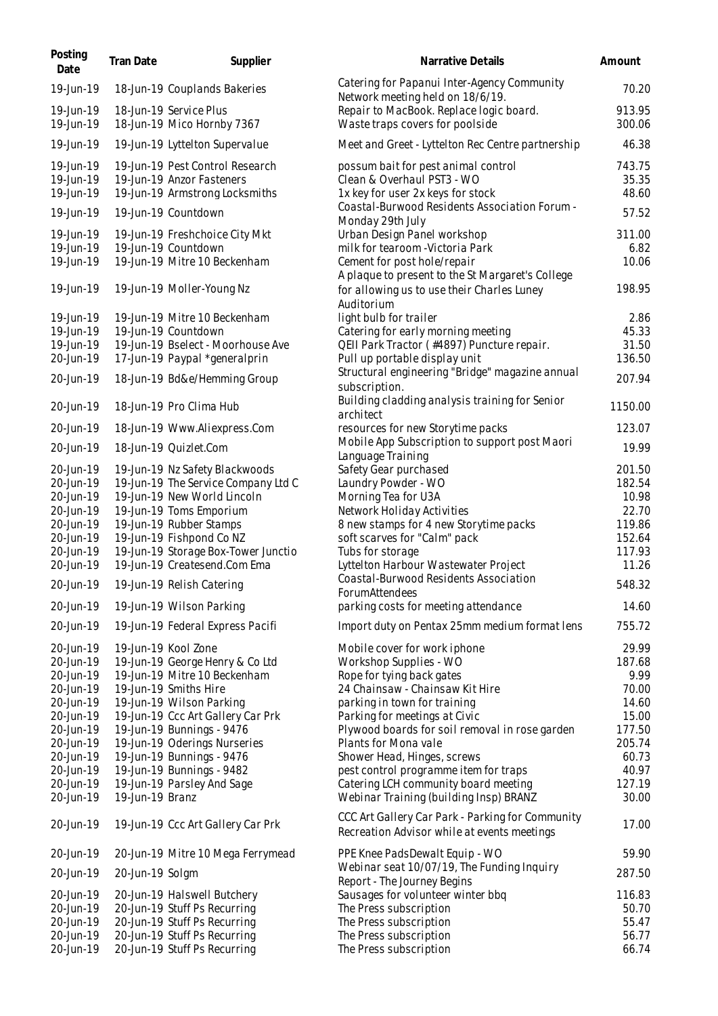| Posting<br>Date                                                                                                                             | Tran Date       | Supplier                                                                                                                                                                                                                                                                                                                           | Narrative Details                                                                                                                                                                                                                                                                                                                                                                           | Amount                                                                                             |
|---------------------------------------------------------------------------------------------------------------------------------------------|-----------------|------------------------------------------------------------------------------------------------------------------------------------------------------------------------------------------------------------------------------------------------------------------------------------------------------------------------------------|---------------------------------------------------------------------------------------------------------------------------------------------------------------------------------------------------------------------------------------------------------------------------------------------------------------------------------------------------------------------------------------------|----------------------------------------------------------------------------------------------------|
| 19-Jun-19                                                                                                                                   |                 | 18-Jun-19 Couplands Bakeries                                                                                                                                                                                                                                                                                                       | Catering for Papanui Inter-Agency Community<br>Network meeting held on 18/6/19.                                                                                                                                                                                                                                                                                                             | 70.20                                                                                              |
| 19-Jun-19<br>19-Jun-19                                                                                                                      |                 | 18-Jun-19 Service Plus<br>18-Jun-19 Mico Hornby 7367                                                                                                                                                                                                                                                                               | Repair to MacBook. Replace logic board.<br>Waste traps covers for poolside                                                                                                                                                                                                                                                                                                                  | 913.95<br>300.06                                                                                   |
| 19-Jun-19                                                                                                                                   |                 | 19-Jun-19 Lyttelton Supervalue                                                                                                                                                                                                                                                                                                     | Meet and Greet - Lyttelton Rec Centre partnership                                                                                                                                                                                                                                                                                                                                           | 46.38                                                                                              |
| 19-Jun-19<br>19-Jun-19<br>19-Jun-19                                                                                                         |                 | 19-Jun-19 Pest Control Research<br>19-Jun-19 Anzor Fasteners<br>19-Jun-19 Armstrong Locksmiths                                                                                                                                                                                                                                     | possum bait for pest animal control<br>Clean & Overhaul PST3 - WO<br>1x key for user 2x keys for stock                                                                                                                                                                                                                                                                                      | 743.75<br>35.35<br>48.60                                                                           |
| 19-Jun-19                                                                                                                                   |                 | 19-Jun-19 Countdown                                                                                                                                                                                                                                                                                                                | Coastal-Burwood Residents Association Forum -                                                                                                                                                                                                                                                                                                                                               | 57.52                                                                                              |
| 19-Jun-19<br>19-Jun-19<br>19-Jun-19                                                                                                         |                 | 19-Jun-19 Freshchoice City Mkt<br>19-Jun-19 Countdown<br>19-Jun-19 Mitre 10 Beckenham                                                                                                                                                                                                                                              | Monday 29th July<br>Urban Design Panel workshop<br>milk for tearoom - Victoria Park<br>Cement for post hole/repair                                                                                                                                                                                                                                                                          | 311.00<br>6.82<br>10.06                                                                            |
| 19-Jun-19                                                                                                                                   |                 | 19-Jun-19 Moller-Young Nz                                                                                                                                                                                                                                                                                                          | A plaque to present to the St Margaret's College<br>for allowing us to use their Charles Luney<br>Auditorium                                                                                                                                                                                                                                                                                | 198.95                                                                                             |
| 19-Jun-19<br>19-Jun-19<br>19-Jun-19<br>20-Jun-19                                                                                            |                 | 19-Jun-19 Mitre 10 Beckenham<br>19-Jun-19 Countdown<br>19-Jun-19 Bselect - Moorhouse Ave<br>17-Jun-19 Paypal *generalprin                                                                                                                                                                                                          | light bulb for trailer<br>Catering for early morning meeting<br>QEII Park Tractor (#4897) Puncture repair.<br>Pull up portable display unit                                                                                                                                                                                                                                                 | 2.86<br>45.33<br>31.50<br>136.50                                                                   |
| 20-Jun-19                                                                                                                                   |                 | 18-Jun-19 Bd&e/Hemming Group                                                                                                                                                                                                                                                                                                       | Structural engineering "Bridge" magazine annual<br>subscription.                                                                                                                                                                                                                                                                                                                            | 207.94                                                                                             |
| 20-Jun-19                                                                                                                                   |                 | 18-Jun-19 Pro Clima Hub                                                                                                                                                                                                                                                                                                            | Building cladding analysis training for Senior<br>architect                                                                                                                                                                                                                                                                                                                                 | 1150.00                                                                                            |
| 20-Jun-19                                                                                                                                   |                 | 18-Jun-19 Www.Aliexpress.Com                                                                                                                                                                                                                                                                                                       | resources for new Storytime packs<br>Mobile App Subscription to support post Maori                                                                                                                                                                                                                                                                                                          | 123.07                                                                                             |
| 20-Jun-19<br>20-Jun-19                                                                                                                      |                 | 18-Jun-19 Quizlet.Com<br>19-Jun-19 Nz Safety Blackwoods                                                                                                                                                                                                                                                                            | Language Training                                                                                                                                                                                                                                                                                                                                                                           | 19.99<br>201.50                                                                                    |
| 20-Jun-19<br>20-Jun-19<br>20-Jun-19<br>20-Jun-19<br>20-Jun-19<br>20-Jun-19<br>20-Jun-19<br>20-Jun-19<br>20-Jun-19                           |                 | 19-Jun-19 The Service Company Ltd C<br>19-Jun-19 New World Lincoln<br>19-Jun-19 Toms Emporium<br>19-Jun-19 Rubber Stamps<br>19-Jun-19 Fishpond Co NZ<br>19-Jun-19 Storage Box-Tower Junctio<br>19-Jun-19 Createsend.Com Ema<br>20-Jun-19 19-Jun-19 Relish Catering<br>19-Jun-19 Wilson Parking<br>19-Jun-19 Federal Express Pacifi | Safety Gear purchased<br>Laundry Powder - WO<br>Morning Tea for U3A<br>Network Holiday Activities<br>8 new stamps for 4 new Storytime packs<br>soft scarves for "Calm" pack<br>Tubs for storage<br>Lyttelton Harbour Wastewater Project<br>Coastal-Burwood Residents Association<br>ForumAttendees<br>parking costs for meeting attendance<br>Import duty on Pentax 25mm medium format lens | 182.54<br>10.98<br>22.70<br>119.86<br>152.64<br>117.93<br>11.26<br>548.32<br>14.60<br>755.72       |
| 20-Jun-19                                                                                                                                   |                 | 19-Jun-19 Kool Zone                                                                                                                                                                                                                                                                                                                | Mobile cover for work iphone                                                                                                                                                                                                                                                                                                                                                                | 29.99                                                                                              |
| 20-Jun-19<br>20-Jun-19<br>20-Jun-19<br>20-Jun-19<br>20-Jun-19<br>20-Jun-19<br>20-Jun-19<br>20-Jun-19<br>20-Jun-19<br>20-Jun-19<br>20-Jun-19 | 19-Jun-19 Branz | 19-Jun-19 George Henry & Co Ltd<br>19-Jun-19 Mitre 10 Beckenham<br>19-Jun-19 Smiths Hire<br>19-Jun-19 Wilson Parking<br>19-Jun-19 Ccc Art Gallery Car Prk<br>19-Jun-19 Bunnings - 9476<br>19-Jun-19 Oderings Nurseries<br>19-Jun-19 Bunnings - 9476<br>19-Jun-19 Bunnings - 9482<br>19-Jun-19 Parsley And Sage                     | Workshop Supplies - WO<br>Rope for tying back gates<br>24 Chainsaw - Chainsaw Kit Hire<br>parking in town for training<br>Parking for meetings at Civic<br>Plywood boards for soil removal in rose garden<br>Plants for Mona vale<br>Shower Head, Hinges, screws<br>pest control programme item for traps<br>Catering LCH community board meeting<br>Webinar Training (building Insp) BRANZ | 187.68<br>9.99<br>70.00<br>14.60<br>15.00<br>177.50<br>205.74<br>60.73<br>40.97<br>127.19<br>30.00 |
| 20-Jun-19                                                                                                                                   |                 | 19-Jun-19 Ccc Art Gallery Car Prk                                                                                                                                                                                                                                                                                                  | CCC Art Gallery Car Park - Parking for Community<br>Recreation Advisor while at events meetings                                                                                                                                                                                                                                                                                             | 17.00                                                                                              |
| 20-Jun-19                                                                                                                                   |                 | 20-Jun-19 Mitre 10 Mega Ferrymead                                                                                                                                                                                                                                                                                                  | PPE Knee Pads Dewalt Equip - WO                                                                                                                                                                                                                                                                                                                                                             | 59.90                                                                                              |
| 20-Jun-19                                                                                                                                   | 20-Jun-19 Solgm |                                                                                                                                                                                                                                                                                                                                    | Webinar seat 10/07/19, The Funding Inquiry<br>Report - The Journey Begins                                                                                                                                                                                                                                                                                                                   | 287.50                                                                                             |
| 20-Jun-19<br>20-Jun-19<br>20-Jun-19<br>20-Jun-19<br>20-Jun-19                                                                               |                 | 20-Jun-19 Halswell Butchery<br>20-Jun-19 Stuff Ps Recurring<br>20-Jun-19 Stuff Ps Recurring<br>20-Jun-19 Stuff Ps Recurring<br>20-Jun-19 Stuff Ps Recurring                                                                                                                                                                        | Sausages for volunteer winter bbq<br>The Press subscription<br>The Press subscription<br>The Press subscription<br>The Press subscription                                                                                                                                                                                                                                                   | 116.83<br>50.70<br>55.47<br>56.77<br>66.74                                                         |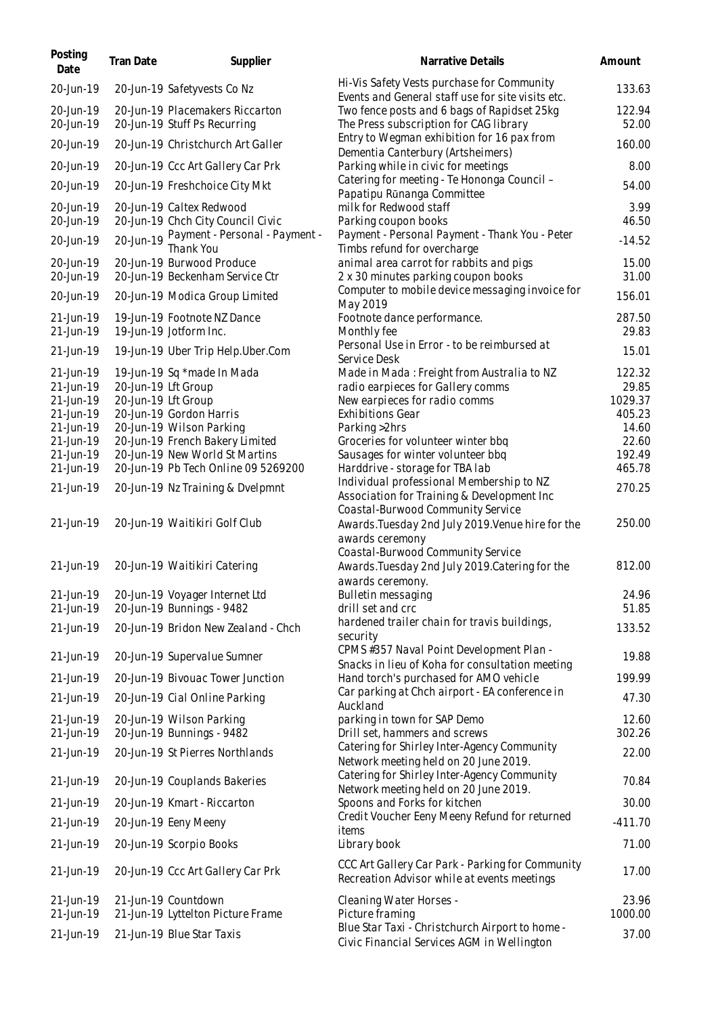| Posting<br>Date                     | Tran Date | Supplier                                                                                            | Narrative Details                                                                                                                           | Amount                               |
|-------------------------------------|-----------|-----------------------------------------------------------------------------------------------------|---------------------------------------------------------------------------------------------------------------------------------------------|--------------------------------------|
| 20-Jun-19                           |           | 20-Jun-19 Safetyvests Co Nz                                                                         | Hi-Vis Safety Vests purchase for Community<br>Events and General staff use for site visits etc.                                             | 133.63                               |
| 20-Jun-19<br>20-Jun-19              |           | 20-Jun-19 Placemakers Riccarton<br>20-Jun-19 Stuff Ps Recurring                                     | Two fence posts and 6 bags of Rapidset 25kg<br>The Press subscription for CAG library                                                       | 122.94<br>52.00                      |
| 20-Jun-19                           |           | 20-Jun-19 Christchurch Art Galler                                                                   | Entry to Wegman exhibition for 16 pax from<br>Dementia Canterbury (Artsheimers)                                                             | 160.00                               |
| 20-Jun-19                           |           | 20-Jun-19 Ccc Art Gallery Car Prk                                                                   | Parking while in civic for meetings                                                                                                         | 8.00                                 |
| 20-Jun-19                           |           | 20-Jun-19 Freshchoice City Mkt                                                                      | Catering for meeting - Te Hononga Council -<br>Papatipu Rūnanga Committee                                                                   | 54.00                                |
| 20-Jun-19<br>20-Jun-19              |           | 20-Jun-19 Caltex Redwood<br>20-Jun-19 Chch City Council Civic                                       | milk for Redwood staff<br>Parking coupon books                                                                                              | 3.99<br>46.50                        |
| 20-Jun-19                           |           | 20-Jun-19 Payment - Personal - Payment -<br>Thank You                                               | Payment - Personal Payment - Thank You - Peter<br>Timbs refund for overcharge                                                               | $-14.52$                             |
| 20-Jun-19<br>20-Jun-19              |           | 20-Jun-19 Burwood Produce<br>20-Jun-19 Beckenham Service Ctr                                        | animal area carrot for rabbits and pigs<br>2 x 30 minutes parking coupon books                                                              | 15.00<br>31.00                       |
| 20-Jun-19                           |           | 20-Jun-19 Modica Group Limited                                                                      | Computer to mobile device messaging invoice for<br>May 2019                                                                                 | 156.01                               |
| 21-Jun-19<br>21-Jun-19              |           | 19-Jun-19 Footnote NZ Dance<br>19-Jun-19 Jotform Inc.                                               | Footnote dance performance.<br>Monthly fee                                                                                                  | 287.50<br>29.83                      |
| 21-Jun-19                           |           | 19-Jun-19 Uber Trip Help. Uber. Com                                                                 | Personal Use in Error - to be reimbursed at<br>Service Desk                                                                                 | 15.01                                |
| 21-Jun-19<br>21-Jun-19<br>21-Jun-19 |           | 19-Jun-19 Sq *made In Mada<br>20-Jun-19 Lft Group<br>20-Jun-19 Lft Group<br>20-Jun-19 Gordon Harris | Made in Mada: Freight from Australia to NZ<br>radio earpieces for Gallery comms<br>New earpieces for radio comms<br><b>Exhibitions Gear</b> | 122.32<br>29.85<br>1029.37<br>405.23 |
| 21-Jun-19<br>21-Jun-19              |           | 20-Jun-19 Wilson Parking                                                                            | Parking > 2hrs                                                                                                                              | 14.60                                |
| 21-Jun-19                           |           | 20-Jun-19 French Bakery Limited                                                                     | Groceries for volunteer winter bbq                                                                                                          | 22.60                                |
| 21-Jun-19<br>21-Jun-19              |           | 20-Jun-19 New World St Martins<br>20-Jun-19 Pb Tech Online 09 5269200                               | Sausages for winter volunteer bbq                                                                                                           | 192.49<br>465.78                     |
|                                     |           |                                                                                                     | Harddrive - storage for TBA lab<br>Individual professional Membership to NZ                                                                 |                                      |
| 21-Jun-19                           |           | 20-Jun-19 Nz Training & Dvelpmnt                                                                    | Association for Training & Development Inc<br>Coastal-Burwood Community Service                                                             | 270.25                               |
| 21-Jun-19                           |           | 20-Jun-19 Waitikiri Golf Club                                                                       | Awards. Tuesday 2nd July 2019. Venue hire for the<br>awards ceremony<br>Coastal-Burwood Community Service                                   | 250.00                               |
| 21-Jun-19                           |           | 20-Jun-19 Waitikiri Catering                                                                        | Awards. Tuesday 2nd July 2019. Catering for the<br>awards ceremony.                                                                         | 812.00                               |
| 21-Jun-19<br>21-Jun-19              |           | 20-Jun-19 Voyager Internet Ltd<br>20-Jun-19 Bunnings - 9482                                         | Bulletin messaging<br>drill set and crc                                                                                                     | 24.96<br>51.85                       |
| 21-Jun-19                           |           | 20-Jun-19 Bridon New Zealand - Chch                                                                 | hardened trailer chain for travis buildings,<br>security                                                                                    | 133.52                               |
| 21-Jun-19                           |           | 20-Jun-19 Supervalue Sumner                                                                         | CPMS #357 Naval Point Development Plan -<br>Snacks in lieu of Koha for consultation meeting                                                 | 19.88                                |
| 21-Jun-19                           |           | 20-Jun-19 Bivouac Tower Junction                                                                    | Hand torch's purchased for AMO vehicle                                                                                                      | 199.99                               |
| 21-Jun-19                           |           | 20-Jun-19 Cial Online Parking                                                                       | Car parking at Chch airport - EA conference in<br>Auckland                                                                                  | 47.30                                |
| 21-Jun-19<br>21-Jun-19              |           | 20-Jun-19 Wilson Parking<br>20-Jun-19 Bunnings - 9482                                               | parking in town for SAP Demo<br>Drill set, hammers and screws                                                                               | 12.60<br>302.26                      |
| 21-Jun-19                           |           | 20-Jun-19 St Pierres Northlands                                                                     | Catering for Shirley Inter-Agency Community<br>Network meeting held on 20 June 2019.                                                        | 22.00                                |
| 21-Jun-19                           |           | 20-Jun-19 Couplands Bakeries                                                                        | Catering for Shirley Inter-Agency Community<br>Network meeting held on 20 June 2019.                                                        | 70.84                                |
| 21-Jun-19                           |           | 20-Jun-19 Kmart - Riccarton                                                                         | Spoons and Forks for kitchen                                                                                                                | 30.00                                |
| 21-Jun-19                           |           | 20-Jun-19 Eeny Meeny                                                                                | Credit Voucher Eeny Meeny Refund for returned                                                                                               | $-411.70$                            |
| 21-Jun-19                           |           | 20-Jun-19 Scorpio Books                                                                             | items<br>Library book                                                                                                                       | 71.00                                |
| 21-Jun-19                           |           | 20-Jun-19 Ccc Art Gallery Car Prk                                                                   | CCC Art Gallery Car Park - Parking for Community<br>Recreation Advisor while at events meetings                                             | 17.00                                |
| 21-Jun-19                           |           | 21-Jun-19 Countdown                                                                                 | Cleaning Water Horses -                                                                                                                     | 23.96                                |
| 21-Jun-19                           |           | 21-Jun-19 Lyttelton Picture Frame                                                                   | Picture framing<br>Blue Star Taxi - Christchurch Airport to home -                                                                          | 1000.00                              |
| 21-Jun-19                           |           | 21-Jun-19 Blue Star Taxis                                                                           | Civic Financial Services AGM in Wellington                                                                                                  | 37.00                                |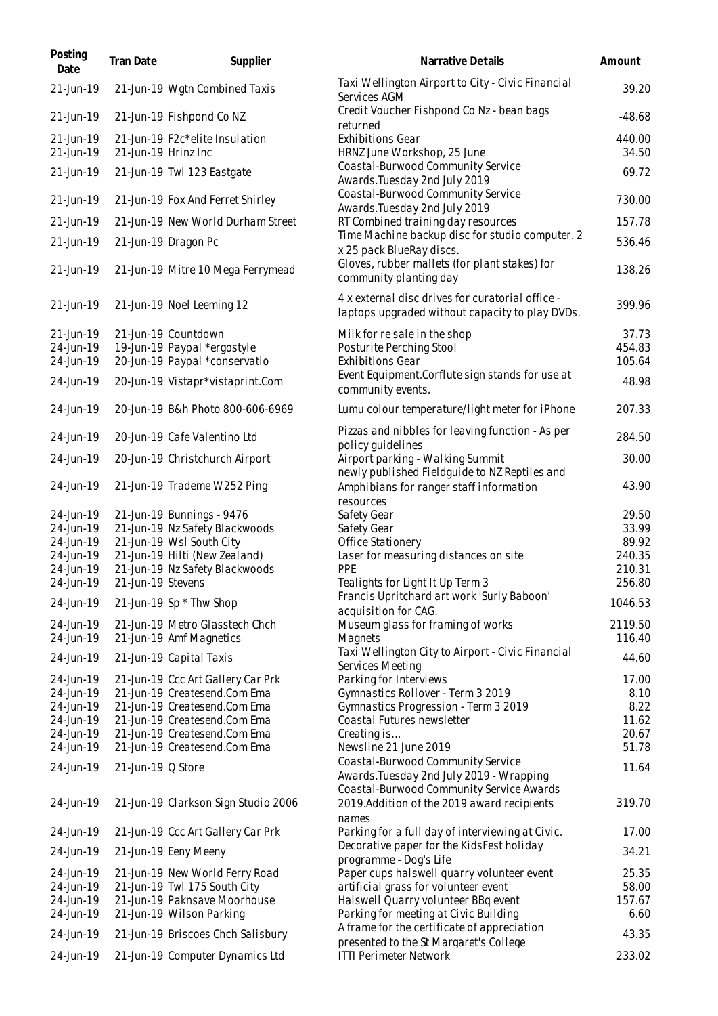| Posting<br>Date        | Tran Date           | Supplier                                                          | Narrative Details                                                                                                         | Amount           |
|------------------------|---------------------|-------------------------------------------------------------------|---------------------------------------------------------------------------------------------------------------------------|------------------|
| 21-Jun-19              |                     | 21-Jun-19 Wgtn Combined Taxis                                     | Taxi Wellington Airport to City - Civic Financial<br>Services AGM                                                         | 39.20            |
| 21-Jun-19              |                     | 21-Jun-19 Fishpond Co NZ                                          | Credit Voucher Fishpond Co Nz - bean bags<br>returned                                                                     | $-48.68$         |
| 21-Jun-19<br>21-Jun-19 | 21-Jun-19 Hrinz Inc | 21-Jun-19 F2c*elite Insulation                                    | <b>Exhibitions Gear</b><br>HRNZ June Workshop, 25 June                                                                    | 440.00<br>34.50  |
| 21-Jun-19              |                     | 21-Jun-19 Twl 123 Eastgate                                        | Coastal-Burwood Community Service<br>Awards. Tuesday 2nd July 2019                                                        | 69.72            |
| 21-Jun-19              |                     | 21-Jun-19 Fox And Ferret Shirley                                  | Coastal-Burwood Community Service<br>Awards. Tuesday 2nd July 2019                                                        | 730.00           |
| 21-Jun-19              |                     | 21-Jun-19 New World Durham Street                                 | RT Combined training day resources                                                                                        | 157.78           |
| 21-Jun-19              |                     | 21-Jun-19 Dragon Pc                                               | Time Machine backup disc for studio computer. 2<br>x 25 pack BlueRay discs.                                               | 536.46           |
| 21-Jun-19              |                     | 21-Jun-19 Mitre 10 Mega Ferrymead                                 | Gloves, rubber mallets (for plant stakes) for<br>community planting day                                                   | 138.26           |
| 21-Jun-19              |                     | 21-Jun-19 Noel Leeming 12                                         | 4 x external disc drives for curatorial office -<br>laptops upgraded without capacity to play DVDs.                       | 399.96           |
| 21-Jun-19              |                     | 21-Jun-19 Countdown                                               | Milk for resale in the shop                                                                                               | 37.73            |
| 24-Jun-19              |                     | 19-Jun-19 Paypal *ergostyle                                       | Posturite Perching Stool                                                                                                  | 454.83           |
| 24-Jun-19<br>24-Jun-19 |                     | 20-Jun-19 Paypal *conservatio<br>20-Jun-19 Vistapr*vistaprint.Com | Exhibitions Gear<br>Event Equipment.Corflute sign stands for use at<br>community events.                                  | 105.64<br>48.98  |
| 24-Jun-19              |                     | 20-Jun-19 B&h Photo 800-606-6969                                  | Lumu colour temperature/light meter for iPhone                                                                            | 207.33           |
| 24-Jun-19              |                     | 20-Jun-19 Cafe Valentino Ltd                                      | Pizzas and nibbles for leaving function - As per<br>policy quidelines                                                     | 284.50           |
| 24-Jun-19              |                     | 20-Jun-19 Christchurch Airport                                    | Airport parking - Walking Summit<br>newly published Fieldguide to NZ Reptiles and                                         | 30.00            |
| 24-Jun-19              |                     | 21-Jun-19 Trademe W252 Ping                                       | Amphibians for ranger staff information<br>resources                                                                      | 43.90            |
| 24-Jun-19              |                     | 21-Jun-19 Bunnings - 9476                                         | Safety Gear                                                                                                               | 29.50            |
| 24-Jun-19              |                     | 21-Jun-19 Nz Safety Blackwoods                                    | Safety Gear                                                                                                               | 33.99            |
| 24-Jun-19              |                     | 21-Jun-19 Wsl South City                                          | Office Stationery                                                                                                         | 89.92            |
| 24-Jun-19              |                     | 21-Jun-19 Hilti (New Zealand)<br>21-Jun-19 Nz Safety Blackwoods   | Laser for measuring distances on site<br>PPE                                                                              | 240.35           |
| 24-Jun-19<br>24-Jun-19 | 21-Jun-19 Stevens   |                                                                   | Tealights for Light It Up Term 3                                                                                          | 210.31<br>256.80 |
| 24-Jun-19              |                     | 21-Jun-19 Sp * Thw Shop                                           | Francis Upritchard art work 'Surly Baboon'                                                                                | 1046.53          |
| 24-Jun-19              |                     | 21-Jun-19 Metro Glasstech Chch                                    | acquisition for CAG.                                                                                                      | 2119.50          |
| 24-Jun-19              |                     | 21-Jun-19 Amf Magnetics                                           | Museum glass for framing of works<br>Magnets                                                                              | 116.40           |
| 24-Jun-19              |                     | 21-Jun-19 Capital Taxis                                           | Taxi Wellington City to Airport - Civic Financial                                                                         | 44.60            |
| 24-Jun-19              |                     | 21-Jun-19 Ccc Art Gallery Car Prk                                 | Services Meeting<br>Parking for Interviews                                                                                | 17.00            |
| 24-Jun-19              |                     | 21-Jun-19 Createsend.Com Ema                                      | Gymnastics Rollover - Term 3 2019                                                                                         | 8.10             |
| 24-Jun-19              |                     | 21-Jun-19 Createsend.Com Ema                                      | Gymnastics Progression - Term 3 2019                                                                                      | 8.22             |
| 24-Jun-19              |                     | 21-Jun-19 Createsend.Com Ema                                      | Coastal Futures newsletter                                                                                                | 11.62            |
| 24-Jun-19              |                     | 21-Jun-19 Createsend.Com Ema                                      | Creating is                                                                                                               | 20.67            |
| 24-Jun-19              |                     | 21-Jun-19 Createsend.Com Ema                                      | Newsline 21 June 2019                                                                                                     | 51.78            |
| 24-Jun-19              | 21-Jun-19 Q Store   |                                                                   | Coastal-Burwood Community Service<br>Awards. Tuesday 2nd July 2019 - Wrapping<br>Coastal-Burwood Community Service Awards | 11.64            |
| 24-Jun-19              |                     | 21-Jun-19 Clarkson Sign Studio 2006                               | 2019. Addition of the 2019 award recipients<br>names                                                                      | 319.70           |
| 24-Jun-19              |                     | 21-Jun-19 Ccc Art Gallery Car Prk                                 | Parking for a full day of interviewing at Civic.                                                                          | 17.00            |
| 24-Jun-19              |                     | 21-Jun-19 Eeny Meeny                                              | Decorative paper for the KidsFest holiday<br>programme - Dog's Life                                                       | 34.21            |
| 24-Jun-19              |                     | 21-Jun-19 New World Ferry Road                                    | Paper cups hals well quarry volunteer event                                                                               | 25.35            |
| 24-Jun-19              |                     | 21-Jun-19 Twl 175 South City                                      | artificial grass for volunteer event                                                                                      | 58.00            |
| 24-Jun-19<br>24-Jun-19 |                     | 21-Jun-19 Paknsave Moorhouse<br>21-Jun-19 Wilson Parking          | Halswell Quarry volunteer BBq event<br>Parking for meeting at Civic Building                                              | 157.67<br>6.60   |
|                        |                     |                                                                   | A frame for the certificate of appreciation                                                                               |                  |
| 24-Jun-19              |                     | 21-Jun-19 Briscoes Chch Salisbury                                 | presented to the St Margaret's College<br><b>ITTI Perimeter Network</b>                                                   | 43.35<br>233.02  |
| 24-Jun-19              |                     | 21-Jun-19 Computer Dynamics Ltd                                   |                                                                                                                           |                  |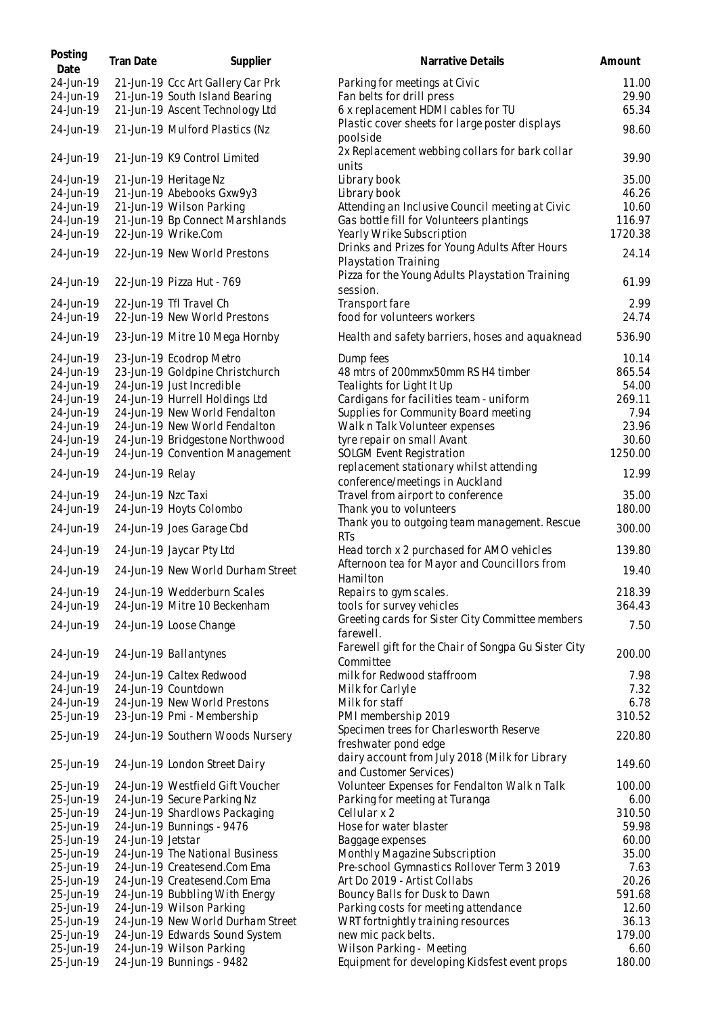| Posting<br>Date | <b>Tran Date</b>   | Supplier                          | Narrative Details                                                             | Amount  |
|-----------------|--------------------|-----------------------------------|-------------------------------------------------------------------------------|---------|
| 24-Jun-19       |                    | 21-Jun-19 Ccc Art Gallery Car Prk | Parking for meetings at Civic                                                 | 11.00   |
| 24-Jun-19       |                    | 21-Jun-19 South Island Bearing    | Fan belts for drill press                                                     | 29.90   |
| 24-Jun-19       |                    | 21-Jun-19 Ascent Technology Ltd   | 6 x replacement HDMI cables for TU                                            | 65.34   |
| 24-Jun-19       |                    | 21-Jun-19 Mulford Plastics (Nz    | Plastic cover sheets for large poster displays<br>poolside                    | 98.60   |
| 24-Jun-19       |                    | 21-Jun-19 K9 Control Limited      | 2x Replacement webbing collars for bark collar<br>units                       | 39.90   |
| 24-Jun-19       |                    | 21-Jun-19 Heritage Nz             | Library book                                                                  | 35.00   |
| 24-Jun-19       |                    | 21-Jun-19 Abebooks Gxw9y3         | Library book                                                                  | 46.26   |
| 24-Jun-19       |                    | 21-Jun-19 Wilson Parking          | Attending an Inclusive Council meeting at Civic                               | 10.60   |
| 24-Jun-19       |                    | 21-Jun-19 Bp Connect Marshlands   | Gas bottle fill for Volunteers plantings                                      | 116.97  |
| 24-Jun-19       |                    | 22-Jun-19 Wrike.Com               | Yearly Wrike Subscription                                                     | 1720.38 |
| 24-Jun-19       |                    | 22-Jun-19 New World Prestons      | Drinks and Prizes for Young Adults After Hours<br><b>Playstation Training</b> | 24.14   |
| 24-Jun-19       |                    | 22-Jun-19 Pizza Hut - 769         | Pizza for the Young Adults Playstation Training<br>session.                   | 61.99   |
| 24-Jun-19       |                    | 22-Jun-19 Tfl Travel Ch           | Transport fare                                                                | 2.99    |
| 24-Jun-19       |                    | 22-Jun-19 New World Prestons      | food for volunteers workers                                                   | 24.74   |
| 24-Jun-19       |                    | 23-Jun-19 Mitre 10 Mega Hornby    | Health and safety barriers, hoses and aquaknead                               | 536.90  |
| 24-Jun-19       |                    | 23-Jun-19 Ecodrop Metro           | Dump fees                                                                     | 10.14   |
| 24-Jun-19       |                    | 23-Jun-19 Goldpine Christchurch   | 48 mtrs of 200mmx50mm RS H4 timber                                            | 865.54  |
| 24-Jun-19       |                    | 24-Jun-19 Just Incredible         | Tealights for Light It Up                                                     | 54.00   |
| 24-Jun-19       |                    | 24-Jun-19 Hurrell Holdings Ltd    | Cardigans for facilities team - uniform                                       | 269.11  |
| 24-Jun-19       |                    | 24-Jun-19 New World Fendalton     | Supplies for Community Board meeting                                          | 7.94    |
| 24-Jun-19       |                    | 24-Jun-19 New World Fendalton     | Walk n Talk Volunteer expenses                                                | 23.96   |
| 24-Jun-19       |                    | 24-Jun-19 Bridgestone Northwood   | tyre repair on small Avant                                                    | 30.60   |
| 24-Jun-19       |                    | 24-Jun-19 Convention Management   | SOLGM Event Registration                                                      | 1250.00 |
| 24-Jun-19       | 24-Jun-19 Relay    |                                   | replacement stationary whilst attending<br>conference/meetings in Auckland    | 12.99   |
| 24-Jun-19       | 24-Jun-19 Nzc Taxi |                                   | Travel from airport to conference                                             | 35.00   |
| 24-Jun-19       |                    | 24-Jun-19 Hoyts Colombo           | Thank you to volunteers                                                       | 180.00  |
| 24-Jun-19       |                    | 24-Jun-19 Joes Garage Cbd         | Thank you to outgoing team management. Rescue<br><b>RTs</b>                   | 300.00  |
| 24-Jun-19       |                    | 24-Jun-19 Jaycar Pty Ltd          | Head torch x 2 purchased for AMO vehicles                                     | 139.80  |
| 24-Jun-19       |                    | 24-Jun-19 New World Durham Street | Afternoon tea for Mayor and Councillors from<br>Hamilton                      | 19.40   |
| 24-Jun-19       |                    | 24-Jun-19 Wedderburn Scales       | Repairs to gym scales.                                                        | 218.39  |
| 24-Jun-19       |                    | 24-Jun-19 Mitre 10 Beckenham      | tools for survey vehicles                                                     | 364.43  |
| 24-Jun-19       |                    | 24-Jun-19 Loose Change            | Greeting cards for Sister City Committee members<br>farewell.                 | 7.50    |
| 24-Jun-19       |                    | 24-Jun-19 Ballantynes             | Farewell gift for the Chair of Songpa Gu Sister City<br><b>Committee</b>      | 200.00  |
| 24-Jun-19       |                    | 24-Jun-19 Caltex Redwood          | milk for Redwood staffroom                                                    | 7.98    |
| 24-Jun-19       |                    | 24-Jun-19 Countdown               | Milk for Carlyle                                                              | 7.32    |
| 24-Jun-19       |                    | 24-Jun-19 New World Prestons      | Milk for staff                                                                | 6.78    |
| 25-Jun-19       |                    | 23-Jun-19 Pmi - Membership        | PMI membership 2019                                                           | 310.52  |
| 25-Jun-19       |                    | 24-Jun-19 Southern Woods Nursery  | Specimen trees for Charlesworth Reserve<br>freshwater pond edge               | 220.80  |
| 25-Jun-19       |                    | 24-Jun-19 London Street Dairy     | dairy account from July 2018 (Milk for Library<br>and Customer Services)      | 149.60  |
| 25-Jun-19       |                    | 24-Jun-19 Westfield Gift Voucher  | Volunteer Expenses for Fendalton Walk n Talk                                  | 100.00  |
| 25-Jun-19       |                    | 24-Jun-19 Secure Parking Nz       | Parking for meeting at Turanga                                                | 6.00    |
| 25-Jun-19       |                    | 24-Jun-19 Shardlows Packaging     | Cellular x 2                                                                  | 310.50  |
| 25-Jun-19       |                    | 24-Jun-19 Bunnings - 9476         | Hose for water blaster                                                        | 59.98   |
| 25-Jun-19       | 24-Jun-19 Jetstar  |                                   | Baggage expenses                                                              | 60.00   |
| 25-Jun-19       |                    | 24-Jun-19 The National Business   | Monthly Magazine Subscription                                                 | 35.00   |
| 25-Jun-19       |                    | 24-Jun-19 Createsend.Com Ema      | Pre-school Gymnastics Rollover Term 3 2019                                    | 7.63    |
| 25-Jun-19       |                    | 24-Jun-19 Createsend.Com Ema      | Art Do 2019 - Artist Collabs                                                  | 20.26   |
| 25-Jun-19       |                    | 24-Jun-19 Bubbling With Energy    | Bouncy Balls for Dusk to Dawn                                                 | 591.68  |
| 25-Jun-19       |                    | 24-Jun-19 Wilson Parking          | Parking costs for meeting attendance                                          | 12.60   |
| 25-Jun-19       |                    | 24-Jun-19 New World Durham Street | WRT fortnightly training resources                                            | 36.13   |
| 25-Jun-19       |                    | 24-Jun-19 Edwards Sound System    | new mic pack belts.                                                           | 179.00  |
| 25-Jun-19       |                    | 24-Jun-19 Wilson Parking          | Wilson Parking - Meeting                                                      | 6.60    |
| 25-Jun-19       |                    | 24-Jun-19 Bunnings - 9482         | Equipment for developing Kidsfest event props                                 | 180.00  |